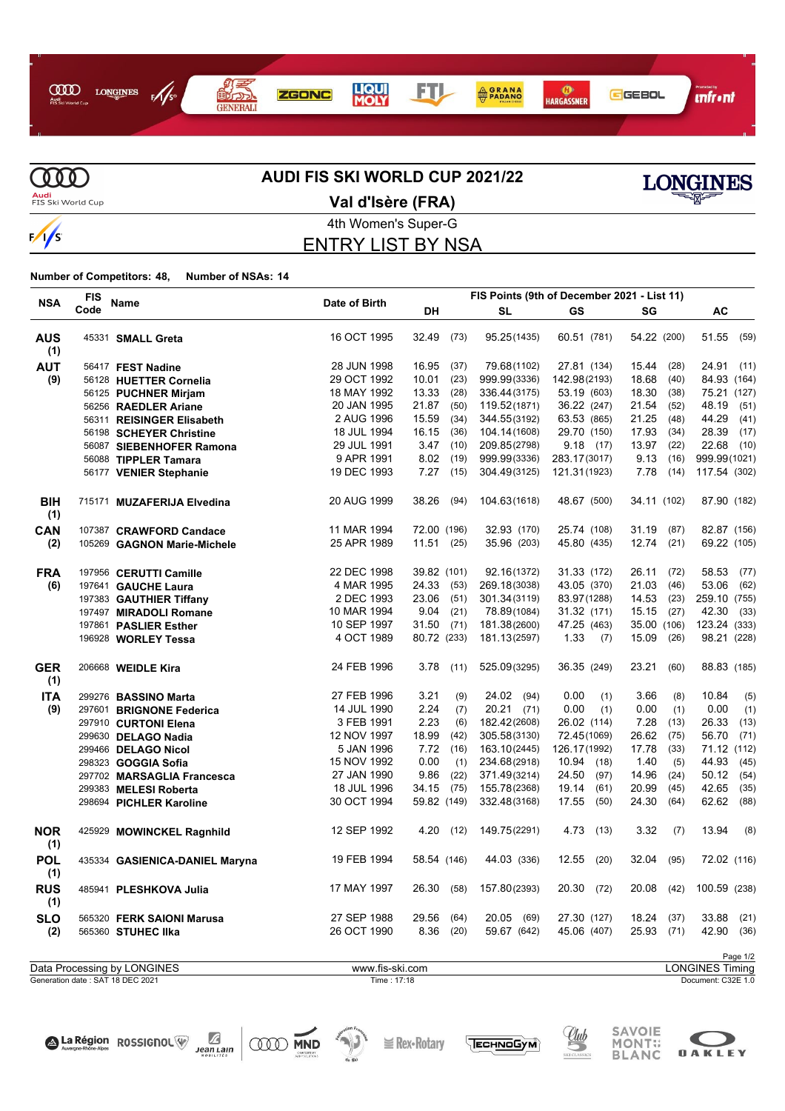



# **AUDI FIS SKI WORLD CUP 2021/22**



**Audi**<br>FIS Ski World Cup

4th Women's Super-G **Val d'Isère (FRA)**

### ENTRY LIST BY NSA

#### **Number of Competitors: 48, Number of NSAs: 14**

|                   | <b>FIS</b> |                                |               |              |      |               | FIS Points (9th of December 2021 - List 11) |               |               |
|-------------------|------------|--------------------------------|---------------|--------------|------|---------------|---------------------------------------------|---------------|---------------|
| <b>NSA</b>        | Code       | Name                           | Date of Birth | DH           |      | <b>SL</b>     | GS                                          | SG            | AC            |
| <b>AUS</b><br>(1) |            | 45331 SMALL Greta              | 16 OCT 1995   | 32.49        | (73) | 95.25(1435)   | 60.51 (781)                                 | 54.22 (200)   | 51.55 (59)    |
| <b>AUT</b>        |            | 56417 FEST Nadine              | 28 JUN 1998   | 16.95        | (37) | 79.68(1102)   | 27.81 (134)                                 | 15.44<br>(28) | 24.91<br>(11) |
| (9)               |            | 56128 HUETTER Cornelia         | 29 OCT 1992   | 10.01        | (23) | 999.99(3336)  | 142.98(2193)                                | 18.68<br>(40) | 84.93 (164)   |
|                   |            | 56125 PUCHNER Mirjam           | 18 MAY 1992   | 13.33        | (28) | 336.44(3175)  | 53.19 (603)                                 | 18.30<br>(38) | 75.21 (127)   |
|                   |            | 56256 RAEDLER Ariane           | 20 JAN 1995   | 21.87        | (50) | 119.52(1871)  | 36.22 (247)                                 | 21.54<br>(52) | 48.19<br>(51) |
|                   |            | 56311 REISINGER Elisabeth      | 2 AUG 1996    | 15.59        | (34) | 344.55(3192)  | 63.53 (865)                                 | 21.25<br>(48) | 44.29<br>(41) |
|                   |            | 56198 SCHEYER Christine        | 18 JUL 1994   | 16.15        | (36) | 104.14(1608)  | 29.70 (150)                                 | 17.93<br>(34) | 28.39<br>(17) |
|                   |            | 56087 SIEBENHOFER Ramona       | 29 JUL 1991   | 3.47         | (10) | 209.85(2798)  | 9.18(17)                                    | 13.97<br>(22) | 22.68<br>(10) |
|                   |            | 56088 TIPPLER Tamara           | 9 APR 1991    | $8.02$ (19)  |      | 999.99(3336)  | 283.17(3017)                                | 9.13<br>(16)  | 999.99(1021)  |
|                   |            | 56177 VENIER Stephanie         | 19 DEC 1993   | 7.27         | (15) | 304.49(3125)  | 121.31(1923)                                | 7.78<br>(14)  | 117.54 (302)  |
| <b>BIH</b><br>(1) |            | 715171 MUZAFERIJA Elvedina     | 20 AUG 1999   | 38.26        | (94) | 104.63(1618)  | 48.67 (500)                                 | 34.11 (102)   | 87.90 (182)   |
| CAN               |            | 107387 CRAWFORD Candace        | 11 MAR 1994   | 72.00 (196)  |      | 32.93 (170)   | 25.74 (108)                                 | 31.19<br>(87) | 82.87 (156)   |
| (2)               |            | 105269 GAGNON Marie-Michele    | 25 APR 1989   | 11.51(25)    |      | 35.96 (203)   | 45.80 (435)                                 | $12.74$ (21)  | 69.22 (105)   |
| <b>FRA</b>        |            | 197956 CERUTTI Camille         | 22 DEC 1998   | 39.82 (101)  |      | 92.16(1372)   | 31.33 (172)                                 | 26.11<br>(72) | 58.53<br>(77) |
| (6)               |            | 197641 GAUCHE Laura            | 4 MAR 1995    | 24.33 (53)   |      | 269.18(3038)  | 43.05 (370)                                 | 21.03<br>(46) | 53.06<br>(62) |
|                   |            | 197383 GAUTHIER Tiffany        | 2 DEC 1993    | 23.06 (51)   |      | 301.34(3119)  | 83.97(1288)                                 | 14.53<br>(23) | 259.10 (755)  |
|                   |            | 197497 MIRADOLI Romane         | 10 MAR 1994   | 9.04         | (21) | 78.89(1084)   | 31.32 (171)                                 | 15.15<br>(27) | 42.30<br>(33) |
|                   |            | 197861 PASLIER Esther          | 10 SEP 1997   | $31.50$ (71) |      | 181.38(2600)  | 47.25 (463)                                 | 35.00 (106)   | 123.24 (333)  |
|                   |            | 196928 WORLEY Tessa            | 4 OCT 1989    | 80.72 (233)  |      | 181.13(2597)  | 1.33<br>(7)                                 | 15.09<br>(26) | 98.21 (228)   |
| <b>GER</b><br>(1) |            | 206668 WEIDLE Kira             | 24 FEB 1996   | 3.78(11)     |      | 525.09(3295)  | 36.35 (249)                                 | 23.21<br>(60) | 88.83 (185)   |
| <b>ITA</b>        |            | 299276 BASSINO Marta           | 27 FEB 1996   | 3.21         | (9)  | 24.02 (94)    | 0.00<br>(1)                                 | 3.66<br>(8)   | 10.84<br>(5)  |
| (9)               |            | 297601 BRIGNONE Federica       | 14 JUL 1990   | 2.24         | (7)  | $20.21$ (71)  | 0.00<br>(1)                                 | 0.00<br>(1)   | 0.00<br>(1)   |
|                   |            | 297910 CURTONI Elena           | 3 FEB 1991    | 2.23         | (6)  | 182.42(2608)  | 26.02 (114)                                 | 7.28<br>(13)  | 26.33<br>(13) |
|                   |            | 299630 DELAGO Nadia            | 12 NOV 1997   | 18.99        | (42) | 305.58(3130)  | 72.45(1069)                                 | 26.62<br>(75) | 56.70<br>(71) |
|                   |            | 299466 DELAGO Nicol            | 5 JAN 1996    | 7.72         | (16) | 163.10(2445)  | 126.17(1992)                                | 17.78<br>(33) | 71.12 (112)   |
|                   |            | 298323 GOGGIA Sofia            | 15 NOV 1992   | 0.00         | (1)  | 234.68(2918)  | 10.94 (18)                                  | 1.40<br>(5)   | 44.93<br>(45) |
|                   |            | 297702 MARSAGLIA Francesca     | 27 JAN 1990   | 9.86         | (22) | 371.49(3214)  | 24.50<br>(97)                               | 14.96<br>(24) | 50.12<br>(54) |
|                   |            | 299383 MELESI Roberta          | 18 JUL 1996   | 34.15        | (75) | 155.78(2368)  | 19.14<br>(61)                               | 20.99<br>(45) | 42.65<br>(35) |
|                   |            | 298694 PICHLER Karoline        | 30 OCT 1994   | 59.82 (149)  |      | 332.48(3168)  | 17.55<br>(50)                               | 24.30<br>(64) | 62.62<br>(88) |
| <b>NOR</b><br>(1) |            | 425929 MOWINCKEL Ragnhild      | 12 SEP 1992   | 4.20         | (12) | 149.75(2291)  | 4.73<br>(13)                                | 3.32<br>(7)   | 13.94<br>(8)  |
| <b>POL</b><br>(1) |            | 435334 GASIENICA-DANIEL Maryna | 19 FEB 1994   | 58.54 (146)  |      | 44.03 (336)   | 12.55<br>(20)                               | 32.04<br>(95) | 72.02 (116)   |
| <b>RUS</b><br>(1) |            | 485941 PLESHKOVA Julia         | 17 MAY 1997   | 26.30        | (58) | 157.80(2393)  | 20.30<br>(72)                               | 20.08<br>(42) | 100.59 (238)  |
| <b>SLO</b>        |            | 565320 FERK SAIONI Marusa      | 27 SEP 1988   | 29.56        | (64) | 20.05<br>(69) | 27.30 (127)                                 | 18.24<br>(37) | 33.88<br>(21) |
| (2)               |            | 565360 STUHEC IIka             | 26 OCT 1990   | 8.36         | (20) | 59.67 (642)   | 45.06 (407)                                 | 25.93<br>(71) | 42.90<br>(36) |
|                   |            |                                |               |              |      |               |                                             |               |               |

Page 1/2<br>LONGINES Timing Generation date : SAT 18 DEC 2021 Time : 17:18 Document: C32E 1.0 Data Processing by LONGINES www.fis-ski.com







**E** Rex-Rotary





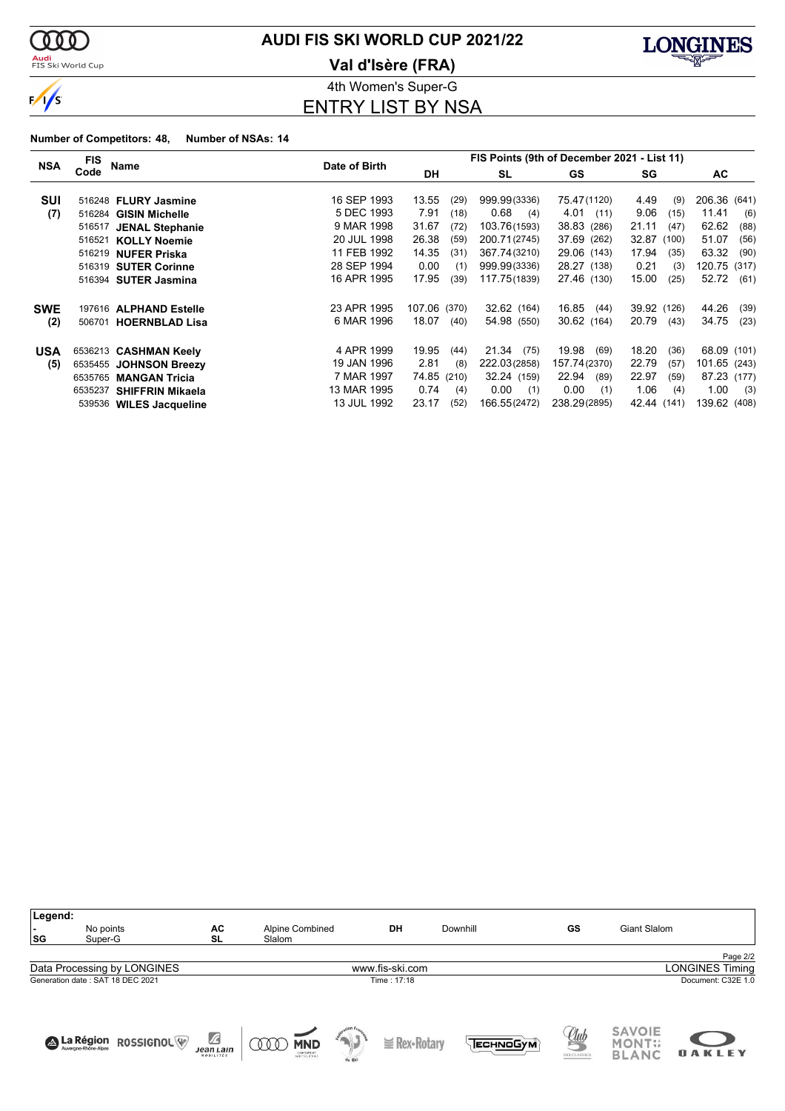

<mark>Audi</mark><br>FIS Ski World Cup

# **AUDI FIS SKI WORLD CUP 2021/22**

**Val d'Isère (FRA)**



4th Women's Super-G ENTRY LIST BY NSA

#### **Number of Competitors: 48, Number of NSAs: 14**

|            | FIS     |                         | Date of Birth | FIS Points (9th of December 2021 - List 11) |      |               |               |               |                 |  |  |
|------------|---------|-------------------------|---------------|---------------------------------------------|------|---------------|---------------|---------------|-----------------|--|--|
| <b>NSA</b> | Code    | Name                    |               | <b>DH</b>                                   |      | SL            | GS            | SG            | AC              |  |  |
| SUI        |         | 516248 FLURY Jasmine    | 16 SEP 1993   | 13.55                                       | (29) | 999.99(3336)  | 75.47(1120)   | 4.49<br>(9)   | 206.36 (641)    |  |  |
| (7)        | 516284  | <b>GISIN Michelle</b>   | 5 DEC 1993    | 7.91                                        | (18) | 0.68<br>(4)   | 4.01<br>(11)  | 9.06<br>(15)  | 11.41<br>(6)    |  |  |
|            | 516517  | <b>JENAL Stephanie</b>  | 9 MAR 1998    | 31.67                                       | (72) | 103.76(1593)  | 38.83 (286)   | 21.11<br>(47) | 62.62<br>(88)   |  |  |
|            | 516521  | <b>KOLLY Noemie</b>     | 20 JUL 1998   | 26.38                                       | (59) | 200.71(2745)  | 37.69 (262)   | 32.87 (100)   | 51.07<br>(56)   |  |  |
|            |         | 516219 NUFER Priska     | 11 FEB 1992   | 14.35                                       | (31) | 367.74(3210)  | 29.06 (143)   | 17.94<br>(35) | 63.32<br>(90)   |  |  |
|            |         | 516319 SUTER Corinne    | 28 SEP 1994   | 0.00                                        | (1)  | 999.99(3336)  | 28.27 (138)   | 0.21<br>(3)   | 120.75<br>(317) |  |  |
|            |         | 516394 SUTER Jasmina    | 16 APR 1995   | 17.95                                       | (39) | 117.75(1839)  | 27.46 (130)   | 15.00<br>(25) | 52.72<br>(61)   |  |  |
| <b>SWE</b> |         | 197616 ALPHAND Estelle  | 23 APR 1995   | 107.06 (370)                                |      | 32.62 (164)   | 16.85<br>(44) | 39.92 (126)   | 44.26<br>(39)   |  |  |
| (2)        | 506701  | <b>HOERNBLAD Lisa</b>   | 6 MAR 1996    | 18.07                                       | (40) | 54.98 (550)   | 30.62 (164)   | 20.79<br>(43) | 34.75<br>(23)   |  |  |
| <b>USA</b> | 6536213 | <b>CASHMAN Keely</b>    | 4 APR 1999    | 19.95                                       | (44) | 21.34<br>(75) | 19.98<br>(69) | 18.20<br>(36) | 68.09 (101)     |  |  |
| (5)        |         | 6535455 JOHNSON Breezy  | 19 JAN 1996   | 2.81                                        | (8)  | 222.03(2858)  | 157.74(2370)  | 22.79<br>(57) | 101.65 (243)    |  |  |
|            | 6535765 | <b>MANGAN Tricia</b>    | 7 MAR 1997    | 74.85 (210)                                 |      | 32.24 (159)   | 22.94<br>(89) | 22.97<br>(59) | 87.23 (177)     |  |  |
|            | 6535237 | <b>SHIFFRIN Mikaela</b> | 13 MAR 1995   | 0.74                                        | (4)  | 0.00<br>(1)   | 0.00<br>(1)   | 1.06<br>(4)   | 1.00<br>(3)     |  |  |
|            |         | 539536 WILES Jacqueline | 13 JUL 1992   | 23.17                                       | (52) | 166.55(2472)  | 238.29(2895)  | 42.44 (141)   | 139.62 (408)    |  |  |

| Legend:<br>$\sim$<br>SG | No points<br>Super-G             | AC<br>SL                                     | Alpine Combined<br>Slalom       |        | DH                | Downhill | GS                         | <b>Giant Slalom</b>                            |                        |  |  |
|-------------------------|----------------------------------|----------------------------------------------|---------------------------------|--------|-------------------|----------|----------------------------|------------------------------------------------|------------------------|--|--|
|                         |                                  |                                              |                                 |        |                   |          |                            |                                                | Page 2/2               |  |  |
|                         | Data Processing by LONGINES      |                                              |                                 |        | www.fis-ski.com   |          |                            |                                                | <b>LONGINES Timing</b> |  |  |
|                         | Generation date: SAT 18 DEC 2021 |                                              |                                 |        | Time: 17:18       |          |                            |                                                | Document: C32E 1.0     |  |  |
|                         | A La Région ROSSIGNOL            | $\mathbb Z$<br><b>Jean Lain</b><br>MOBILITÉS | <b>MND</b><br>Q Q Q<br>CNEOMENT | de Ski | $\geq$ Rex-Rotary | ЕСН ОБУМ | <u>Uub</u><br>SKI CLASSICS | <b>SAVOIE</b><br><b>MONT::</b><br><b>BLANC</b> | <b>OAKLEY</b>          |  |  |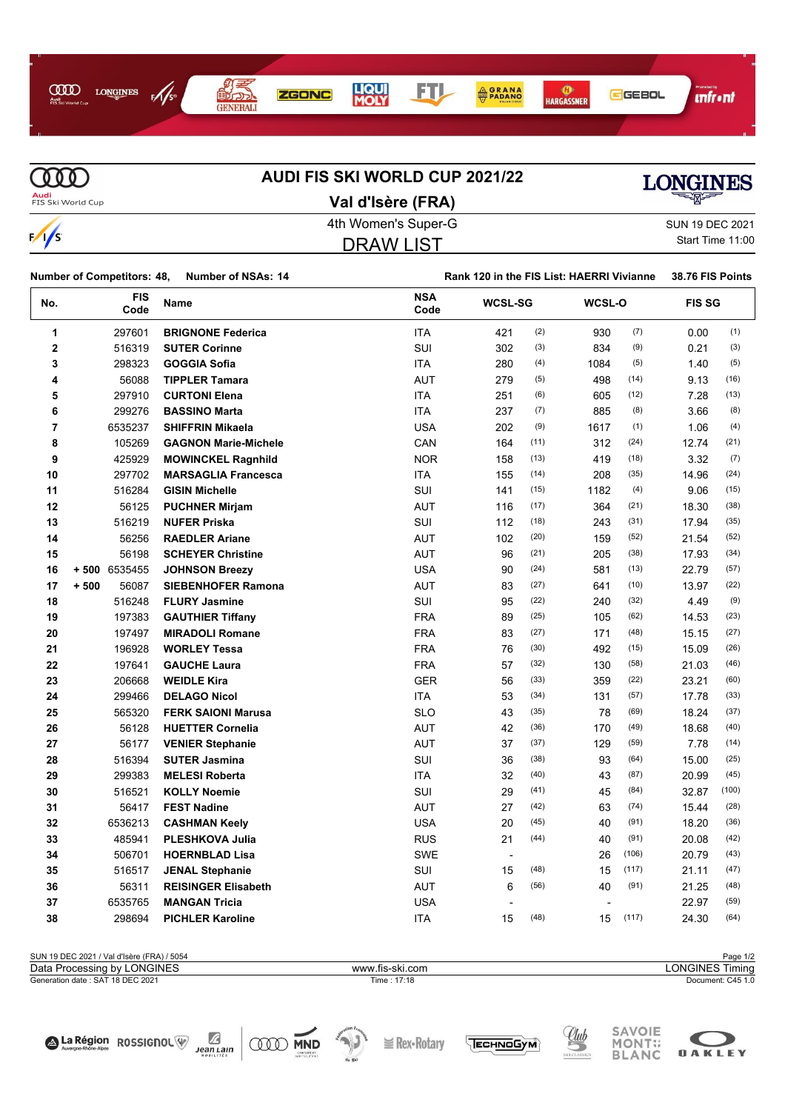

**MD AUDI FIS SKI WORLD CUP 2021/22 Audi**<br>FIS Ski World Cup **Val d'Isère (FRA)** 4th Women's Super-G Super-G SUN 19 DEC 2021  $\frac{1}{s}$ DRAW LIST



| SUN 19 DEC 2021  |
|------------------|
| Start Time 11:00 |

|                         | <b>Number of Competitors: 48,</b> | <b>Number of NSAs: 14</b>   |                    | Rank 120 in the FIS List: HAERRI Vivianne |                |      |        | 38.76 FIS Points |               |
|-------------------------|-----------------------------------|-----------------------------|--------------------|-------------------------------------------|----------------|------|--------|------------------|---------------|
| No.                     | <b>FIS</b><br>Code                | Name                        | <b>NSA</b><br>Code |                                           | <b>WCSL-SG</b> |      | WCSL-O |                  | <b>FIS SG</b> |
| 1                       | 297601                            | <b>BRIGNONE Federica</b>    | <b>ITA</b>         | 421                                       | (2)            | 930  | (7)    | 0.00             | (1)           |
| $\overline{\mathbf{2}}$ | 516319                            | <b>SUTER Corinne</b>        | SUI                | 302                                       | (3)            | 834  | (9)    | 0.21             | (3)           |
| 3                       | 298323                            | <b>GOGGIA Sofia</b>         | <b>ITA</b>         | 280                                       | (4)            | 1084 | (5)    | 1.40             | (5)           |
| 4                       | 56088                             | <b>TIPPLER Tamara</b>       | <b>AUT</b>         | 279                                       | (5)            | 498  | (14)   | 9.13             | (16)          |
| 5                       | 297910                            | <b>CURTONI Elena</b>        | <b>ITA</b>         | 251                                       | (6)            | 605  | (12)   | 7.28             | (13)          |
| 6                       | 299276                            | <b>BASSINO Marta</b>        | <b>ITA</b>         | 237                                       | (7)            | 885  | (8)    | 3.66             | (8)           |
| 7                       | 6535237                           | <b>SHIFFRIN Mikaela</b>     | <b>USA</b>         | 202                                       | (9)            | 1617 | (1)    | 1.06             | (4)           |
| 8                       | 105269                            | <b>GAGNON Marie-Michele</b> | CAN                | 164                                       | (11)           | 312  | (24)   | 12.74            | (21)          |
| 9                       | 425929                            | <b>MOWINCKEL Ragnhild</b>   | <b>NOR</b>         | 158                                       | (13)           | 419  | (18)   | 3.32             | (7)           |
| 10                      | 297702                            | <b>MARSAGLIA Francesca</b>  | <b>ITA</b>         | 155                                       | (14)           | 208  | (35)   | 14.96            | (24)          |
| 11                      | 516284                            | <b>GISIN Michelle</b>       | <b>SUI</b>         | 141                                       | (15)           | 1182 | (4)    | 9.06             | (15)          |
| 12                      | 56125                             | <b>PUCHNER Mirjam</b>       | <b>AUT</b>         | 116                                       | (17)           | 364  | (21)   | 18.30            | (38)          |
| 13                      | 516219                            | <b>NUFER Priska</b>         | SUI                | 112                                       | (18)           | 243  | (31)   | 17.94            | (35)          |
| 14                      | 56256                             | <b>RAEDLER Ariane</b>       | AUT                | 102                                       | (20)           | 159  | (52)   | 21.54            | (52)          |
| 15                      | 56198                             | <b>SCHEYER Christine</b>    | <b>AUT</b>         | 96                                        | (21)           | 205  | (38)   | 17.93            | (34)          |
| 16                      | + 500 6535455                     | <b>JOHNSON Breezy</b>       | <b>USA</b>         | 90                                        | (24)           | 581  | (13)   | 22.79            | (57)          |
| 17                      | $+500$<br>56087                   | <b>SIEBENHOFER Ramona</b>   | <b>AUT</b>         | 83                                        | (27)           | 641  | (10)   | 13.97            | (22)          |
| 18                      | 516248                            | <b>FLURY Jasmine</b>        | SUI                | 95                                        | (22)           | 240  | (32)   | 4.49             | (9)           |
| 19                      | 197383                            | <b>GAUTHIER Tiffany</b>     | <b>FRA</b>         | 89                                        | (25)           | 105  | (62)   | 14.53            | (23)          |
| 20                      | 197497                            | <b>MIRADOLI Romane</b>      | <b>FRA</b>         | 83                                        | (27)           | 171  | (48)   | 15.15            | (27)          |
| 21                      | 196928                            | <b>WORLEY Tessa</b>         | <b>FRA</b>         | 76                                        | (30)           | 492  | (15)   | 15.09            | (26)          |
| 22                      | 197641                            | <b>GAUCHE Laura</b>         | <b>FRA</b>         | 57                                        | (32)           | 130  | (58)   | 21.03            | (46)          |
| 23                      | 206668                            | <b>WEIDLE Kira</b>          | <b>GER</b>         | 56                                        | (33)           | 359  | (22)   | 23.21            | (60)          |
| 24                      | 299466                            | <b>DELAGO Nicol</b>         | ITA                | 53                                        | (34)           | 131  | (57)   | 17.78            | (33)          |
| 25                      | 565320                            | <b>FERK SAIONI Marusa</b>   | <b>SLO</b>         | 43                                        | (35)           | 78   | (69)   | 18.24            | (37)          |
| 26                      | 56128                             | <b>HUETTER Cornelia</b>     | AUT                | 42                                        | (36)           | 170  | (49)   | 18.68            | (40)          |
| 27                      | 56177                             | <b>VENIER Stephanie</b>     | <b>AUT</b>         | 37                                        | (37)           | 129  | (59)   | 7.78             | (14)          |
| 28                      | 516394                            | <b>SUTER Jasmina</b>        | SUI                | 36                                        | (38)           | 93   | (64)   | 15.00            | (25)          |
| 29                      | 299383                            | <b>MELESI Roberta</b>       | ITA                | 32                                        | (40)           | 43   | (87)   | 20.99            | (45)          |
| 30                      | 516521                            | <b>KOLLY Noemie</b>         | SUI                | 29                                        | (41)           | 45   | (84)   | 32.87            | (100)         |
| 31                      | 56417                             | <b>FEST Nadine</b>          | AUT                | 27                                        | (42)           | 63   | (74)   | 15.44            | (28)          |
| 32                      | 6536213                           | <b>CASHMAN Keely</b>        | <b>USA</b>         | 20                                        | (45)           | 40   | (91)   | 18.20            | (36)          |
| 33                      | 485941                            | <b>PLESHKOVA Julia</b>      | <b>RUS</b>         | 21                                        | (44)           | 40   | (91)   | 20.08            | (42)          |
| 34                      | 506701                            | <b>HOERNBLAD Lisa</b>       | <b>SWE</b>         | $\overline{\phantom{a}}$                  |                | 26   | (106)  | 20.79            | (43)          |
| 35                      | 516517                            | <b>JENAL Stephanie</b>      | SUI                | 15                                        | (48)           | 15   | (117)  | 21.11            | (47)          |
| 36                      | 56311                             | <b>REISINGER Elisabeth</b>  | <b>AUT</b>         | 6                                         | (56)           | 40   | (91)   | 21.25            | (48)          |
| 37                      | 6535765                           | <b>MANGAN Tricia</b>        | <b>USA</b>         |                                           |                |      |        | 22.97            | (59)          |
| 38                      | 298694                            | <b>PICHLER Karoline</b>     | <b>ITA</b>         | 15                                        | (48)           | 15   | (117)  | 24.30            | (64)          |

SUN 19 DEC 2021 / Val d'Isère (FRA) / 5054 Page 1/2<br>Data Processing by LONGINES **Page 1/2**<br>Data Processing by LONGINES Timing Generation date : SAT 18 DEC 2021 Time : 17:18 Document: C45 1.0 Data Processing by LONGINES www.fis-ski.com





 $\geq$  Rex-Rotary





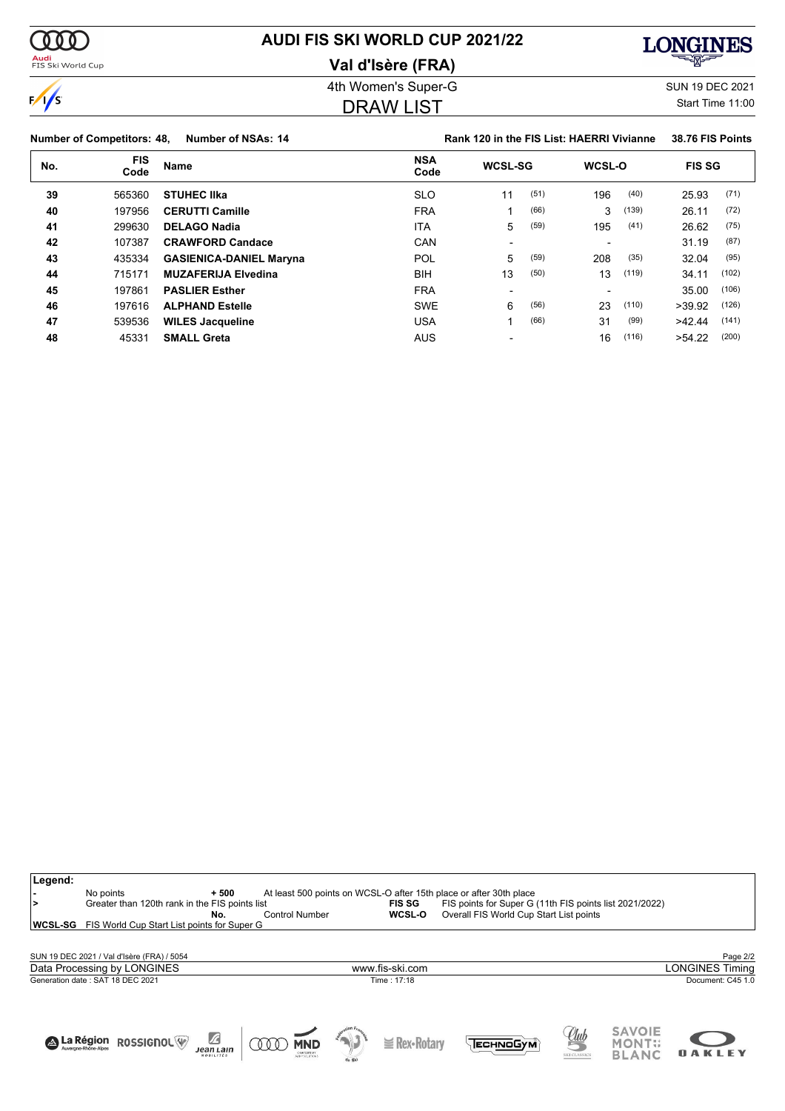

# **AUDI FIS SKI WORLD CUP 2021/22**

### **Val d'Isère (FRA)**



 $\sqrt{s}$ 

**Legend:**

# 4th Women's Super-G Super-G SUN 19 DEC 2021

### DRAW LIST

Start Time 11:00

٦

|     | <b>Number of Competitors: 48,</b> | Number of NSAs: 14             |                    | Rank 120 in the FIS List: HAERRI Vivianne |      |        |       | 38.76 FIS Points |       |
|-----|-----------------------------------|--------------------------------|--------------------|-------------------------------------------|------|--------|-------|------------------|-------|
| No. | <b>FIS</b><br>Code                | <b>Name</b>                    | <b>NSA</b><br>Code | <b>WCSL-SG</b>                            |      | WCSL-O |       | <b>FIS SG</b>    |       |
| 39  | 565360                            | <b>STUHEC IIka</b>             | <b>SLO</b>         | 11                                        | (51) | 196    | (40)  | 25.93            | (71)  |
| 40  | 197956                            | <b>CERUTTI Camille</b>         | <b>FRA</b>         |                                           | (66) | 3      | (139) | 26.11            | (72)  |
| 41  | 299630                            | <b>DELAGO Nadia</b>            | ITA                | 5                                         | (59) | 195    | (41)  | 26.62            | (75)  |
| 42  | 107387                            | <b>CRAWFORD Candace</b>        | CAN                | $\overline{\phantom{0}}$                  |      |        |       | 31.19            | (87)  |
| 43  | 435334                            | <b>GASIENICA-DANIEL Maryna</b> | POL                | 5                                         | (59) | 208    | (35)  | 32.04            | (95)  |
| 44  | 715171                            | <b>MUZAFERIJA Elvedina</b>     | <b>BIH</b>         | 13                                        | (50) | 13     | (119) | 34.11            | (102) |
| 45  | 197861                            | <b>PASLIER Esther</b>          | <b>FRA</b>         | $\overline{\phantom{0}}$                  |      |        |       | 35.00            | (106) |
| 46  | 197616                            | <b>ALPHAND Estelle</b>         | <b>SWE</b>         | 6                                         | (56) | 23     | (110) | >39.92           | (126) |
| 47  | 539536                            | <b>WILES Jacqueline</b>        | USA                |                                           | (66) | 31     | (99)  | >42.44           | (141) |
| 48  | 45331                             | <b>SMALL Greta</b>             | <b>AUS</b>         |                                           |      | 16     | (116) | >54.22           | (200) |

| ∣><br>WCSL-SG | No points<br>Greater than 120th rank in the FIS points list<br>FIS World Cup Start List points for Super G | $+500$<br>No.                        | <b>Control Number</b>                             | <b>FIS SG</b><br>WCSL-O | At least 500 points on WCSL-O after 15th place or after 30th place<br>FIS points for Super G (11th FIS points list 2021/2022)<br>Overall FIS World Cup Start List points |                                    |                                         |                   |
|---------------|------------------------------------------------------------------------------------------------------------|--------------------------------------|---------------------------------------------------|-------------------------|--------------------------------------------------------------------------------------------------------------------------------------------------------------------------|------------------------------------|-----------------------------------------|-------------------|
|               |                                                                                                            |                                      |                                                   |                         |                                                                                                                                                                          |                                    |                                         |                   |
|               | SUN 19 DEC 2021 / Val d'Isère (FRA) / 5054                                                                 |                                      |                                                   |                         |                                                                                                                                                                          |                                    |                                         | Page 2/2          |
|               | Data Processing by LONGINES                                                                                |                                      |                                                   | www.fis-ski.com         |                                                                                                                                                                          |                                    |                                         | ONGINES Timing    |
|               | Generation date: SAT 18 DEC 2021                                                                           |                                      |                                                   | Time: 17:18             |                                                                                                                                                                          |                                    |                                         | Document: C45 1.0 |
|               |                                                                                                            |                                      |                                                   |                         |                                                                                                                                                                          |                                    |                                         |                   |
|               |                                                                                                            |                                      |                                                   |                         |                                                                                                                                                                          |                                    |                                         |                   |
|               | A La Région ROSSIGNOL                                                                                      | $\sqrt{2}$<br>Jean Lain<br>MOBILITÉS | <b>MND</b><br>000<br>CNEDARDLET<br>SANY SOLUTIONS | $\geq$ Rex-Rotary       | <b>ТЕСН ПО СУМ</b>                                                                                                                                                       | <u>elub</u><br><b>SKI CLASSICS</b> | <b>SAVOIE</b><br><b>MONT</b> :<br>BLANC |                   |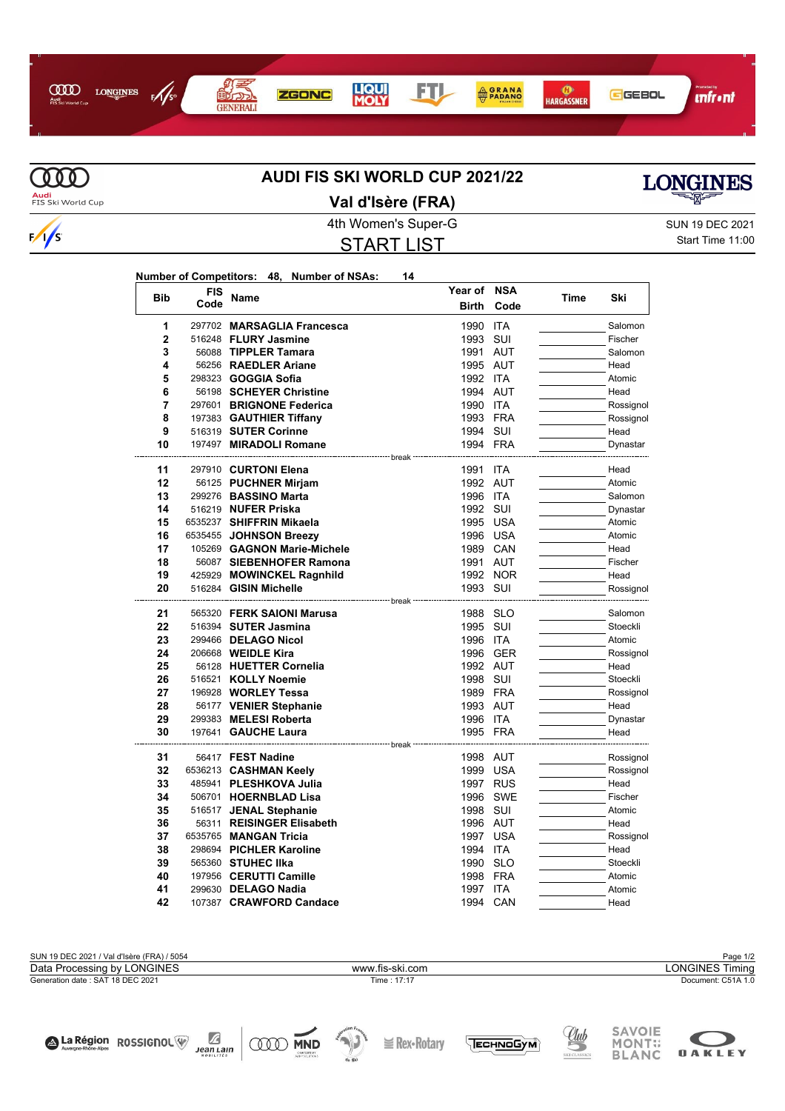



# **AUDI FIS SKI WORLD CUP 2021/22**



**Audi**<br>FIS Ski World Cup

4th Women's Super-G Super-G SUN 19 DEC 2021 **Val d'Isère (FRA)**

START LIST

**Year of NSA**

Start Time 11:00

| Number of Competitors: 48, Number of NSAs: |  |  |  |
|--------------------------------------------|--|--|--|
|--------------------------------------------|--|--|--|

| <b>Bib</b>   | FIS  | Name                                          | Year of      | NSA        | Time | Ski              |
|--------------|------|-----------------------------------------------|--------------|------------|------|------------------|
|              | Code |                                               | <b>Birth</b> | Code       |      |                  |
| 1            |      | 297702 MARSAGLIA Francesca                    | 1990         | <b>ITA</b> |      | Salomon          |
| $\mathbf{2}$ |      | 516248 FLURY Jasmine                          | 1993         | SUI        |      | Fischer          |
| 3            |      | 56088 TIPPLER Tamara                          | 1991         | AUT        |      | Salomon          |
| 4            |      | 56256 RAEDLER Ariane                          | 1995 AUT     |            |      | Head             |
| 5            |      | 298323 <b>GOGGIA Sofia</b>                    | 1992 ITA     |            |      | Atomic           |
| 6            |      | 56198 SCHEYER Christine                       | 1994 AUT     |            |      | Head             |
| 7            |      | 297601 BRIGNONE Federica                      | 1990         | <b>ITA</b> |      | Rossignol        |
| 8            |      | 197383 GAUTHIER Tiffany                       | 1993         | <b>FRA</b> |      | Rossignol        |
| 9            |      | 516319 SUTER Corinne                          | 1994         | SUI        |      | Head             |
| 10           |      | 197497 MIRADOLI Romane                        | 1994 FRA     |            |      | Dynastar         |
| 11           |      | 297910 CURTONI Elena                          | 1991         | <b>ITA</b> |      | Head             |
| 12           |      | 56125 PUCHNER Mirjam                          | 1992 AUT     |            |      | Atomic           |
| 13           |      | 299276 BASSINO Marta                          | 1996 ITA     |            |      | Salomon          |
| 14           |      | 516219 NUFER Priska                           | 1992         | SUI        |      | Dynastar         |
| 15           |      | 6535237 SHIFFRIN Mikaela                      |              | 1995 USA   |      | Atomic           |
| 16           |      | 6535455 JOHNSON Breezy                        |              | 1996 USA   |      | Atomic           |
| 17           |      | 105269 GAGNON Marie-Michele                   | 1989 CAN     |            |      | Head             |
| 18           |      | 56087 SIEBENHOFER Ramona                      | 1991 AUT     |            |      | Fischer          |
| 19           |      | 425929 MOWINCKEL Ragnhild                     |              | 1992 NOR   |      | Head             |
| 20           |      | 516284 GISIN Michelle                         | 1993 SUI     |            |      | Rossignol        |
|              |      |                                               | break        |            |      |                  |
| 21           |      | 565320 FERK SAIONI Marusa                     | 1988         | <b>SLO</b> |      | Salomon          |
| 22           |      | 516394 SUTER Jasmina                          | 1995         | <b>SUI</b> |      | Stoeckli         |
| 23           |      | 299466 DELAGO Nicol                           | 1996 ITA     |            |      | Atomic           |
| 24           |      | 206668 <b>WEIDLE Kira</b>                     |              | 1996 GER   |      | Rossignol        |
| 25           |      | 56128 HUETTER Cornelia                        | 1992 AUT     |            |      | Head             |
| 26           |      | 516521 KOLLY Noemie                           | 1998 SUI     |            |      | Stoeckli         |
| 27           |      | 196928 WORLEY Tessa                           | 1989 FRA     |            |      | Rossignol        |
| 28           |      | 56177 VENIER Stephanie                        | 1993 AUT     |            |      | Head             |
| 29<br>30     |      | 299383 MELESI Roberta                         | 1996 ITA     |            |      | Dynastar<br>Head |
|              |      | 197641 GAUCHE Laura<br>---------------- break | 1995 FRA     |            |      |                  |
| 31           |      | 56417 FEST Nadine                             | 1998 AUT     |            |      | Rossignol        |
| 32           |      | 6536213 CASHMAN Keely                         |              | 1999 USA   |      | Rossignol        |
| 33           |      | 485941 PLESHKOVA Julia                        |              | 1997 RUS   |      | Head             |
| 34           |      | 506701 HOERNBLAD Lisa                         | 1996         | SWE        |      | Fischer          |
| 35           |      | 516517 JENAL Stephanie                        | 1998 SUI     |            |      | Atomic           |
| 36           |      | 56311 REISINGER Elisabeth                     | 1996 AUT     |            |      | Head             |
| 37           |      | 6535765 MANGAN Tricia                         | 1997         | <b>USA</b> |      | Rossignol        |
| 38           |      | 298694 PICHLER Karoline                       | 1994         | <b>ITA</b> |      | Head             |
| 39           |      | 565360 STUHEC IIka                            | 1990         | <b>SLO</b> |      | Stoeckli         |
| 40           |      | 197956 CERUTTI Camille                        | 1998         | <b>FRA</b> |      | Atomic           |
| 41           |      | 299630 DELAGO Nadia                           | 1997         | <b>ITA</b> |      | Atomic           |
| 42           |      | 107387 CRAWFORD Candace                       | 1994         | CAN        |      | Head             |

SUN 19 DEC 2021 / Val d'Isère (FRA) / 5054 Page 1/2<br>Data Processing by LONGINES **Page 1/2**<br>Data Processing by LONGINES Timing Generation date : SAT 18 DEC 2021 Time : 17:17 Document: C51A 1.0 Data Processing by LONGINES www.fis-ski.com

**I** Rex-Rotary

 $\sum_{\substack{\text{year} \\ \text{no} \text{square}} }$ 

**ODD MND** 

A La Région ROSSIGNOL



**OAKLEY** 

<u>Uub</u>

TECHNOGYM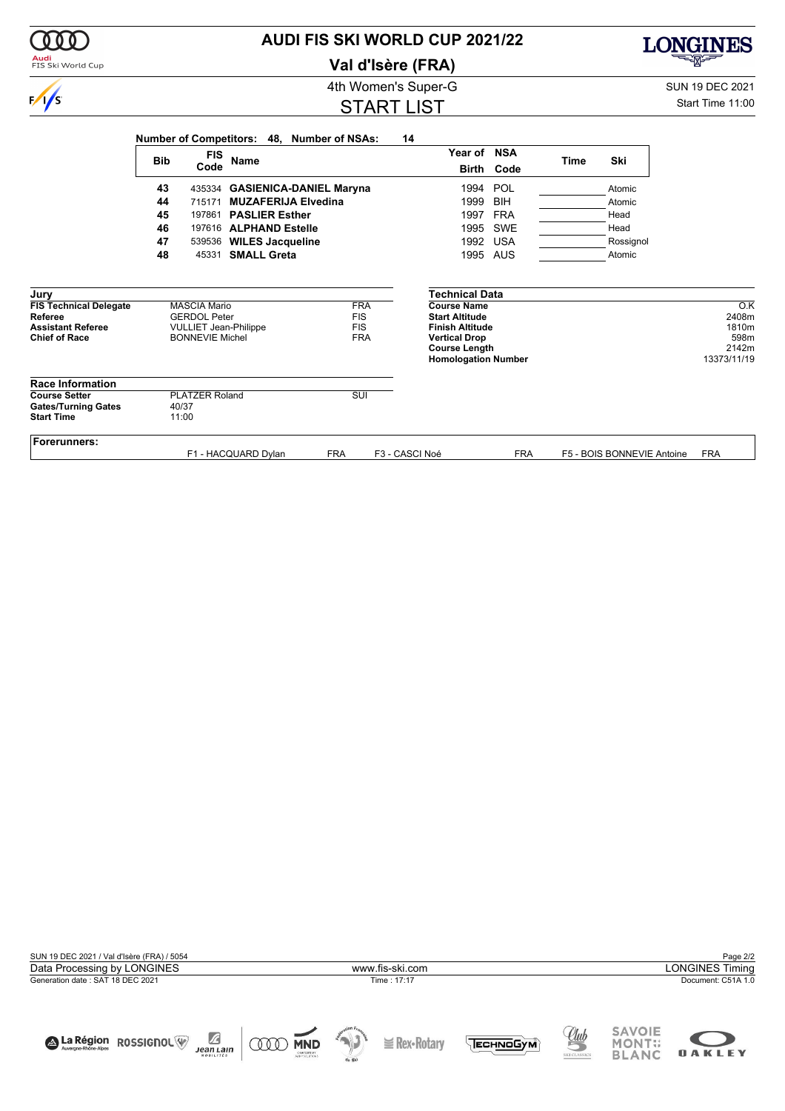| Audi<br>FIS Ski World Cup                        |                |                                                        | Val d'Isère (FRA)        |                                                                            |            |             |                            | <u>alan di</u>       |
|--------------------------------------------------|----------------|--------------------------------------------------------|--------------------------|----------------------------------------------------------------------------|------------|-------------|----------------------------|----------------------|
|                                                  |                | <b>SUN 19 DEC 2021</b>                                 |                          |                                                                            |            |             |                            |                      |
| $\frac{1}{s}$                                    |                |                                                        | <b>START LIST</b>        |                                                                            |            |             |                            | Start Time 11:00     |
|                                                  |                | Number of Competitors: 48,                             | <b>Number of NSAs:</b>   | 14                                                                         |            |             |                            |                      |
|                                                  | <b>Bib</b>     | <b>FIS</b><br><b>Name</b>                              |                          | Year of NSA                                                                |            | <b>Time</b> | Ski                        |                      |
|                                                  |                | Code                                                   |                          |                                                                            | Birth Code |             |                            |                      |
|                                                  | 43             | 435334 GASIENICA-DANIEL Maryna                         |                          | 1994                                                                       | POL        |             | Atomic                     |                      |
|                                                  | 44             | <b>MUZAFERIJA Elvedina</b><br>715171                   |                          | 1999                                                                       | <b>BIH</b> |             | Atomic                     |                      |
|                                                  | 45             | 197861                                                 | <b>PASLIER Esther</b>    |                                                                            | <b>FRA</b> |             | Head                       |                      |
|                                                  | 46             | 197616 ALPHAND Estelle                                 |                          | 1995                                                                       | SWE        |             | Head                       |                      |
|                                                  | 47             | 539536 WILES Jacqueline                                |                          | 1992                                                                       | <b>USA</b> |             | Rossignol                  |                      |
|                                                  | 48             | <b>SMALL Greta</b><br>45331                            |                          | 1995 AUS                                                                   |            |             | Atomic                     |                      |
| Jury                                             |                |                                                        |                          | Technical Data                                                             |            |             |                            |                      |
| <b>FIS Technical Delegate</b>                    |                | <b>MASCIA Mario</b>                                    | <b>FRA</b>               | <b>Course Name</b>                                                         |            |             |                            | $\overline{O.K}$     |
| <b>Referee</b>                                   |                | <b>GERDOL Peter</b>                                    | <b>FIS</b>               | <b>Start Altitude</b>                                                      |            |             |                            | 2408m                |
| <b>Assistant Referee</b><br><b>Chief of Race</b> |                | <b>VULLIET Jean-Philippe</b><br><b>BONNEVIE Michel</b> | <b>FIS</b><br><b>FRA</b> | <b>Finish Altitude</b>                                                     |            |             |                            | 1810m<br>598m        |
|                                                  |                |                                                        |                          | <b>Vertical Drop</b><br><b>Course Length</b><br><b>Homologation Number</b> |            |             |                            | 2142m<br>13373/11/19 |
| <b>Race Information</b>                          |                |                                                        |                          |                                                                            |            |             |                            |                      |
| <b>Course Setter</b>                             |                | <b>PLATZER Roland</b>                                  | SUI                      |                                                                            |            |             |                            |                      |
| <b>Gates/Turning Gates</b><br><b>Start Time</b>  | 40/37<br>11:00 |                                                        |                          |                                                                            |            |             |                            |                      |
| <b>Forerunners:</b>                              |                | F1 - HACQUARD Dylan                                    | <b>FRA</b>               | F3 - CASCI Noé                                                             | <b>FRA</b> |             | F5 - BOIS BONNEVIE Antoine | <b>FRA</b>           |
|                                                  |                |                                                        |                          |                                                                            |            |             |                            |                      |

**AUDI FIS SKI WORLD CUP 2021/22**

| SUN 19 DEC 2021 / Val d'Isère (FRA) / 5054                         |                                                                                              | Page 2/2                                                                                      |  |  |  |
|--------------------------------------------------------------------|----------------------------------------------------------------------------------------------|-----------------------------------------------------------------------------------------------|--|--|--|
| Data Processing by LONGINES                                        | www.fis-ski.com                                                                              | <b>LONGINES Timing</b>                                                                        |  |  |  |
| Generation date: SAT 18 DEC 2021                                   | Time: 17:17                                                                                  | Document: C51A 1.0                                                                            |  |  |  |
| Ø<br>A La Région ROSSIGNOL<br><b>Jean Lain</b><br><b>MOBILITÉS</b> | 45.1<br><b>Rex-Rotan</b><br><b>MND</b><br>ЕСН ОБУМ<br>CNEINSTRIET<br>SANYSOLUTIONS<br>de Ski | <b>SAVOIE</b><br><u>Uub</u><br><b>MONT::</b><br><b>OAKLEY</b><br><b>BLANC</b><br>SKI CLASSICS |  |  |  |



000

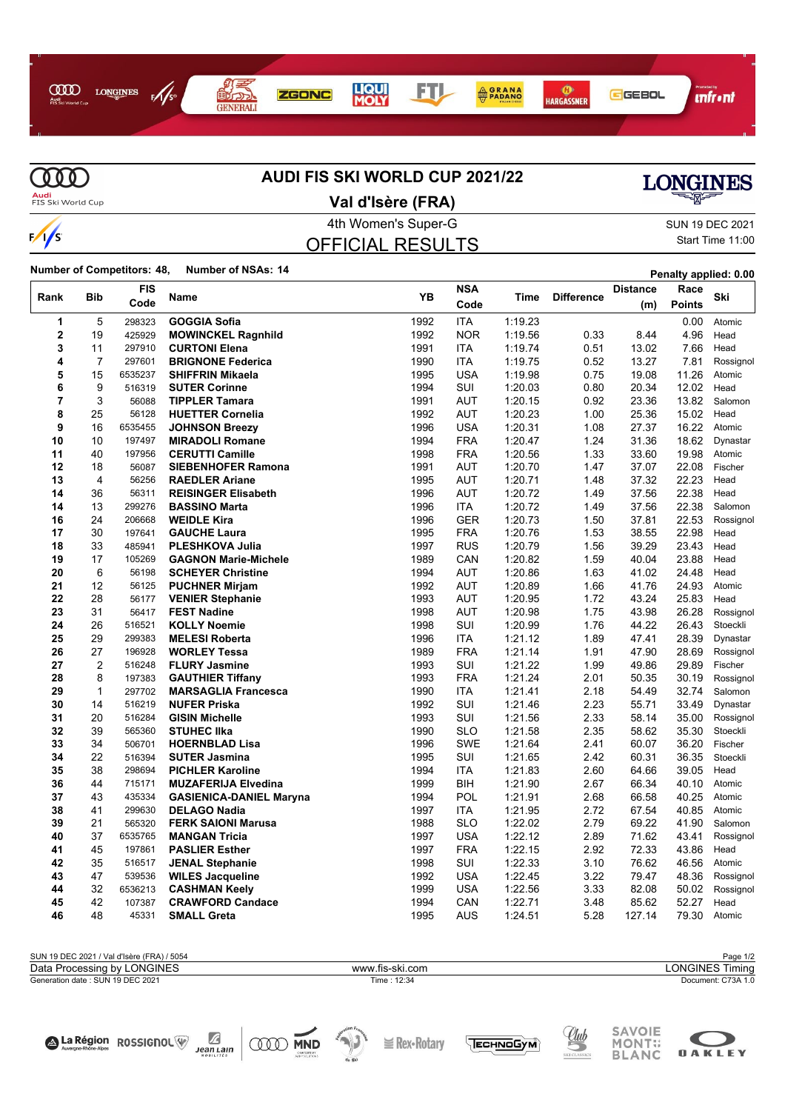



# **AUDI FIS SKI WORLD CUP 2021/22**



**Audi**<br>FIS Ski World Cup

# **Val d'Isère (FRA)**

### 4th Women's Super-G Super-G SUN 19 DEC 2021 OFFICIAL RESULTS

# Start Time 11:00

**Number of Competitors: 48, Number of NSAs: <sup>14</sup> Penalty applied: 0.00**

| Rank                    | <b>Bib</b>     | <b>FIS</b> | <b>Name</b>                    | YB   | <b>NSA</b> | Time    | <b>Difference</b> | <b>Distance</b> | Race          | Ski       |
|-------------------------|----------------|------------|--------------------------------|------|------------|---------|-------------------|-----------------|---------------|-----------|
|                         |                | Code       |                                |      | Code       |         |                   | (m)             | <b>Points</b> |           |
| 1                       | 5              | 298323     | <b>GOGGIA Sofia</b>            | 1992 | <b>ITA</b> | 1:19.23 |                   |                 | 0.00          | Atomic    |
| $\overline{\mathbf{2}}$ | 19             | 425929     | <b>MOWINCKEL Ragnhild</b>      | 1992 | <b>NOR</b> | 1:19.56 | 0.33              | 8.44            | 4.96          | Head      |
| 3                       | 11             | 297910     | <b>CURTONI Elena</b>           | 1991 | <b>ITA</b> | 1:19.74 | 0.51              | 13.02           | 7.66          | Head      |
| 4                       | $\overline{7}$ | 297601     | <b>BRIGNONE Federica</b>       | 1990 | <b>ITA</b> | 1:19.75 | 0.52              | 13.27           | 7.81          | Rossignol |
| 5                       | 15             | 6535237    | <b>SHIFFRIN Mikaela</b>        | 1995 | <b>USA</b> | 1:19.98 | 0.75              | 19.08           | 11.26         | Atomic    |
| 6                       | 9              | 516319     | <b>SUTER Corinne</b>           | 1994 | SUI        | 1:20.03 | 0.80              | 20.34           | 12.02         | Head      |
| $\overline{7}$          | 3              | 56088      | <b>TIPPLER Tamara</b>          | 1991 | <b>AUT</b> | 1:20.15 | 0.92              | 23.36           | 13.82         | Salomon   |
| 8                       | 25             | 56128      | <b>HUETTER Cornelia</b>        | 1992 | <b>AUT</b> | 1:20.23 | 1.00              | 25.36           | 15.02         | Head      |
| 9                       | 16             | 6535455    | <b>JOHNSON Breezy</b>          | 1996 | <b>USA</b> | 1:20.31 | 1.08              | 27.37           | 16.22         | Atomic    |
| 10                      | 10             | 197497     | <b>MIRADOLI Romane</b>         | 1994 | <b>FRA</b> | 1:20.47 | 1.24              | 31.36           | 18.62         | Dynastar  |
| 11                      | 40             | 197956     | <b>CERUTTI Camille</b>         | 1998 | <b>FRA</b> | 1:20.56 | 1.33              | 33.60           | 19.98         | Atomic    |
| 12                      | 18             | 56087      | <b>SIEBENHOFER Ramona</b>      | 1991 | <b>AUT</b> | 1:20.70 | 1.47              | 37.07           | 22.08         | Fischer   |
| 13                      | $\overline{4}$ | 56256      | <b>RAEDLER Ariane</b>          | 1995 | <b>AUT</b> | 1:20.71 | 1.48              | 37.32           | 22.23         | Head      |
| 14                      | 36             | 56311      | <b>REISINGER Elisabeth</b>     | 1996 | <b>AUT</b> | 1:20.72 | 1.49              | 37.56           | 22.38         | Head      |
| 14                      | 13             | 299276     | <b>BASSINO Marta</b>           | 1996 | <b>ITA</b> | 1:20.72 | 1.49              | 37.56           | 22.38         | Salomon   |
| 16                      | 24             | 206668     | <b>WEIDLE Kira</b>             | 1996 | <b>GER</b> | 1:20.73 | 1.50              | 37.81           | 22.53         | Rossignol |
| 17                      | 30             | 197641     | <b>GAUCHE Laura</b>            | 1995 | <b>FRA</b> | 1:20.76 | 1.53              | 38.55           | 22.98         | Head      |
| 18                      | 33             | 485941     | <b>PLESHKOVA Julia</b>         | 1997 | <b>RUS</b> | 1:20.79 | 1.56              | 39.29           | 23.43         | Head      |
| 19                      | 17             | 105269     | <b>GAGNON Marie-Michele</b>    | 1989 | CAN        | 1:20.82 | 1.59              | 40.04           | 23.88         | Head      |
| 20                      | 6              | 56198      | <b>SCHEYER Christine</b>       | 1994 | AUT        | 1:20.86 | 1.63              | 41.02           | 24.48         | Head      |
| 21                      | 12             | 56125      | <b>PUCHNER Mirjam</b>          | 1992 | AUT        | 1:20.89 | 1.66              | 41.76           | 24.93         | Atomic    |
| 22                      | 28             | 56177      | <b>VENIER Stephanie</b>        | 1993 | <b>AUT</b> | 1:20.95 | 1.72              | 43.24           | 25.83         | Head      |
| 23                      | 31             | 56417      | <b>FEST Nadine</b>             | 1998 | <b>AUT</b> | 1:20.98 | 1.75              | 43.98           | 26.28         | Rossignol |
| 24                      | 26             | 516521     | <b>KOLLY Noemie</b>            | 1998 | SUI        | 1:20.99 | 1.76              | 44.22           | 26.43         | Stoeckli  |
| 25                      | 29             | 299383     | <b>MELESI Roberta</b>          | 1996 | <b>ITA</b> | 1:21.12 | 1.89              | 47.41           | 28.39         | Dynastar  |
| 26                      | 27             | 196928     | <b>WORLEY Tessa</b>            | 1989 | <b>FRA</b> | 1:21.14 | 1.91              | 47.90           | 28.69         | Rossignol |
| 27                      | $\overline{2}$ | 516248     | <b>FLURY Jasmine</b>           | 1993 | SUI        | 1:21.22 | 1.99              | 49.86           | 29.89         | Fischer   |
| 28                      | 8              | 197383     | <b>GAUTHIER Tiffany</b>        | 1993 | <b>FRA</b> | 1:21.24 | 2.01              | 50.35           | 30.19         | Rossignol |
| 29                      | 1              | 297702     | <b>MARSAGLIA Francesca</b>     | 1990 | <b>ITA</b> | 1.21.41 | 2.18              | 54.49           | 32.74         | Salomon   |
| 30                      | 14             | 516219     | <b>NUFER Priska</b>            | 1992 | SUI        | 1:21.46 | 2.23              | 55.71           | 33.49         | Dynastar  |
| 31                      | 20             | 516284     | <b>GISIN Michelle</b>          | 1993 | SUI        | 1:21.56 | 2.33              | 58.14           | 35.00         | Rossignol |
| 32                      | 39             | 565360     | <b>STUHEC IIka</b>             | 1990 | <b>SLO</b> | 1:21.58 | 2.35              | 58.62           | 35.30         | Stoeckli  |
| 33                      | 34             | 506701     | <b>HOERNBLAD Lisa</b>          | 1996 | <b>SWE</b> | 1:21.64 | 2.41              | 60.07           | 36.20         | Fischer   |
| 34                      | 22             | 516394     | <b>SUTER Jasmina</b>           | 1995 | SUI        | 1:21.65 | 2.42              | 60.31           | 36.35         | Stoeckli  |
| 35                      | 38             | 298694     | <b>PICHLER Karoline</b>        | 1994 | <b>ITA</b> | 1:21.83 | 2.60              | 64.66           | 39.05         | Head      |
| 36                      | 44             | 715171     | <b>MUZAFERIJA Elvedina</b>     | 1999 | BIH        | 1.21.90 | 2.67              | 66.34           | 40.10         | Atomic    |
| 37                      | 43             | 435334     | <b>GASIENICA-DANIEL Maryna</b> | 1994 | POL        | 1:21.91 | 2.68              | 66.58           | 40.25         | Atomic    |
| 38                      | 41             | 299630     | <b>DELAGO Nadia</b>            | 1997 | <b>ITA</b> | 1:21.95 | 2.72              | 67.54           | 40.85         | Atomic    |
| 39                      | 21             | 565320     | <b>FERK SAIONI Marusa</b>      | 1988 | <b>SLO</b> | 1:22.02 | 2.79              | 69.22           | 41.90         | Salomon   |
| 40                      | 37             | 6535765    | <b>MANGAN Tricia</b>           | 1997 | <b>USA</b> | 1:22.12 | 2.89              | 71.62           | 43.41         | Rossignol |
| 41                      | 45             | 197861     | <b>PASLIER Esther</b>          | 1997 | <b>FRA</b> | 1:22.15 | 2.92              | 72.33           | 43.86         | Head      |
| 42                      | 35             | 516517     | <b>JENAL Stephanie</b>         | 1998 | SUI        | 1:22.33 | 3.10              | 76.62           | 46.56         | Atomic    |
| 43                      | 47             | 539536     | <b>WILES Jacqueline</b>        | 1992 | <b>USA</b> | 1:22.45 | 3.22              | 79.47           | 48.36         | Rossignol |
| 44                      | 32             | 6536213    | <b>CASHMAN Keely</b>           | 1999 | <b>USA</b> | 1:22.56 | 3.33              | 82.08           | 50.02         | Rossignol |
| 45                      | 42             | 107387     | <b>CRAWFORD Candace</b>        | 1994 | CAN        | 1:22.71 | 3.48              | 85.62           | 52.27         | Head      |
| 46                      | 48             | 45331      | <b>SMALL Greta</b>             | 1995 | <b>AUS</b> | 1.24.51 | 5.28              | 127.14          | 79.30         | Atomic    |

| SUN 19 DEC 2021 / Val d'Isère (FRA) / 5054 |                 | Page 1/2               |
|--------------------------------------------|-----------------|------------------------|
| Data Processing by LONGINES                | www.fis-ski.com | <b>LONGINES Timing</b> |
| Generation date: SUN 19 DEC 2021           | Time: 12:34     | Document: C73A 1.0     |
|                                            |                 |                        |
|                                            |                 |                        |
|                                            |                 |                        |





**E** Rex•Rotary





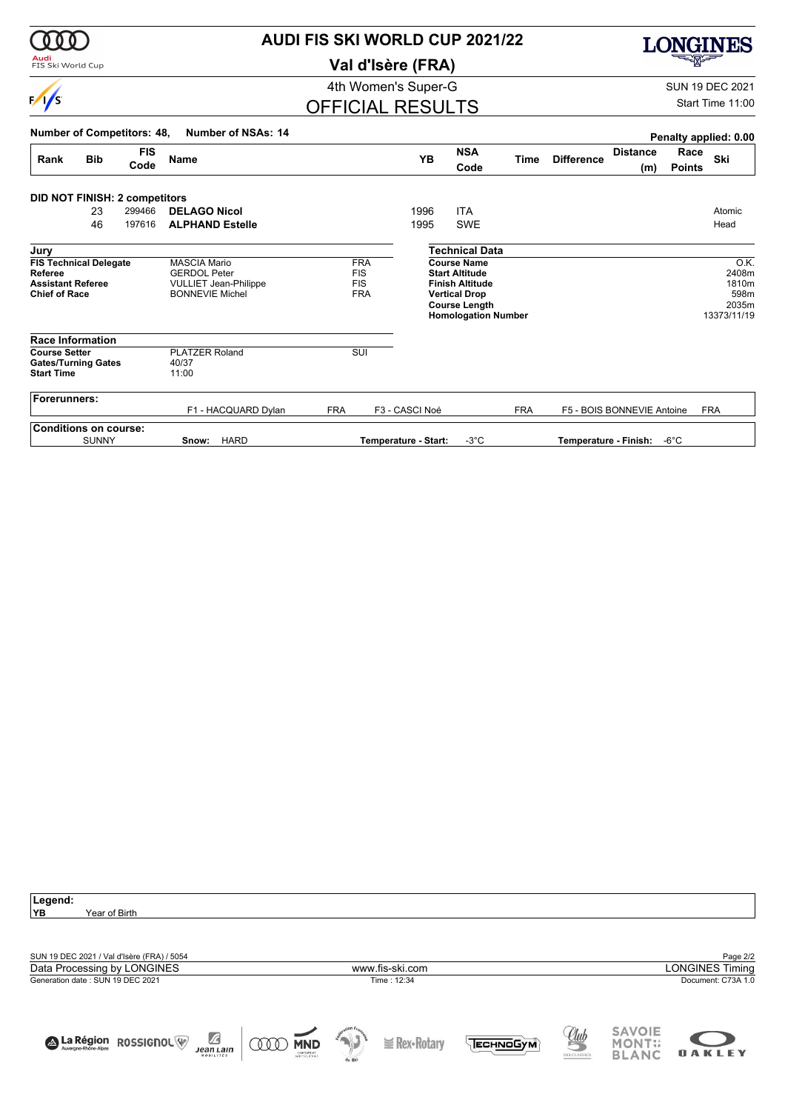|                                                                                                    |                                                           |                    |                                                                                                      | <b>AUDI FIS SKI WORLD CUP 2021/22</b>                |     |                                                                                                                                                                              |                          |             |                       |                            |                       |                                                                     |  |
|----------------------------------------------------------------------------------------------------|-----------------------------------------------------------|--------------------|------------------------------------------------------------------------------------------------------|------------------------------------------------------|-----|------------------------------------------------------------------------------------------------------------------------------------------------------------------------------|--------------------------|-------------|-----------------------|----------------------------|-----------------------|---------------------------------------------------------------------|--|
| FIS Ski World Cup                                                                                  |                                                           |                    |                                                                                                      |                                                      |     | Val d'Isère (FRA)                                                                                                                                                            |                          |             |                       |                            |                       |                                                                     |  |
|                                                                                                    |                                                           |                    |                                                                                                      |                                                      |     | 4th Women's Super-G                                                                                                                                                          |                          |             |                       |                            |                       | <b>SUN 19 DEC 2021</b>                                              |  |
| $\frac{1}{s}$                                                                                      |                                                           |                    |                                                                                                      |                                                      |     | <b>OFFICIAL RESULTS</b>                                                                                                                                                      |                          |             |                       |                            |                       | Start Time 11:00                                                    |  |
| <b>Number of Competitors: 48,</b>                                                                  |                                                           |                    | <b>Number of NSAs: 14</b>                                                                            |                                                      |     |                                                                                                                                                                              |                          |             |                       |                            |                       | Penalty applied: 0.00                                               |  |
| Rank                                                                                               | <b>Bib</b>                                                | <b>FIS</b><br>Code | <b>Name</b>                                                                                          |                                                      |     | <b>YB</b>                                                                                                                                                                    | <b>NSA</b><br>Code       | <b>Time</b> | <b>Difference</b>     | <b>Distance</b><br>(m)     | Race<br><b>Points</b> | Ski                                                                 |  |
| <b>DID NOT FINISH: 2 competitors</b>                                                               | 23<br>46                                                  | 299466<br>197616   | <b>DELAGO Nicol</b><br><b>ALPHAND Estelle</b>                                                        |                                                      |     | 1996<br>1995                                                                                                                                                                 | <b>ITA</b><br><b>SWE</b> |             |                       |                            |                       | Atomic<br>Head                                                      |  |
| Jury<br><b>Referee</b><br><b>Chief of Race</b>                                                     | <b>FIS Technical Delegate</b><br><b>Assistant Referee</b> |                    | <b>MASCIA Mario</b><br><b>GERDOL Peter</b><br><b>VULLIET Jean-Philippe</b><br><b>BONNEVIE Michel</b> | <b>FRA</b><br><b>FIS</b><br><b>FIS</b><br><b>FRA</b> |     | <b>Technical Data</b><br><b>Course Name</b><br><b>Start Altitude</b><br><b>Finish Altitude</b><br><b>Vertical Drop</b><br><b>Course Length</b><br><b>Homologation Number</b> |                          |             |                       |                            |                       | $\overline{O.K.}$<br>2408m<br>1810m<br>598m<br>2035m<br>13373/11/19 |  |
| <b>Race Information</b><br><b>Course Setter</b><br><b>Gates/Turning Gates</b><br><b>Start Time</b> |                                                           |                    | <b>PLATZER Roland</b><br>40/37<br>11:00                                                              |                                                      | SUI |                                                                                                                                                                              |                          |             |                       |                            |                       |                                                                     |  |
| <b>Forerunners:</b>                                                                                |                                                           |                    | F1 - HACQUARD Dylan                                                                                  | <b>FRA</b>                                           |     | F3 - CASCI Noé                                                                                                                                                               |                          | <b>FRA</b>  |                       | F5 - BOIS BONNEVIE Antoine |                       | <b>FRA</b>                                                          |  |
| <b>Conditions on course:</b>                                                                       | <b>SUNNY</b>                                              |                    | <b>HARD</b><br>Snow:                                                                                 |                                                      |     | Temperature - Start:                                                                                                                                                         | $-3^{\circ}$ C           |             | Temperature - Finish: |                            | $-6^{\circ}$ C        |                                                                     |  |

| Legend:                                                   |        |                   |                  |              |               |                        |
|-----------------------------------------------------------|--------|-------------------|------------------|--------------|---------------|------------------------|
| YB.<br>Year of Birth                                      |        |                   |                  |              |               |                        |
|                                                           |        |                   |                  |              |               |                        |
|                                                           |        |                   |                  |              |               |                        |
|                                                           |        |                   |                  |              |               |                        |
| SUN 19 DEC 2021 / Val d'Isère (FRA) / 5054                |        |                   |                  |              |               | Page 2/2               |
| Data Processing by LONGINES                               |        | www.fis-ski.com   |                  |              |               | <b>LONGINES Timing</b> |
| Generation date: SUN 19 DEC 2021                          |        | Time: 12:34       |                  |              |               | Document: C73A 1.0     |
|                                                           |        |                   |                  |              |               |                        |
|                                                           |        |                   |                  |              |               |                        |
|                                                           |        |                   |                  |              |               |                        |
|                                                           |        |                   |                  |              | <b>SAVOIE</b> |                        |
| $\mathbb Z$<br>A La Région ROSSIGNOL<br><b>MND</b><br>000 |        | $\leq$ Rex-Rotary | <b>ЕСН ПОСУМ</b> | <u>Uub</u>   | <b>MONT::</b> |                        |
| <b>Jean Lain</b><br>CNEOMETRET<br>HOBILITÉS               |        |                   |                  | SKI CLASSICS | <b>BLANC</b>  | <b>OAKLEY</b>          |
|                                                           | de Ski |                   |                  |              |               |                        |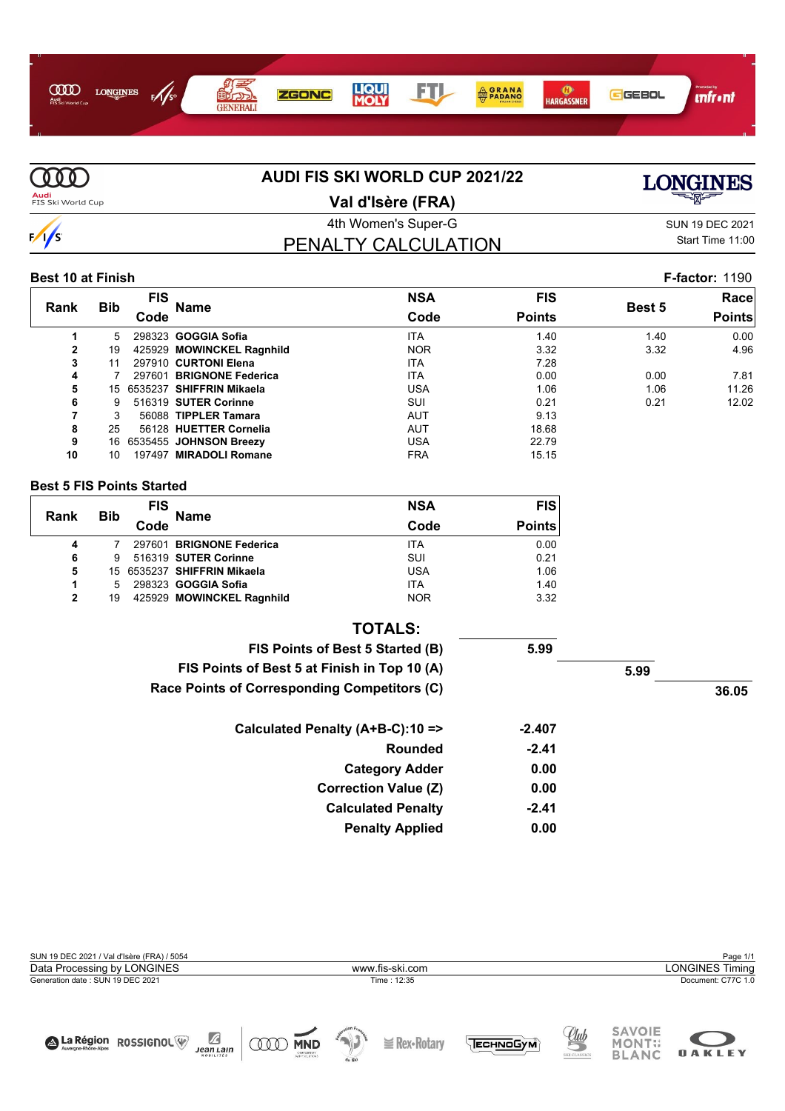



#### **Best 10 at Finish F-factor:** 1190

|              |            | <b>FIS</b> |                           | <b>NSA</b> | <b>FIS</b>    |               | Race          |
|--------------|------------|------------|---------------------------|------------|---------------|---------------|---------------|
| <b>Rank</b>  | <b>Bib</b> | Code       | Name                      | Code       | <b>Points</b> | <b>Best 5</b> | <b>Points</b> |
|              | 5.         |            | 298323 GOGGIA Sofia       | <b>ITA</b> | 1.40          | 1.40          | 0.00          |
| $\mathbf{2}$ | 19         |            | 425929 MOWINCKEL Ragnhild | <b>NOR</b> | 3.32          | 3.32          | 4.96          |
| 3            | 11         |            | 297910 CURTONI Elena      | <b>ITA</b> | 7.28          |               |               |
| 4            |            |            | 297601 BRIGNONE Federica  | <b>ITA</b> | 0.00          | 0.00          | 7.81          |
| 5            | 15         |            | 6535237 SHIFFRIN Mikaela  | <b>USA</b> | 1.06          | 1.06          | 11.26         |
| 6            | 9          |            | 516319 SUTER Corinne      | SUI        | 0.21          | 0.21          | 12.02         |
| 7            | 3          |            | 56088 TIPPLER Tamara      | <b>AUT</b> | 9.13          |               |               |
| 8            | 25         |            | 56128 HUETTER Cornelia    | <b>AUT</b> | 18.68         |               |               |
| 9            |            |            | 16 6535455 JOHNSON Breezy | <b>USA</b> | 22.79         |               |               |
| 10           | 10         |            | 197497 MIRADOLI Romane    | <b>FRA</b> | 15.15         |               |               |
|              |            |            |                           |            |               |               |               |

#### **Best 5 FIS Points Started**

| Rank | <b>Bib</b> | <b>FIS</b> | <b>Name</b>                 | <b>NSA</b> | F(S)          |
|------|------------|------------|-----------------------------|------------|---------------|
|      |            | Code       |                             | Code       | <b>Points</b> |
| 4    |            |            | 297601 BRIGNONE Federica    | <b>ITA</b> | 0.00          |
| 6    | 9          |            | 516319 SUTER Corinne        | SUI        | 0.21          |
| 5    |            |            | 15 6535237 SHIFFRIN Mikaela | <b>USA</b> | 1.06          |
| 1    | 5          |            | 298323 GOGGIA Sofia         | <b>ITA</b> | 1.40          |
| 2    | 19         |            | 425929 MOWINCKEL Ragnhild   | <b>NOR</b> | 3.32          |

| <b>TOTALS:</b>                               |          |      |       |
|----------------------------------------------|----------|------|-------|
| FIS Points of Best 5 Started (B)             | 5.99     |      |       |
| FIS Points of Best 5 at Finish in Top 10 (A) |          | 5.99 |       |
| Race Points of Corresponding Competitors (C) |          |      | 36.05 |
| Calculated Penalty (A+B-C):10 =>             | $-2.407$ |      |       |
| <b>Rounded</b>                               | $-2.41$  |      |       |
| <b>Category Adder</b>                        | 0.00     |      |       |
| <b>Correction Value (Z)</b>                  | 0.00     |      |       |
| <b>Calculated Penalty</b>                    | $-2.41$  |      |       |
| <b>Penalty Applied</b>                       | 0.00     |      |       |

| SUN 19 DEC 2021 / Val d'Isère (FRA) / 5054 |  |                 |          |               |                        |  |  |  |  |
|--------------------------------------------|--|-----------------|----------|---------------|------------------------|--|--|--|--|
| Data Processing by LONGINES                |  | www.fis-ski.com |          |               | <b>LONGINES Timing</b> |  |  |  |  |
| Generation date: SUN 19 DEC 2021           |  | Time: 12:35     |          |               | Document: C77C 1.0     |  |  |  |  |
|                                            |  |                 | $Q_{ll}$ | <b>SAVOIE</b> |                        |  |  |  |  |





MONT:;<br>BLANC









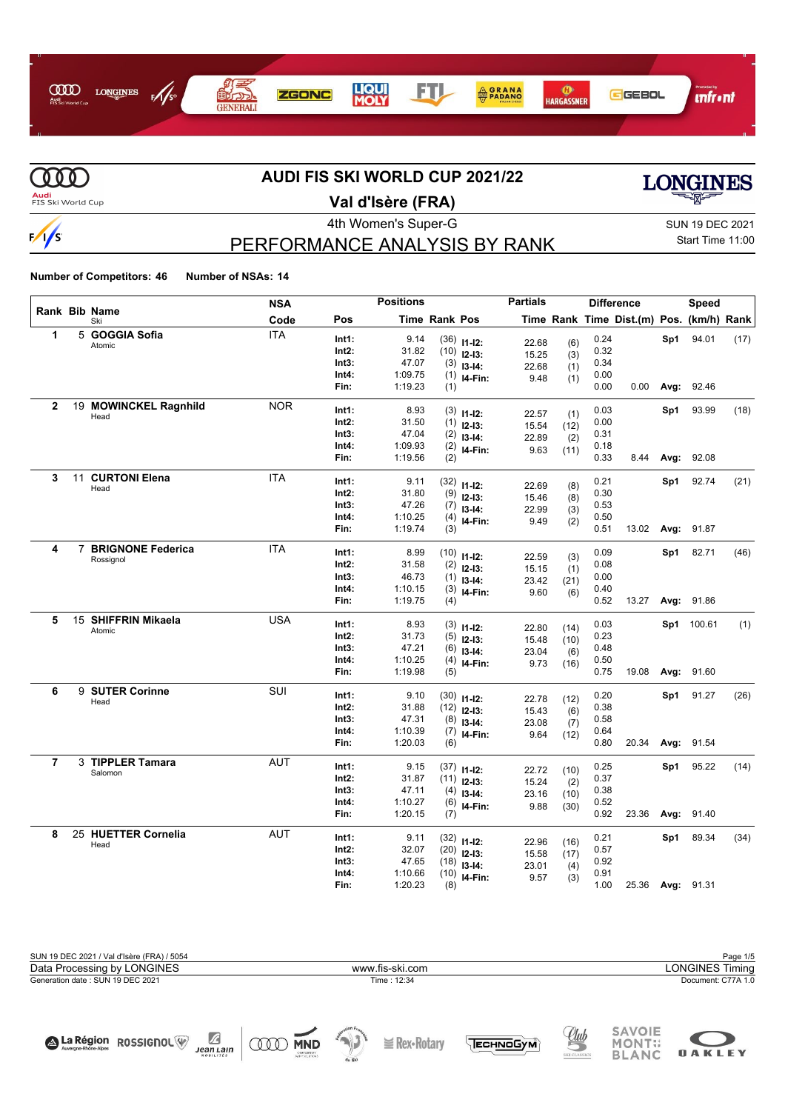



# **AUDI FIS SKI WORLD CUP 2021/22**



**OAKLEY** 

**Audi**<br>FIS Ski World Cup

# **Val d'Isère (FRA)**

4th Women's Super-G Super-G SUN 19 DEC 2021 PERFORMANCE ANALYSIS BY RANK

# Start Time 11:00

**Number of Competitors: 46 Number of NSAs: 14**

|              |    |                          | NSA        |       | <b>Positions</b> |                      |                              | <b>Partials</b> |      |      | <b>Difference</b>                        |      | Speed      |      |
|--------------|----|--------------------------|------------|-------|------------------|----------------------|------------------------------|-----------------|------|------|------------------------------------------|------|------------|------|
|              |    | Rank Bib Name<br>Ski     | Code       | Pos   |                  | <b>Time Rank Pos</b> |                              |                 |      |      | Time Rank Time Dist.(m) Pos. (km/h) Rank |      |            |      |
| 1            |    | 5 GOGGIA Sofia           | <b>ITA</b> | Int1: | 9.14             |                      | $(36)$ 11-12:                | 22.68           | (6)  | 0.24 |                                          | Sp1  | 94.01      | (17) |
|              |    | Atomic                   |            | Int2: | 31.82            |                      | $(10)$ 12-13:                | 15.25           | (3)  | 0.32 |                                          |      |            |      |
|              |    |                          |            | Int3: | 47.07            |                      | $(3)$ 13-14:                 | 22.68           | (1)  | 0.34 |                                          |      |            |      |
|              |    |                          |            | Int4: | 1:09.75          |                      | $(1)$ 14-Fin:                | 9.48            | (1)  | 0.00 |                                          |      |            |      |
|              |    |                          |            | Fin:  | 1:19.23          | (1)                  |                              |                 |      | 0.00 | 0.00                                     | Avg: | 92.46      |      |
| $\mathbf{2}$ |    | 19 MOWINCKEL Ragnhild    | <b>NOR</b> | Int1: | 8.93             |                      |                              |                 |      | 0.03 |                                          | Sp1  | 93.99      | (18) |
|              |    | Head                     |            | Int2: | 31.50            |                      | $(3)$ 11-12:                 | 22.57           | (1)  | 0.00 |                                          |      |            |      |
|              |    |                          |            | Int3: | 47.04            |                      | $(1)$ 12-13:<br>$(2)$ 13-14: | 15.54           | (12) | 0.31 |                                          |      |            |      |
|              |    |                          |            | Int4: | 1:09.93          |                      | $(2)$ 14-Fin:                | 22.89           | (2)  | 0.18 |                                          |      |            |      |
|              |    |                          |            | Fin:  | 1:19.56          | (2)                  |                              | 9.63            | (11) | 0.33 | 8.44                                     | Avg: | 92.08      |      |
| 3            | 11 | <b>CURTONI Elena</b>     | <b>ITA</b> | Int1: | 9.11             |                      |                              |                 |      | 0.21 |                                          |      | 92.74      |      |
|              |    | Head                     |            | Int2: | 31.80            |                      | $(32)$ 11-12:                | 22.69           | (8)  | 0.30 |                                          | Sp1  |            | (21) |
|              |    |                          |            | Int3: | 47.26            |                      | $(9)$ 12-13:                 | 15.46           | (8)  | 0.53 |                                          |      |            |      |
|              |    |                          |            | Int4: | 1:10.25          |                      | $(7)$ 13-14:                 | 22.99           | (3)  | 0.50 |                                          |      |            |      |
|              |    |                          |            | Fin:  | 1:19.74          | (3)                  | $(4)$ 14-Fin:                | 9.49            | (2)  | 0.51 | 13.02                                    | Avg: | 91.87      |      |
|              |    |                          |            |       |                  |                      |                              |                 |      |      |                                          |      |            |      |
| 4            | 7  | <b>BRIGNONE Federica</b> | <b>ITA</b> | Int1: | 8.99             |                      | $(10)$ 11-12:                | 22.59           | (3)  | 0.09 |                                          | Sp1  | 82.71      | (46) |
|              |    | Rossignol                |            | Int2: | 31.58            |                      | $(2)$ 12-13:                 | 15.15           | (1)  | 0.08 |                                          |      |            |      |
|              |    |                          |            | Int3: | 46.73            |                      | $(1)$ 13-14:                 | 23.42           | (21) | 0.00 |                                          |      |            |      |
|              |    |                          |            | Int4: | 1:10.15          |                      | $(3)$ 14-Fin:                | 9.60            | (6)  | 0.40 |                                          |      |            |      |
|              |    |                          |            | Fin:  | 1:19.75          | (4)                  |                              |                 |      | 0.52 | 13.27                                    | Avg: | 91.86      |      |
| 5            |    | 15 SHIFFRIN Mikaela      | <b>USA</b> | Int1: | 8.93             |                      |                              |                 |      | 0.03 |                                          |      | Sp1 100.61 | (1)  |
|              |    | Atomic                   |            | Int2: | 31.73            | (5)                  | $(3)$ 11-12:                 | 22.80           | (14) | 0.23 |                                          |      |            |      |
|              |    |                          |            | Int3: | 47.21            | (6)                  | $12-13:$                     | 15.48           | (10) | 0.48 |                                          |      |            |      |
|              |    |                          |            | Int4: | 1:10.25          | (4)                  | $13-14:$                     | 23.04           | (6)  | 0.50 |                                          |      |            |      |
|              |    |                          |            | Fin:  | 1:19.98          | (5)                  | I4-Fin:                      | 9.73            | (16) | 0.75 | 19.08                                    | Avg: | 91.60      |      |
| 6            |    | 9 SUTER Corinne          | <b>SUI</b> |       |                  |                      |                              |                 |      |      |                                          |      |            |      |
|              |    | Head                     |            | Int1: | 9.10             |                      | $(30)$ 11-12:                | 22.78           | (12) | 0.20 |                                          |      | Sp1 91.27  | (26) |
|              |    |                          |            | Int2: | 31.88            |                      | $(12)$ 12-13:                | 15.43           | (6)  | 0.38 |                                          |      |            |      |
|              |    |                          |            | Int3: | 47.31            |                      | $(8)$ 13-14:                 | 23.08           | (7)  | 0.58 |                                          |      |            |      |
|              |    |                          |            | Int4: | 1:10.39          |                      | $(7)$ 14-Fin:                | 9.64            | (12) | 0.64 |                                          |      |            |      |
|              |    |                          |            | Fin:  | 1:20.03          | (6)                  |                              |                 |      | 0.80 | 20.34                                    |      | Avg: 91.54 |      |
| 7            |    | 3 TIPPLER Tamara         | <b>AUT</b> | Int1: | 9.15             |                      | $(37)$ 11-12:                | 22.72           | (10) | 0.25 |                                          | Sp1  | 95.22      | (14) |
|              |    | Salomon                  |            | Int2: | 31.87            |                      | $(11)$ 12-13:                | 15.24           | (2)  | 0.37 |                                          |      |            |      |
|              |    |                          |            | Int3: | 47.11            |                      | $(4)$ 13-14:                 | 23.16           | (10) | 0.38 |                                          |      |            |      |
|              |    |                          |            | Int4: | 1:10.27          |                      | $(6)$ 14-Fin:                | 9.88            | (30) | 0.52 |                                          |      |            |      |
|              |    |                          |            | Fin:  | 1:20.15          | (7)                  |                              |                 |      | 0.92 | 23.36                                    | Avg: | 91.40      |      |
| 8            |    | 25 HUETTER Cornelia      | <b>AUT</b> | Int1: | 9.11             |                      | $(32)$ 11-12:                | 22.96           | (16) | 0.21 |                                          | Sp1  | 89.34      | (34) |
|              |    | Head                     |            | Int2: | 32.07            |                      | $(20)$ 12-13:                | 15.58           | (17) | 0.57 |                                          |      |            |      |
|              |    |                          |            | Int3: | 47.65            |                      | $(18)$ 13-14:                | 23.01           | (4)  | 0.92 |                                          |      |            |      |
|              |    |                          |            | Int4: | 1:10.66          |                      | $(10)$ 14-Fin:               | 9.57            | (3)  | 0.91 |                                          |      |            |      |
|              |    |                          |            | Fin:  | 1:20.23          | (8)                  |                              |                 |      | 1.00 | 25.36                                    |      | Avg: 91.31 |      |



 $Jean Lain$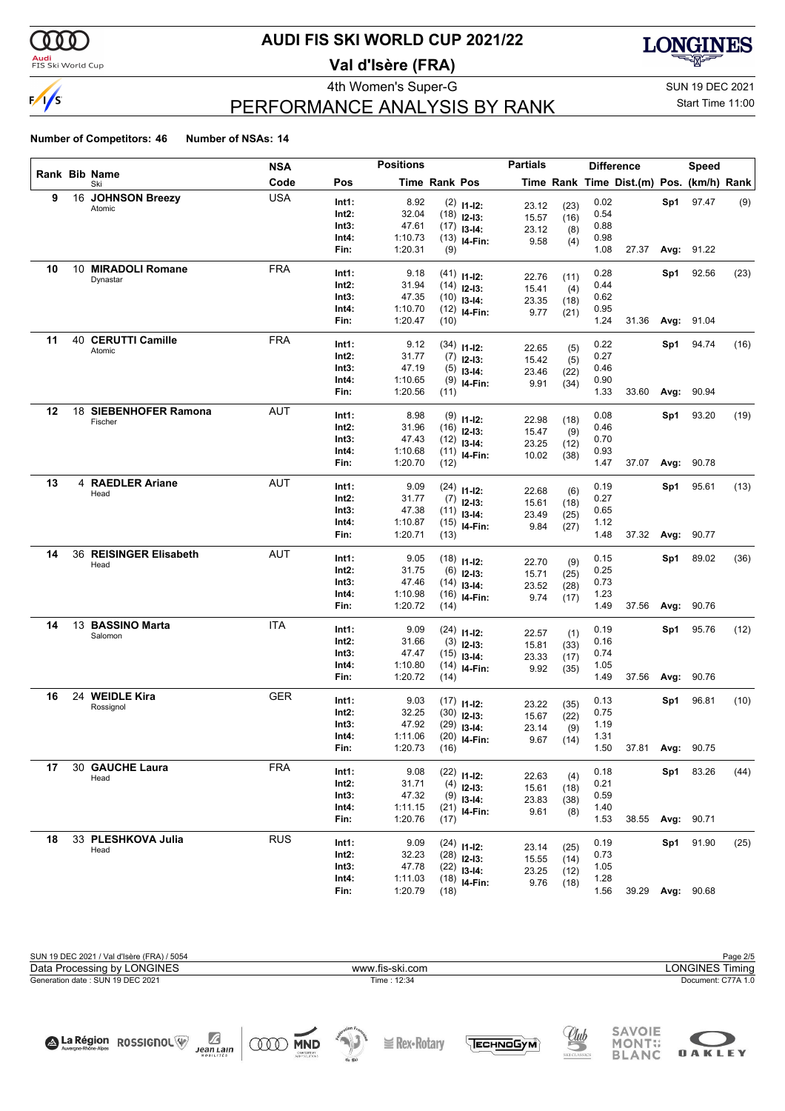

#### **Audi**<br>FIS Ski World Cup

### **AUDI FIS SKI WORLD CUP 2021/22**

**Val d'Isère (FRA)**



## PERFORMANCE ANALYSIS BY RANK

4th Women's Super-G Super-G SUN 19 DEC 2021 Start Time 11:00

**OAKLEY** 

#### **Number of Competitors: 46 Number of NSAs: 14**

|    |                             | <b>NSA</b> |                | <b>Positions</b>   |                      |                                 | <b>Partials</b> |              |              | <b>Difference</b>                        |      | <b>Speed</b>      |      |
|----|-----------------------------|------------|----------------|--------------------|----------------------|---------------------------------|-----------------|--------------|--------------|------------------------------------------|------|-------------------|------|
|    | Rank Bib Name<br>Ski        | Code       | Pos            |                    | <b>Time Rank Pos</b> |                                 |                 |              |              | Time Rank Time Dist.(m) Pos. (km/h) Rank |      |                   |      |
| 9  | 16 JOHNSON Breezy           | <b>USA</b> | Int1:          | 8.92               |                      | $(2)$ 11-12:                    |                 |              | 0.02         |                                          |      | Sp1 97.47         | (9)  |
|    | Atomic                      |            | Int2:          | 32.04              |                      | $(18)$ 12-13:                   | 23.12<br>15.57  | (23)<br>(16) | 0.54         |                                          |      |                   |      |
|    |                             |            | Int3:          | 47.61              |                      | $(17)$ 13-14:                   | 23.12           | (8)          | 0.88         |                                          |      |                   |      |
|    |                             |            | Int4:          | 1:10.73            |                      | $(13)$ 14-Fin:                  | 9.58            | (4)          | 0.98         |                                          |      |                   |      |
|    |                             |            | Fin:           | 1:20.31            | (9)                  |                                 |                 |              | 1.08         | 27.37                                    |      | <b>Avg: 91.22</b> |      |
| 10 | 10 MIRADOLI Romane          | <b>FRA</b> | Int1:          | 9.18               |                      | $(41)$ 11-12:                   |                 |              | 0.28         |                                          | Sp1  | 92.56             | (23) |
|    | Dynastar                    |            | Int2:          | 31.94              |                      | $(14)$ 12-13:                   | 22.76           | (11)         | 0.44         |                                          |      |                   |      |
|    |                             |            | Int3:          | 47.35              |                      | $(10)$ 13-14:                   | 15.41           | (4)          | 0.62         |                                          |      |                   |      |
|    |                             |            | Int4:          | 1:10.70            |                      | $(12)$ 14-Fin:                  | 23.35           | (18)         | 0.95         |                                          |      |                   |      |
|    |                             |            | Fin:           | 1:20.47            | (10)                 |                                 | 9.77            | (21)         | 1.24         | 31.36                                    |      | Avg: 91.04        |      |
| 11 | 40 CERUTTI Camille          | <b>FRA</b> |                |                    |                      |                                 |                 |              |              |                                          |      |                   |      |
|    | Atomic                      |            | Int1:          | 9.12               |                      | $(34)$ 11-12:                   | 22.65           | (5)          | 0.22         |                                          | Sp1  | 94.74             | (16) |
|    |                             |            | Int2:          | 31.77              |                      | $(7)$ 12-13:                    | 15.42           | (5)          | 0.27         |                                          |      |                   |      |
|    |                             |            | Int3:          | 47.19              |                      | $(5)$ 13-14:                    | 23.46           | (22)         | 0.46         |                                          |      |                   |      |
|    |                             |            | Int4:<br>Fin:  | 1:10.65            |                      | $(9)$ 14-Fin:                   | 9.91            | (34)         | 0.90         |                                          |      |                   |      |
|    |                             |            |                | 1:20.56            | (11)                 |                                 |                 |              | 1.33         | 33.60                                    |      | Avg: 90.94        |      |
| 12 | 18 SIEBENHOFER Ramona       | <b>AUT</b> | Int1:          | 8.98               |                      | $(9)$ 11-12:                    | 22.98           | (18)         | 0.08         |                                          | Sp1  | 93.20             | (19) |
|    | Fischer                     |            | Int2:          | 31.96              |                      | $(16)$ 12-13:                   | 15.47           | (9)          | 0.46         |                                          |      |                   |      |
|    |                             |            | Int3:          | 47.43              |                      | $(12)$ 13-14:                   | 23.25           | (12)         | 0.70         |                                          |      |                   |      |
|    |                             |            | Int4:          | 1:10.68            |                      | $(11)$ 14-Fin:                  | 10.02           | (38)         | 0.93         |                                          |      |                   |      |
|    |                             |            | Fin:           | 1:20.70            | (12)                 |                                 |                 |              | 1.47         | 37.07                                    | Avg: | 90.78             |      |
| 13 | 4 RAEDLER Ariane            | <b>AUT</b> | Int1:          | 9.09               |                      |                                 |                 |              | 0.19         |                                          | Sp1  | 95.61             | (13) |
|    | Head                        |            | Int2:          | 31.77              |                      | $(24)$ 11-12:                   | 22.68           | (6)          | 0.27         |                                          |      |                   |      |
|    |                             |            | Int3:          | 47.38              |                      | $(7)$ 12-13:                    | 15.61           | (18)         | 0.65         |                                          |      |                   |      |
|    |                             |            | Int4:          | 1:10.87            |                      | $(11)$ 13-14:<br>$(15)$ 14-Fin: | 23.49           | (25)         | 1.12         |                                          |      |                   |      |
|    |                             |            | Fin:           | 1:20.71            | (13)                 |                                 | 9.84            | (27)         | 1.48         | 37.32                                    |      | Avg: 90.77        |      |
| 14 | 36 REISINGER Elisabeth      | AUT        |                |                    |                      |                                 |                 |              |              |                                          |      |                   |      |
|    | Head                        |            | Int1:          | 9.05               |                      | $(18)$ 11-12:                   | 22.70           | (9)          | 0.15         |                                          | Sp1  | 89.02             | (36) |
|    |                             |            | Int2:          | 31.75              |                      | $(6)$ 12-13:                    | 15.71           | (25)         | 0.25         |                                          |      |                   |      |
|    |                             |            | Int3:          | 47.46              |                      | $(14)$ 13-14:                   | 23.52           | (28)         | 0.73         |                                          |      |                   |      |
|    |                             |            | Int4:<br>Fin:  | 1:10.98<br>1:20.72 | (14)                 | $(16)$ 14-Fin:                  | 9.74            | (17)         | 1.23<br>1.49 | 37.56                                    |      | <b>Avg: 90.76</b> |      |
|    |                             |            |                |                    |                      |                                 |                 |              |              |                                          |      |                   |      |
| 14 | 13 BASSINO Marta<br>Salomon | <b>ITA</b> | Int1:          | 9.09               |                      | $(24)$ 11-12:                   | 22.57           | (1)          | 0.19         |                                          | Sp1  | 95.76             | (12) |
|    |                             |            | Int2:          | 31.66              |                      | $(3)$ 12-13:                    | 15.81           | (33)         | 0.16         |                                          |      |                   |      |
|    |                             |            | Int3:          | 47.47              |                      | $(15)$ 13-14:                   | 23.33           | (17)         | 0.74         |                                          |      |                   |      |
|    |                             |            | Int4:          | 1:10.80            |                      | $(14)$ 14-Fin:                  | 9.92            | (35)         | 1.05         |                                          |      |                   |      |
|    |                             |            | Fin:           | 1:20.72            | (14)                 |                                 |                 |              | 1.49         | 37.56                                    | Avg: | 90.76             |      |
| 16 | 24 WEIDLE Kira              | <b>GER</b> | Int1:          | 9.03               |                      | $(17)$ 11-12:                   | 23.22           | (35)         | 0.13         |                                          | Sp1  | 96.81             | (10) |
|    | Rossignol                   |            | Int2:          | 32.25              |                      | $(30)$ 12-13:                   | 15.67           | (22)         | 0.75         |                                          |      |                   |      |
|    |                             |            | Int3:          | 47.92              |                      | $(29)$ 13-14:                   | 23.14           | (9)          | 1.19         |                                          |      |                   |      |
|    |                             |            | Int4:          | 1:11.06            |                      | $(20)$ 14-Fin:                  | 9.67            | (14)         | 1.31         |                                          |      |                   |      |
|    |                             |            | Fin:           | 1:20.73            | (16)                 |                                 |                 |              | 1.50         | 37.81 Avg: 90.75                         |      |                   |      |
| 17 | 30 GAUCHE Laura             | <b>FRA</b> |                | 9.08               |                      |                                 |                 |              |              |                                          |      |                   |      |
|    | Head                        |            | Int1:<br>Int2: | 31.71              |                      | $(22)$ 11-12:                   | 22.63           | (4)          | 0.18<br>0.21 |                                          |      | Sp1 83.26         | (44) |
|    |                             |            | Int3:          | 47.32              |                      | $(4)$ 12-13:                    | 15.61           | (18)         | 0.59         |                                          |      |                   |      |
|    |                             |            | Int4:          | 1:11.15            |                      | $(9)$ 13-14:                    | 23.83           | (38)         | 1.40         |                                          |      |                   |      |
|    |                             |            | Fin:           | 1:20.76            | (17)                 | $(21)$ 14-Fin:                  | 9.61            | (8)          | 1.53         | 38.55                                    |      | <b>Avg: 90.71</b> |      |
|    |                             |            |                |                    |                      |                                 |                 |              |              |                                          |      |                   |      |
| 18 | 33 PLESHKOVA Julia<br>Head  | <b>RUS</b> | Int1:          | 9.09               |                      | $(24)$ 11-12:                   | 23.14           | (25)         | 0.19         |                                          |      | Sp1 91.90         | (25) |
|    |                             |            | Int2:          | 32.23              |                      | $(28)$ 12-13:                   | 15.55           | (14)         | 0.73         |                                          |      |                   |      |
|    |                             |            | Int3:          | 47.78              |                      | $(22)$ 13-14:                   | 23.25           | (12)         | 1.05         |                                          |      |                   |      |
|    |                             |            | Int4:          | 1:11.03            |                      | $(18)$ 14-Fin:                  | 9.76            | (18)         | 1.28         |                                          |      |                   |      |
|    |                             |            | Fin:           | 1:20.79            | (18)                 |                                 |                 |              | 1.56         |                                          |      | 39.29 Avg: 90.68  |      |

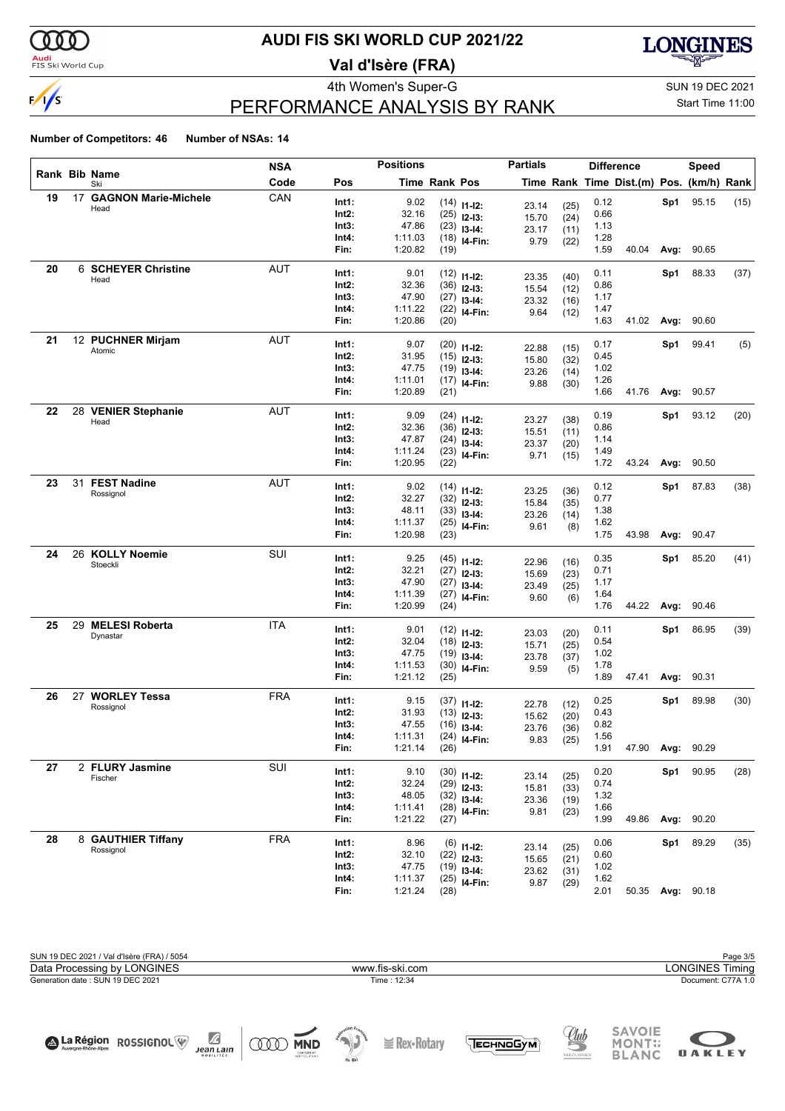

#### **Audi**<br>FIS Ski World Cup

## **AUDI FIS SKI WORLD CUP 2021/22**

**Val d'Isère (FRA)**



## PERFORMANCE ANALYSIS BY RANK

4th Women's Super-G Super-G SUN 19 DEC 2021 Start Time 11:00

**OAKLEY** 

#### **Number of Competitors: 46 Number of NSAs: 14**

| Rank Bib Name |                         | <b>NSA</b> |               | <b>Positions</b>   |                      |                                | <b>Partials</b> |              |              | <b>Difference</b>                        |      | <b>Speed</b>     |      |
|---------------|-------------------------|------------|---------------|--------------------|----------------------|--------------------------------|-----------------|--------------|--------------|------------------------------------------|------|------------------|------|
|               | Ski                     | Code       | Pos           |                    | <b>Time Rank Pos</b> |                                |                 |              |              | Time Rank Time Dist.(m) Pos. (km/h) Rank |      |                  |      |
| 19            | 17 GAGNON Marie-Michele | CAN        | Int1:         | 9.02               |                      | $(14)$ 11-12:                  | 23.14           | (25)         | 0.12         |                                          | Sp1  | 95.15            | (15) |
|               | Head                    |            | Int2:         | 32.16              |                      | $(25)$ 12-13:                  | 15.70           | (24)         | 0.66         |                                          |      |                  |      |
|               |                         |            | Int3:         | 47.86              |                      | $(23)$ 13-14:                  | 23.17           | (11)         | 1.13         |                                          |      |                  |      |
|               |                         |            | Int4:         | 1:11.03            |                      | $(18)$ 14-Fin:                 | 9.79            | (22)         | 1.28         |                                          |      |                  |      |
|               |                         |            | Fin:          | 1:20.82            | (19)                 |                                |                 |              | 1.59         | 40.04                                    | Avg: | 90.65            |      |
| 20            | 6 SCHEYER Christine     | AUT        | Int1:         | 9.01               |                      |                                |                 |              | 0.11         |                                          | Sp1  | 88.33            | (37) |
|               | Head                    |            | Int2:         | 32.36              |                      | $(12)$ 11-12:<br>$(36)$ 12-13: | 23.35           | (40)         | 0.86         |                                          |      |                  |      |
|               |                         |            | Int3:         | 47.90              |                      | $(27)$ 13-14:                  | 15.54           | (12)         | 1.17         |                                          |      |                  |      |
|               |                         |            | Int4:         | 1:11.22            |                      | $(22)$ 14-Fin:                 | 23.32           | (16)         | 1.47         |                                          |      |                  |      |
|               |                         |            | Fin:          | 1:20.86            | (20)                 |                                | 9.64            | (12)         | 1.63         | 41.02 Avg:                               |      | 90.60            |      |
| 21            | 12 PUCHNER Mirjam       | AUT        |               |                    |                      |                                |                 |              |              |                                          |      |                  |      |
|               | Atomic                  |            | Int1:         | 9.07               |                      | $(20)$ 11-12:                  | 22.88           | (15)         | 0.17         |                                          | Sp1  | 99.41            | (5)  |
|               |                         |            | Int2:         | 31.95              |                      | $(15)$ 12-13:                  | 15.80           | (32)         | 0.45         |                                          |      |                  |      |
|               |                         |            | Int3:         | 47.75              |                      | $(19)$ 13-14:                  | 23.26           | (14)         | 1.02         |                                          |      |                  |      |
|               |                         |            | Int4:         | 1:11.01            |                      | $(17)$ 14-Fin:                 | 9.88            | (30)         | 1.26         |                                          |      |                  |      |
|               |                         |            | Fin:          | 1:20.89            | (21)                 |                                |                 |              | 1.66         | 41.76                                    | Avg: | 90.57            |      |
| 22            | 28 VENIER Stephanie     | AUT        | Int1:         | 9.09               |                      | $(24)$ 11-12:                  | 23.27           |              | 0.19         |                                          | Sp1  | 93.12            | (20) |
|               | Head                    |            | Int2:         | 32.36              |                      | $(36)$ 12-13:                  | 15.51           | (38)         | 0.86         |                                          |      |                  |      |
|               |                         |            | Int3:         | 47.87              |                      | $(24)$ 13-14:                  | 23.37           | (11)         | 1.14         |                                          |      |                  |      |
|               |                         |            | Int4:         | 1:11.24            |                      | $(23)$ 14-Fin:                 | 9.71            | (20)<br>(15) | 1.49         |                                          |      |                  |      |
|               |                         |            | Fin:          | 1:20.95            | (22)                 |                                |                 |              | 1.72         | 43.24                                    | Avg: | 90.50            |      |
| 23            | 31 FEST Nadine          | AUT        |               |                    |                      |                                |                 |              |              |                                          |      |                  |      |
|               | Rossignol               |            | Int1:         | 9.02               |                      | $(14)$ 11-12:                  | 23.25           | (36)         | 0.12         |                                          | Sp1  | 87.83            | (38) |
|               |                         |            | Int2:         | 32.27              |                      | $(32)$ 12-13:                  | 15.84           | (35)         | 0.77         |                                          |      |                  |      |
|               |                         |            | Int3:         | 48.11              |                      | $(33)$ 13-14:                  | 23.26           | (14)         | 1.38         |                                          |      |                  |      |
|               |                         |            | Int4:<br>Fin: | 1:11.37<br>1:20.98 | (23)                 | $(25)$ 14-Fin:                 | 9.61            | (8)          | 1.62<br>1.75 | 43.98                                    | Avg: | 90.47            |      |
|               |                         |            |               |                    |                      |                                |                 |              |              |                                          |      |                  |      |
| 24            | 26 KOLLY Noemie         | SUI        | Int1:         | 9.25               |                      | $(45)$ 11-12:                  | 22.96           | (16)         | 0.35         |                                          | Sp1  | 85.20            | (41) |
|               | Stoeckli                |            | Int2:         | 32.21              |                      | $(27)$ 12-13:                  | 15.69           | (23)         | 0.71         |                                          |      |                  |      |
|               |                         |            | Int3:         | 47.90              |                      | $(27)$ 13-14:                  | 23.49           | (25)         | 1.17         |                                          |      |                  |      |
|               |                         |            | Int4:         | 1:11.39            |                      | $(27)$ 14-Fin:                 | 9.60            | (6)          | 1.64         |                                          |      |                  |      |
|               |                         |            | Fin:          | 1:20.99            | (24)                 |                                |                 |              | 1.76         | 44.22                                    | Avg: | 90.46            |      |
| 25            | 29 MELESI Roberta       | <b>ITA</b> | Int1:         | 9.01               |                      |                                |                 |              | 0.11         |                                          | Sp1  | 86.95            | (39) |
|               | Dynastar                |            | Int2:         | 32.04              |                      | $(12)$ 11-12:<br>$(18)$ 12-13: | 23.03           | (20)         | 0.54         |                                          |      |                  |      |
|               |                         |            | Int3:         | 47.75              |                      | $(19)$ 13-14:                  | 15.71           | (25)         | 1.02         |                                          |      |                  |      |
|               |                         |            | Int4:         | 1:11.53            |                      | $(30)$ 14-Fin:                 | 23.78           | (37)         | 1.78         |                                          |      |                  |      |
|               |                         |            | Fin:          | 1:21.12            | (25)                 |                                | 9.59            | (5)          | 1.89         | 47.41                                    | Avg: | 90.31            |      |
| 26            | 27 WORLEY Tessa         | <b>FRA</b> |               |                    |                      |                                |                 |              |              |                                          |      |                  |      |
|               | Rossignol               |            | Int1:         | 9.15               |                      | $(37)$ 11-12:                  | 22.78           | (12)         | 0.25         |                                          | Sp1  | 89.98            | (30) |
|               |                         |            | Int2:         | 31.93              |                      | $(13)$ 12-13:                  | 15.62           | (20)         | 0.43         |                                          |      |                  |      |
|               |                         |            | Int3:         | 47.55              |                      | $(16)$ 13-14:                  | 23.76           | (36)         | 0.82         |                                          |      |                  |      |
|               |                         |            | Int4:         | 1:11.31<br>1:21.14 |                      | $(24)$ 14-Fin:                 | 9.83            | (25)         | 1.56<br>1.91 | 47.90 Avg:                               |      | 90.29            |      |
|               |                         |            | FIN:          |                    | (26)                 |                                |                 |              |              |                                          |      |                  |      |
| 27            | 2 FLURY Jasmine         | SUI        | Int1:         | 9.10               |                      | $(30)$ 11-12:                  | 23.14           | (25)         | 0.20         |                                          | Sp1  | 90.95            | (28) |
|               | Fischer                 |            | $Int2$ :      | 32.24              |                      | $(29)$ 12-13:                  | 15.81           | (33)         | 0.74         |                                          |      |                  |      |
|               |                         |            | Int3:         | 48.05              |                      | $(32)$ 13-14:                  | 23.36           | (19)         | 1.32         |                                          |      |                  |      |
|               |                         |            | Int4:         | 1:11.41            |                      | $(28)$ 14-Fin:                 | 9.81            | (23)         | 1.66         |                                          |      |                  |      |
|               |                         |            | Fin:          | 1:21.22            | (27)                 |                                |                 |              | 1.99         | 49.86                                    | Avg: | 90.20            |      |
| 28            | 8 GAUTHIER Tiffany      | <b>FRA</b> | Int1:         | 8.96               |                      | $(6)$ 11-12:                   |                 |              | 0.06         |                                          | Sp1  | 89.29            | (35) |
|               | Rossignol               |            | Int2:         | 32.10              |                      | $(22)$ 12-13:                  | 23.14           | (25)         | 0.60         |                                          |      |                  |      |
|               |                         |            | Int3:         | 47.75              |                      | $(19)$ 13-14:                  | 15.65           | (21)         | 1.02         |                                          |      |                  |      |
|               |                         |            | Int4:         | 1:11.37            |                      | $(25)$ 14-Fin:                 | 23.62           | (31)         | 1.62         |                                          |      |                  |      |
|               |                         |            | Fin:          | 1:21.24            | (28)                 |                                | 9.87            | (29)         | 2.01         |                                          |      | 50.35 Avg: 90.18 |      |

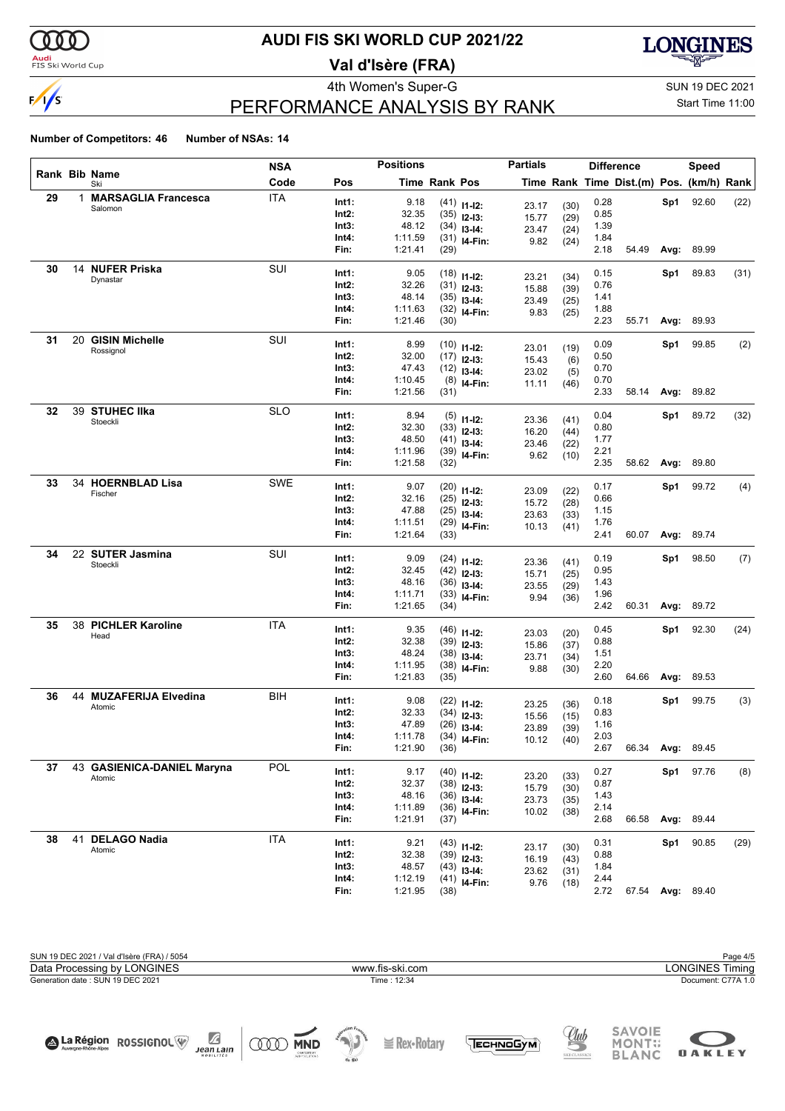

#### **Audi**<br>FIS Ski World Cup

## **AUDI FIS SKI WORLD CUP 2021/22**

**Val d'Isère (FRA)**



## PERFORMANCE ANALYSIS BY RANK

4th Women's Super-G Super-G SUN 19 DEC 2021 Start Time 11:00

**OAKLEY** 

#### **Number of Competitors: 46 Number of NSAs: 14**

|    |   |                                  | NSA        |                | <b>Positions</b>   |                      |                | <b>Partials</b> |              |              | <b>Difference</b>                        |      | <b>Speed</b>     |      |
|----|---|----------------------------------|------------|----------------|--------------------|----------------------|----------------|-----------------|--------------|--------------|------------------------------------------|------|------------------|------|
|    |   | Rank Bib Name<br>Ski             | Code       | Pos            |                    | <b>Time Rank Pos</b> |                |                 |              |              | Time Rank Time Dist.(m) Pos. (km/h) Rank |      |                  |      |
| 29 | 1 | <b>MARSAGLIA Francesca</b>       | <b>ITA</b> | Int1:          | 9.18               |                      | $(41)$ 11-12:  |                 |              | 0.28         |                                          | Sp1  | 92.60            | (22) |
|    |   | Salomon                          |            | Int2:          | 32.35              |                      | $(35)$ 12-13:  | 23.17<br>15.77  | (30)<br>(29) | 0.85         |                                          |      |                  |      |
|    |   |                                  |            | Int3:          | 48.12              |                      | $(34)$ 13-14:  | 23.47           | (24)         | 1.39         |                                          |      |                  |      |
|    |   |                                  |            | Int4:          | 1:11.59            |                      | $(31)$ 14-Fin: | 9.82            | (24)         | 1.84         |                                          |      |                  |      |
|    |   |                                  |            | Fin:           | 1:21.41            | (29)                 |                |                 |              | 2.18         | 54.49                                    | Avg: | 89.99            |      |
| 30 |   | 14 NUFER Priska                  | SUI        | Int1:          | 9.05               |                      | $(18)$ 11-12:  |                 |              | 0.15         |                                          | Sp1  | 89.83            | (31) |
|    |   | Dynastar                         |            | Int2:          | 32.26              |                      | $(31)$ 12-13:  | 23.21           | (34)         | 0.76         |                                          |      |                  |      |
|    |   |                                  |            | Int3:          | 48.14              |                      | $(35)$ 13-14:  | 15.88           | (39)         | 1.41         |                                          |      |                  |      |
|    |   |                                  |            | Int4:          | 1:11.63            |                      | $(32)$ 14-Fin: | 23.49           | (25)         | 1.88         |                                          |      |                  |      |
|    |   |                                  |            | Fin:           | 1:21.46            | (30)                 |                | 9.83            | (25)         | 2.23         | 55.71                                    | Avg: | 89.93            |      |
| 31 |   | 20 GISIN Michelle                | SUI        | Int1:          | 8.99               |                      |                |                 |              | 0.09         |                                          | Sp1  | 99.85            | (2)  |
|    |   | Rossignol                        |            | Int2:          | 32.00              |                      | $(10)$ 11-12:  | 23.01           | (19)         | 0.50         |                                          |      |                  |      |
|    |   |                                  |            | Int3:          | 47.43              |                      | $(17)$ 12-13:  | 15.43           | (6)          | 0.70         |                                          |      |                  |      |
|    |   |                                  |            | Int4:          | 1:10.45            |                      | $(12)$ 13-14:  | 23.02           | (5)          | 0.70         |                                          |      |                  |      |
|    |   |                                  |            | Fin:           | 1:21.56            | (31)                 | $(8)$ 14-Fin:  | 11.11           | (46)         | 2.33         | 58.14                                    | Avg: | 89.82            |      |
|    |   |                                  |            |                |                    |                      |                |                 |              |              |                                          |      |                  |      |
| 32 |   | 39 STUHEC IIka<br>Stoeckli       | <b>SLO</b> | Int1:          | 8.94               |                      | $(5)$ 11-12:   | 23.36           | (41)         | 0.04         |                                          | Sp1  | 89.72            | (32) |
|    |   |                                  |            | Int2:          | 32.30              |                      | $(33)$ 12-13:  | 16.20           | (44)         | 0.80         |                                          |      |                  |      |
|    |   |                                  |            | Int3:          | 48.50              |                      | $(41)$ 13-14:  | 23.46           | (22)         | 1.77         |                                          |      |                  |      |
|    |   |                                  |            | Int4:          | 1:11.96            |                      | $(39)$ 14-Fin: | 9.62            | (10)         | 2.21         |                                          |      |                  |      |
|    |   |                                  |            | Fin:           | 1:21.58            | (32)                 |                |                 |              | 2.35         | 58.62                                    | Avg: | 89.80            |      |
| 33 |   | 34 HOERNBLAD Lisa                | SWE        | Int1:          | 9.07               |                      | $(20)$ 11-12:  |                 |              | 0.17         |                                          | Sp1  | 99.72            | (4)  |
|    |   | Fischer                          |            | Int2:          | 32.16              |                      | $(25)$ 12-13:  | 23.09           | (22)<br>(28) | 0.66         |                                          |      |                  |      |
|    |   |                                  |            | Int3:          | 47.88              |                      | $(25)$ 13-14:  | 15.72           |              | 1.15         |                                          |      |                  |      |
|    |   |                                  |            | Int4:          | 1:11.51            |                      | $(29)$ 14-Fin: | 23.63           | (33)         | 1.76         |                                          |      |                  |      |
|    |   |                                  |            | Fin:           | 1:21.64            | (33)                 |                | 10.13           | (41)         | 2.41         | 60.07                                    | Avg: | 89.74            |      |
| 34 |   | 22 SUTER Jasmina                 | SUI        |                |                    |                      |                |                 |              |              |                                          |      |                  |      |
|    |   | Stoeckli                         |            | Int1:          | 9.09               |                      | $(24)$ 11-12:  | 23.36           | (41)         | 0.19         |                                          | Sp1  | 98.50            | (7)  |
|    |   |                                  |            | Int2:          | 32.45<br>48.16     |                      | $(42)$ 12-13:  | 15.71           | (25)         | 0.95         |                                          |      |                  |      |
|    |   |                                  |            | Int3:<br>Int4: | 1:11.71            |                      | $(36)$ 13-14:  | 23.55           | (29)         | 1.43<br>1.96 |                                          |      |                  |      |
|    |   |                                  |            | Fin:           | 1:21.65            | (34)                 | $(33)$ 14-Fin: | 9.94            | (36)         | 2.42         | 60.31                                    | Avg: | 89.72            |      |
| 35 |   | 38 PICHLER Karoline              | <b>ITA</b> |                |                    |                      |                |                 |              |              |                                          |      |                  |      |
|    |   | Head                             |            | Int1:          | 9.35               |                      | $(46)$ 11-12:  | 23.03           | (20)         | 0.45         |                                          | Sp1  | 92.30            | (24) |
|    |   |                                  |            | Int2:          | 32.38              |                      | $(39)$ 12-13:  | 15.86           | (37)         | 0.88         |                                          |      |                  |      |
|    |   |                                  |            | Int3:          | 48.24              |                      | $(38)$ 13-14:  | 23.71           | (34)         | 1.51         |                                          |      |                  |      |
|    |   |                                  |            | Int4:<br>Fin:  | 1:11.95<br>1:21.83 | (35)                 | $(38)$ 14-Fin: | 9.88            | (30)         | 2.20<br>2.60 | 64.66                                    | Avg: | 89.53            |      |
|    |   |                                  |            |                |                    |                      |                |                 |              |              |                                          |      |                  |      |
| 36 |   | 44 MUZAFERIJA Elvedina<br>Atomic | BIH        | Int1:          | 9.08               |                      | $(22)$ 11-12:  | 23.25           | (36)         | 0.18         |                                          | Sp1  | 99.75            | (3)  |
|    |   |                                  |            | Int2:          | 32.33              |                      | $(34)$ 12-13:  | 15.56           | (15)         | 0.83         |                                          |      |                  |      |
|    |   |                                  |            | Int3:          | 47.89              |                      | $(26)$ 13-14:  | 23.89           | (39)         | 1.16         |                                          |      |                  |      |
|    |   |                                  |            | Int4:          | 1:11.78            |                      | $(34)$ 14-Fin: | 10.12           | (40)         | 2.03         |                                          |      |                  |      |
|    |   |                                  |            | Fin:           | 1:21.90            | (36)                 |                |                 |              | 2.67         | 66.34 Avg: 89.45                         |      |                  |      |
| 37 |   | 43 GASIENICA-DANIEL Maryna       | POL        | Int1:          | 9.17               |                      | $(40)$ 11-12:  |                 |              | 0.27         |                                          |      | Sp1 97.76        | (8)  |
|    |   | Atomic                           |            | Int2:          | 32.37              |                      | $(38)$ 12-13:  | 23.20           | (33)         | 0.87         |                                          |      |                  |      |
|    |   |                                  |            | Int3:          | 48.16              |                      | $(36)$ 13-14:  | 15.79           | (30)         | 1.43         |                                          |      |                  |      |
|    |   |                                  |            | Int4:          | 1:11.89            |                      | $(36)$ 14-Fin: | 23.73<br>10.02  | (35)         | 2.14         |                                          |      |                  |      |
|    |   |                                  |            | Fin:           | 1:21.91            | (37)                 |                |                 | (38)         | 2.68         | 66.58                                    |      | Avg: 89.44       |      |
| 38 |   | 41 DELAGO Nadia                  | <b>ITA</b> |                |                    |                      |                |                 |              |              |                                          |      |                  |      |
|    |   | Atomic                           |            | Int1:          | 9.21               |                      | $(43)$ 11-12:  | 23.17           | (30)         | 0.31         |                                          | Sp1  | 90.85            | (29) |
|    |   |                                  |            | Int2:          | 32.38              |                      | $(39)$ 12-13:  | 16.19           | (43)         | 0.88         |                                          |      |                  |      |
|    |   |                                  |            | Int3:          | 48.57              |                      | $(43)$ 13-14:  | 23.62           | (31)         | 1.84         |                                          |      |                  |      |
|    |   |                                  |            | Int4:          | 1:12.19            |                      | $(41)$ 14-Fin: | 9.76            | (18)         | 2.44         |                                          |      |                  |      |
|    |   |                                  |            | Fin:           | 1:21.95            | (38)                 |                |                 |              | 2.72         |                                          |      | 67.54 Avg: 89.40 |      |

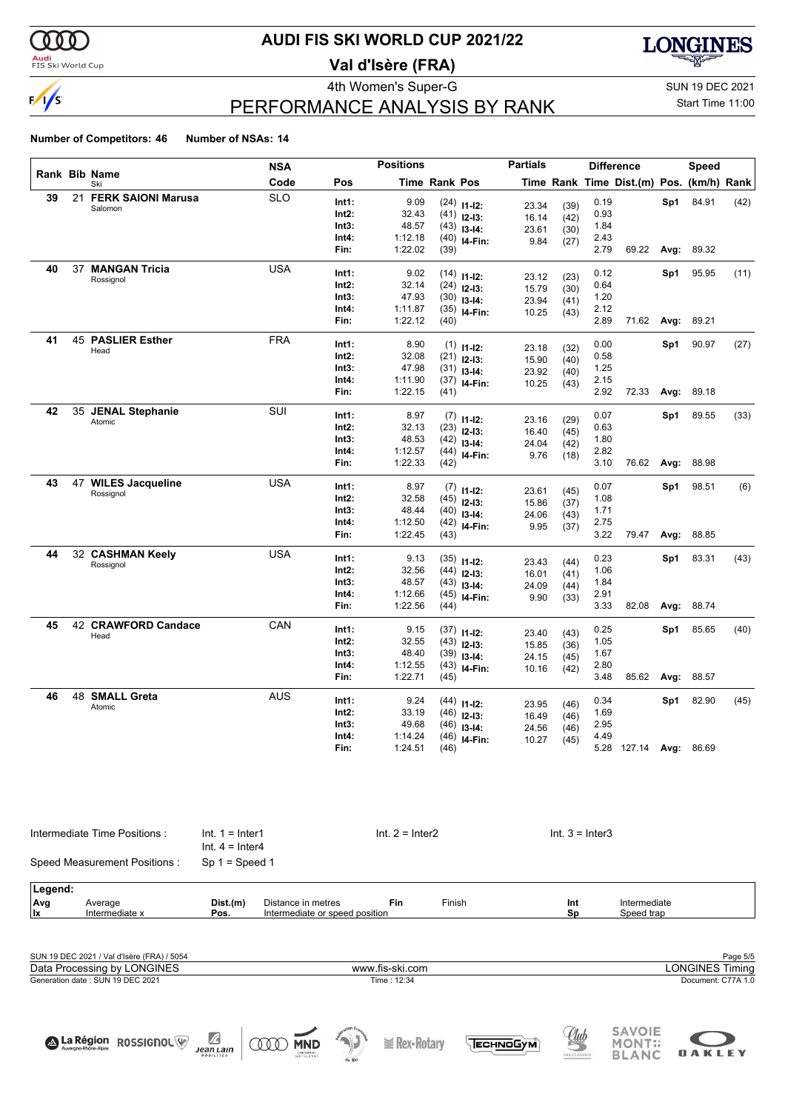

#### **Audi**<br>FIS Ski World Cup

### **AUDI FIS SKI WORLD CUP 2021/22**

**Val d'Isère (FRA)**



# PERFORMANCE ANALYSIS BY RANK

4th Women's Super-G Super-G SUN 19 DEC 2021 Start Time 11:00

#### **Number of Competitors: 46 Number of NSAs: 14**

|    |    |                              | <b>NSA</b> |       | <b>Positions</b> |               |                                | <b>Partials</b> |      |      | <b>Difference</b>                        |      | Speed |      |
|----|----|------------------------------|------------|-------|------------------|---------------|--------------------------------|-----------------|------|------|------------------------------------------|------|-------|------|
|    |    | <b>Rank Bib Name</b><br>Ski  | Code       | Pos   |                  | Time Rank Pos |                                |                 |      |      | Time Rank Time Dist.(m) Pos. (km/h) Rank |      |       |      |
| 39 | 21 | <b>FERK SAIONI Marusa</b>    | <b>SLO</b> | Int1: | 9.09             |               | $(24)$ 11-12:                  | 23.34           | (39) | 0.19 |                                          | Sp1  | 84.91 | (42) |
|    |    | Salomon                      |            | Int2: | 32.43            |               | $(41)$ 12-13:                  | 16.14           | (42) | 0.93 |                                          |      |       |      |
|    |    |                              |            | Int3: | 48.57            |               | $(43)$ 13-14:                  | 23.61           | (30) | 1.84 |                                          |      |       |      |
|    |    |                              |            | Int4: | 1:12.18          |               | $(40)$ 14-Fin:                 | 9.84            | (27) | 2.43 |                                          |      |       |      |
|    |    |                              |            | Fin:  | 1:22.02          | (39)          |                                |                 |      | 2.79 | 69.22                                    | Avg: | 89.32 |      |
| 40 |    | 37 MANGAN Tricia             | <b>USA</b> | Int1: | 9.02             |               | $(14)$ 11-12:                  |                 |      | 0.12 |                                          | Sp1  | 95.95 | (11) |
|    |    | Rossignol                    |            | Int2: | 32.14            |               | $(24)$ 12-13:                  | 23.12           | (23) | 0.64 |                                          |      |       |      |
|    |    |                              |            | Int3: | 47.93            |               | $(30)$ 13-14:                  | 15.79<br>23.94  | (30) | 1.20 |                                          |      |       |      |
|    |    |                              |            | Int4: | 1:11.87          |               | $(35)$ 14-Fin:                 | 10.25           | (41) | 2.12 |                                          |      |       |      |
|    |    |                              |            | Fin:  | 1:22.12          | (40)          |                                |                 | (43) | 2.89 | 71.62                                    | Avg: | 89.21 |      |
| 41 |    | 45 PASLIER Esther            | <b>FRA</b> | Int1: | 8.90             |               |                                |                 |      | 0.00 |                                          | Sp1  | 90.97 | (27) |
|    |    | Head                         |            | Int2: | 32.08            |               | $(1)$ 11-12:                   | 23.18           | (32) | 0.58 |                                          |      |       |      |
|    |    |                              |            | Int3: | 47.98            |               | $(21)$ 12-13:                  | 15.90           | (40) | 1.25 |                                          |      |       |      |
|    |    |                              |            | Int4: | 1:11.90          |               | $(31)$ 13-14:                  | 23.92           | (40) | 2.15 |                                          |      |       |      |
|    |    |                              |            | Fin:  | 1:22.15          | (41)          | $(37)$ 14-Fin:                 | 10.25           | (43) | 2.92 | 72.33                                    | Avg: | 89.18 |      |
|    |    |                              |            |       |                  |               |                                |                 |      |      |                                          |      |       |      |
| 42 |    | 35 JENAL Stephanie<br>Atomic | SUI        | Int1: | 8.97             |               | $(7)$ 11-12:                   | 23.16           | (29) | 0.07 |                                          | Sp1  | 89.55 | (33) |
|    |    |                              |            | Int2: | 32.13            |               | $(23)$ 12-13:                  | 16.40           | (45) | 0.63 |                                          |      |       |      |
|    |    |                              |            | Int3: | 48.53            |               | $(42)$ 13-14:                  | 24.04           | (42) | 1.80 |                                          |      |       |      |
|    |    |                              |            | Int4: | 1:12.57          |               | $(44)$ 14-Fin:                 | 9.76            | (18) | 2.82 |                                          |      |       |      |
|    |    |                              |            | Fin:  | 1:22.33          | (42)          |                                |                 |      | 3.10 | 76.62                                    | Avg: | 88.98 |      |
| 43 |    | 47 WILES Jacqueline          | <b>USA</b> | Int1: | 8.97             |               | $(7)$ 11-12:                   |                 |      | 0.07 |                                          | Sp1  | 98.51 | (6)  |
|    |    | Rossignol                    |            | Int2: | 32.58            |               | $(45)$ 12-13:                  | 23.61<br>15.86  | (45) | 1.08 |                                          |      |       |      |
|    |    |                              |            | Int3: | 48.44            |               | $(40)$ 13-14:                  | 24.06           | (37) | 1.71 |                                          |      |       |      |
|    |    |                              |            | Int4: | 1:12.50          |               | $(42)$ 14-Fin:                 | 9.95            | (43) | 2.75 |                                          |      |       |      |
|    |    |                              |            | Fin:  | 1:22.45          | (43)          |                                |                 | (37) | 3.22 | 79.47                                    | Avg: | 88.85 |      |
| 44 |    | 32 CASHMAN Keely             | <b>USA</b> | Int1: | 9.13             |               |                                |                 |      | 0.23 |                                          | Sp1  | 83.31 | (43) |
|    |    | Rossignol                    |            | Int2: | 32.56            |               | $(35)$ 11-12:<br>$(44)$ 12-13: | 23.43           | (44) | 1.06 |                                          |      |       |      |
|    |    |                              |            | Int3: | 48.57            |               | $(43)$ 13-14:                  | 16.01           | (41) | 1.84 |                                          |      |       |      |
|    |    |                              |            | Int4: | 1:12.66          |               | $(45)$ 14-Fin:                 | 24.09           | (44) | 2.91 |                                          |      |       |      |
|    |    |                              |            | Fin:  | 1:22.56          | (44)          |                                | 9.90            | (33) | 3.33 | 82.08                                    | Avg: | 88.74 |      |
| 45 |    | 42 CRAWFORD Candace          | CAN        | Int1: | 9.15             |               |                                |                 |      | 0.25 |                                          |      | 85.65 | (40) |
|    |    | Head                         |            | Int2: | 32.55            |               | $(37)$ 11-12:                  | 23.40           | (43) | 1.05 |                                          | Sp1  |       |      |
|    |    |                              |            | Int3: | 48.40            |               | $(43)$ 12-13:                  | 15.85           | (36) | 1.67 |                                          |      |       |      |
|    |    |                              |            | Int4: | 1:12.55          |               | $(39)$ 13-14:                  | 24.15           | (45) | 2.80 |                                          |      |       |      |
|    |    |                              |            | Fin:  | 1:22.71          | (45)          | $(43)$ 14-Fin:                 | 10.16           | (42) | 3.48 | 85.62                                    | Avg: | 88.57 |      |
| 46 |    | 48 SMALL Greta               | <b>AUS</b> |       |                  |               |                                |                 |      |      |                                          |      |       |      |
|    |    | Atomic                       |            | Int1: | 9.24             |               | $(44)$ 11-12:                  | 23.95           | (46) | 0.34 |                                          | Sp1  | 82.90 | (45) |
|    |    |                              |            | Int2: | 33.19            |               | $(46)$ 12-13:                  | 16.49           | (46) | 1.69 |                                          |      |       |      |
|    |    |                              |            | Int3: | 49.68            |               | $(46)$ 13-14:                  | 24.56           | (46) | 2.95 |                                          |      |       |      |
|    |    |                              |            | Int4: | 1:14.24          |               | $(46)$ 14-Fin:                 | 10.27           | (45) | 4.49 |                                          |      |       |      |
|    |    |                              |            | Fin:  | 1:24.51          | (46)          |                                |                 |      |      | 5.28 127.14 Avg:                         |      | 86.69 |      |

|         | Intermediate Time Positions:<br>Speed Measurement Positions: | $Int. 1 = Inter1$<br>$Int. 4 = Inter4$ |                                | $Int. 2 = Inter2$ |        | $Int. 3 = Inter3$ |                        |
|---------|--------------------------------------------------------------|----------------------------------------|--------------------------------|-------------------|--------|-------------------|------------------------|
|         |                                                              | $Sp 1 = Speed 1$                       |                                |                   |        |                   |                        |
| Legend: |                                                              |                                        |                                |                   |        |                   |                        |
| Avg     | Average                                                      | Dist.(m)                               | Distance in metres             | Fin               | Finish | Int               | Intermediate           |
| lx      | Intermediate x                                               | Pos.                                   | Intermediate or speed position |                   |        | Sp                | Speed trap             |
|         |                                                              |                                        |                                |                   |        |                   |                        |
|         | SUN 19 DEC 2021 / Val d'Isère (FRA) / 5054                   |                                        |                                |                   |        |                   | Page 5/5               |
|         | Data Processing by LONGINES                                  |                                        |                                | www.fis-ski.com   |        |                   | <b>LONGINES Timing</b> |

Generation date : SUN 19 DEC 2021 Time : 12:34 Document: C77A 1.0

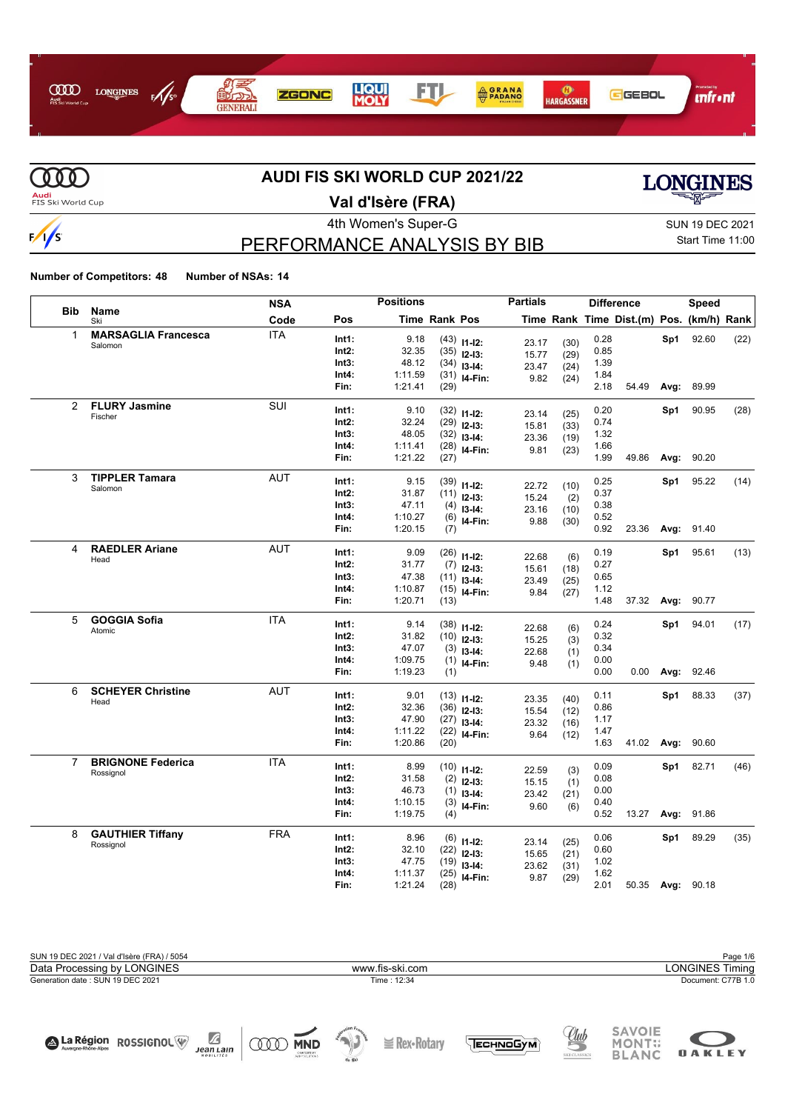



# **AUDI FIS SKI WORLD CUP 2021/22**



# **Val d'Isère (FRA)**

### PERFORMANCE ANALYSIS BY BIB

4th Women's Super-G Super-G SUN 19 DEC 2021 Start Time 11:00

**LONGINES** 

**Number of Competitors: 48 Number of NSAs: 14**

La Région ROSSIGNOL

J.

 $Jean Lain$ 

**ODD MND** 

|                |                                  | <b>NSA</b> |       | <b>Positions</b> |                      |                                 | <b>Partials</b> |              |      | <b>Difference</b>                        |      | <b>Speed</b> |      |
|----------------|----------------------------------|------------|-------|------------------|----------------------|---------------------------------|-----------------|--------------|------|------------------------------------------|------|--------------|------|
| <b>Bib</b>     | Name<br>Ski                      | Code       | Pos   |                  | <b>Time Rank Pos</b> |                                 |                 |              |      | Time Rank Time Dist.(m) Pos. (km/h) Rank |      |              |      |
|                | <b>MARSAGLIA Francesca</b>       | <b>ITA</b> | Int1: | 9.18             |                      | $(43)$ 11-12:                   | 23.17           | (30)         | 0.28 |                                          | Sp1  | 92.60        | (22) |
|                | Salomon                          |            | Int2: | 32.35            |                      | $(35)$ 12-13:                   | 15.77           | (29)         | 0.85 |                                          |      |              |      |
|                |                                  |            | Int3: | 48.12            |                      | $(34)$ 13-14:                   | 23.47           | (24)         | 1.39 |                                          |      |              |      |
|                |                                  |            | Int4: | 1:11.59          |                      | $(31)$ 14-Fin:                  | 9.82            | (24)         | 1.84 |                                          |      |              |      |
|                |                                  |            | Fin:  | 1:21.41          | (29)                 |                                 |                 |              | 2.18 | 54.49                                    | Avg: | 89.99        |      |
| $\overline{2}$ | <b>FLURY Jasmine</b>             | <b>SUI</b> | Int1: | 9.10             |                      | $(32)$ 11-12:                   |                 |              | 0.20 |                                          | Sp1  | 90.95        | (28) |
|                | Fischer                          |            | Int2: | 32.24            |                      | $(29)$ 12-13:                   | 23.14           | (25)         | 0.74 |                                          |      |              |      |
|                |                                  |            | Int3: | 48.05            |                      | $(32)$ 13-14:                   | 15.81<br>23.36  | (33)<br>(19) | 1.32 |                                          |      |              |      |
|                |                                  |            | Int4: | 1:11.41          |                      | $(28)$ 14-Fin:                  | 9.81            | (23)         | 1.66 |                                          |      |              |      |
|                |                                  |            | Fin:  | 1:21.22          | (27)                 |                                 |                 |              | 1.99 | 49.86                                    | Avg: | 90.20        |      |
| 3              | <b>TIPPLER Tamara</b>            | <b>AUT</b> | Int1: | 9.15             |                      |                                 |                 |              | 0.25 |                                          | Sp1  | 95.22        | (14) |
|                | Salomon                          |            | Int2: | 31.87            |                      | $(39)$ 11-12:<br>$(11)$ 12-13:  | 22.72           | (10)         | 0.37 |                                          |      |              |      |
|                |                                  |            | Int3: | 47.11            |                      | $(4)$ 13-14:                    | 15.24           | (2)          | 0.38 |                                          |      |              |      |
|                |                                  |            | Int4: | 1:10.27          |                      | $(6)$ 14-Fin:                   | 23.16           | (10)         | 0.52 |                                          |      |              |      |
|                |                                  |            | Fin:  | 1:20.15          | (7)                  |                                 | 9.88            | (30)         | 0.92 | 23.36                                    | Avg: | 91.40        |      |
| 4              | <b>RAEDLER Ariane</b>            | <b>AUT</b> | Int1: | 9.09             |                      |                                 |                 |              | 0.19 |                                          | Sp1  | 95.61        | (13) |
|                | Head                             |            | Int2: | 31.77            |                      | $(26)$ 11-12:                   | 22.68           | (6)          | 0.27 |                                          |      |              |      |
|                |                                  |            | Int3: | 47.38            |                      | $(7)$ 12-13:                    | 15.61           | (18)         | 0.65 |                                          |      |              |      |
|                |                                  |            | Int4: | 1:10.87          |                      | $(11)$ 13-14:<br>$(15)$ 14-Fin: | 23.49           | (25)         | 1.12 |                                          |      |              |      |
|                |                                  |            | Fin:  | 1:20.71          | (13)                 |                                 | 9.84            | (27)         | 1.48 | 37.32                                    | Avg: | 90.77        |      |
| 5              | <b>GOGGIA Sofia</b>              | <b>ITA</b> | Int1: | 9.14             |                      |                                 |                 |              | 0.24 |                                          | Sp1  | 94.01        | (17) |
|                | Atomic                           |            | Int2: | 31.82            |                      | $(38)$ 11-12:                   | 22.68           | (6)          | 0.32 |                                          |      |              |      |
|                |                                  |            | Int3: | 47.07            |                      | $(10)$ 12-13:                   | 15.25           | (3)          | 0.34 |                                          |      |              |      |
|                |                                  |            | Int4: | 1:09.75          |                      | $(3)$ 13-14:                    | 22.68           | (1)          | 0.00 |                                          |      |              |      |
|                |                                  |            | Fin:  | 1:19.23          | (1)                  | $(1)$ 14-Fin:                   | 9.48            | (1)          | 0.00 | 0.00                                     | Avg: | 92.46        |      |
|                |                                  |            |       |                  |                      |                                 |                 |              |      |                                          |      |              |      |
| 6              | <b>SCHEYER Christine</b><br>Head | <b>AUT</b> | Int1: | 9.01             |                      | $(13)$ 11-12:                   | 23.35           | (40)         | 0.11 |                                          | Sp1  | 88.33        | (37) |
|                |                                  |            | Int2: | 32.36            |                      | $(36)$ 12-13:                   | 15.54           | (12)         | 0.86 |                                          |      |              |      |
|                |                                  |            | Int3: | 47.90            |                      | $(27)$ 13-14:                   | 23.32           | (16)         | 1.17 |                                          |      |              |      |
|                |                                  |            | Int4: | 1:11.22          |                      | $(22)$ 14-Fin:                  | 9.64            | (12)         | 1.47 |                                          |      |              |      |
|                |                                  |            | Fin:  | 1:20.86          | (20)                 |                                 |                 |              | 1.63 | 41.02                                    | Avg: | 90.60        |      |
| $\overline{7}$ | <b>BRIGNONE Federica</b>         | <b>ITA</b> | Int1: | 8.99             |                      | $(10)$ 11-12:                   | 22.59           | (3)          | 0.09 |                                          | Sp1  | 82.71        | (46) |
|                | Rossignol                        |            | Int2: | 31.58            |                      | $(2)$ 12-13:                    | 15.15           | (1)          | 0.08 |                                          |      |              |      |
|                |                                  |            | Int3: | 46.73            |                      | $(1)$ 13-14:                    | 23.42           | (21)         | 0.00 |                                          |      |              |      |
|                |                                  |            | Int4: | 1:10.15          | (3)                  | I4-Fin:                         | 9.60            | (6)          | 0.40 |                                          |      |              |      |
|                |                                  |            | Fin:  | 1:19.75          | (4)                  |                                 |                 |              | 0.52 | 13.27                                    | Avg: | 91.86        |      |
| 8              | <b>GAUTHIER Tiffany</b>          | <b>FRA</b> | Int1: | 8.96             |                      | $(6)$ 11-12:                    | 23.14           | (25)         | 0.06 |                                          | Sp1  | 89.29        | (35) |
|                | Rossignol                        |            | Int2: | 32.10            |                      | $(22)$ 12-13:                   | 15.65           | (21)         | 0.60 |                                          |      |              |      |
|                |                                  |            | Int3: | 47.75            |                      | $(19)$ 13-14:                   | 23.62           | (31)         | 1.02 |                                          |      |              |      |
|                |                                  |            | Int4: | 1:11.37          | (25)                 | I4-Fin:                         | 9.87            | (29)         | 1.62 |                                          |      |              |      |
|                |                                  |            | Fin:  | 1:21.24          | (28)                 |                                 |                 |              | 2.01 | 50.35 Avg:                               |      | 90.18        |      |

**I** Rex-Rotary

TECHNOGYM

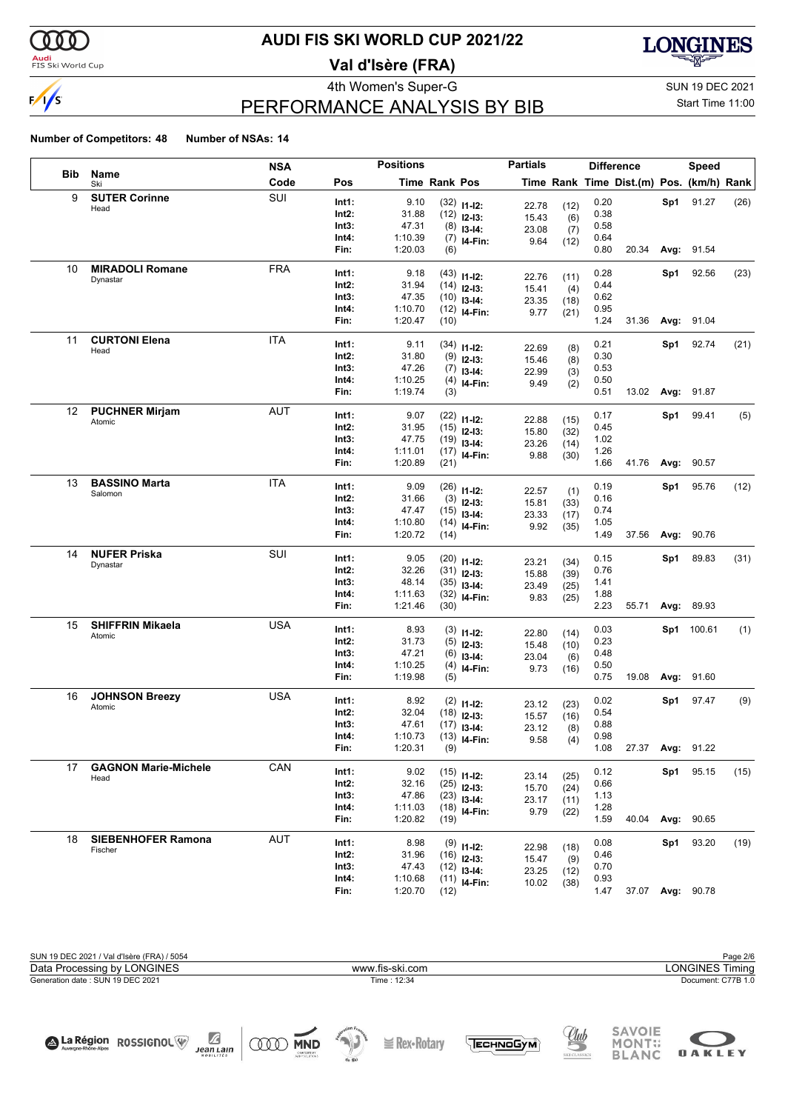

#### **Audi**<br>FIS Ski World Cup

## **AUDI FIS SKI WORLD CUP 2021/22**

**Val d'Isère (FRA)**



## PERFORMANCE ANALYSIS BY BIB

4th Women's Super-G Super-G SUN 19 DEC 2021 Start Time 11:00

**OAKLEY** 

#### **Number of Competitors: 48 Number of NSAs: 14**

|            |                                     | NSA        |                | <b>Positions</b>   |                      |                                | <b>Partials</b> |      |              | <b>Difference</b>                        |      | <b>Speed</b>      |      |
|------------|-------------------------------------|------------|----------------|--------------------|----------------------|--------------------------------|-----------------|------|--------------|------------------------------------------|------|-------------------|------|
| <b>Bib</b> | Name<br>Ski                         | Code       | Pos            |                    | <b>Time Rank Pos</b> |                                |                 |      |              | Time Rank Time Dist.(m) Pos. (km/h) Rank |      |                   |      |
| 9          | <b>SUTER Corinne</b>                | SUI        | Int1:          | 9.10               |                      | $(32)$ 11-12:                  | 22.78           | (12) | 0.20         |                                          |      | Sp1 91.27         | (26) |
|            | Head                                |            | Int2:          | 31.88              |                      | $(12)$ 12-13:                  | 15.43           | (6)  | 0.38         |                                          |      |                   |      |
|            |                                     |            | Int3:          | 47.31              |                      | $(8)$ 13-14:                   | 23.08           | (7)  | 0.58         |                                          |      |                   |      |
|            |                                     |            | Int4:          | 1:10.39            |                      | $(7)$ 14-Fin:                  | 9.64            | (12) | 0.64         |                                          |      |                   |      |
|            |                                     |            | Fin:           | 1:20.03            | (6)                  |                                |                 |      | 0.80         | 20.34                                    |      | Avg: 91.54        |      |
| 10         | <b>MIRADOLI Romane</b>              | <b>FRA</b> | Int1:          | 9.18               |                      | $(43)$ 11-12:                  |                 |      | 0.28         |                                          | Sp1  | 92.56             | (23) |
|            | Dynastar                            |            | Int2:          | 31.94              |                      | $(14)$ 12-13:                  | 22.76           | (11) | 0.44         |                                          |      |                   |      |
|            |                                     |            | Int3:          | 47.35              |                      | $(10)$ 13-14:                  | 15.41           | (4)  | 0.62         |                                          |      |                   |      |
|            |                                     |            | Int4:          | 1:10.70            |                      | $(12)$ 14-Fin:                 | 23.35<br>9.77   | (18) | 0.95         |                                          |      |                   |      |
|            |                                     |            | Fin:           | 1:20.47            | (10)                 |                                |                 | (21) | 1.24         | 31.36                                    |      | Avg: 91.04        |      |
| 11         | <b>CURTONI Elena</b>                | <b>ITA</b> |                |                    |                      |                                |                 |      |              |                                          |      |                   |      |
|            | Head                                |            | Int1:<br>Int2: | 9.11<br>31.80      |                      | $(34)$ 11-12:                  | 22.69           | (8)  | 0.21<br>0.30 |                                          | Sp1  | 92.74             | (21) |
|            |                                     |            | Int3:          | 47.26              |                      | $(9)$ 12-13:                   | 15.46           | (8)  | 0.53         |                                          |      |                   |      |
|            |                                     |            | Int4:          | 1:10.25            |                      | $(7)$ 13-14:                   | 22.99           | (3)  | 0.50         |                                          |      |                   |      |
|            |                                     |            | Fin:           | 1:19.74            | (3)                  | $(4)$ 14-Fin:                  | 9.49            | (2)  | 0.51         | 13.02                                    |      | <b>Avg: 91.87</b> |      |
|            |                                     |            |                |                    |                      |                                |                 |      |              |                                          |      |                   |      |
| 12         | <b>PUCHNER Mirjam</b><br>Atomic     | <b>AUT</b> | Int1:          | 9.07               |                      | $(22)$ 11-12:                  | 22.88           | (15) | 0.17         |                                          | Sp1  | 99.41             | (5)  |
|            |                                     |            | Int2:          | 31.95              |                      | $(15)$ 12-13:                  | 15.80           | (32) | 0.45         |                                          |      |                   |      |
|            |                                     |            | Int3:          | 47.75              |                      | $(19)$ 13-14:                  | 23.26           | (14) | 1.02         |                                          |      |                   |      |
|            |                                     |            | Int4:          | 1:11.01            |                      | $(17)$ 14-Fin:                 | 9.88            | (30) | 1.26         |                                          |      |                   |      |
|            |                                     |            | Fin:           | 1:20.89            | (21)                 |                                |                 |      | 1.66         | 41.76                                    | Avg: | 90.57             |      |
| 13         | <b>BASSINO Marta</b>                | <b>ITA</b> | Int1:          | 9.09               |                      | $(26)$ 11-12:                  | 22.57           | (1)  | 0.19         |                                          | Sp1  | 95.76             | (12) |
|            | Salomon                             |            | Int2:          | 31.66              |                      | $(3)$ 12-13:                   | 15.81           | (33) | 0.16         |                                          |      |                   |      |
|            |                                     |            | Int3:          | 47.47              |                      | $(15)$ 13-14:                  | 23.33           | (17) | 0.74         |                                          |      |                   |      |
|            |                                     |            | Int4:          | 1:10.80            |                      | $(14)$ 14-Fin:                 | 9.92            | (35) | 1.05         |                                          |      |                   |      |
|            |                                     |            | Fin:           | 1:20.72            | (14)                 |                                |                 |      | 1.49         | 37.56                                    | Avg: | 90.76             |      |
| 14         | <b>NUFER Priska</b>                 | SUI        | Int1:          | 9.05               |                      |                                |                 |      | 0.15         |                                          | Sp1  | 89.83             | (31) |
|            | Dynastar                            |            | Int2:          | 32.26              |                      | $(20)$ 11-12:<br>$(31)$ 12-13: | 23.21           | (34) | 0.76         |                                          |      |                   |      |
|            |                                     |            | Int3:          | 48.14              |                      | $(35)$ 13-14:                  | 15.88           | (39) | 1.41         |                                          |      |                   |      |
|            |                                     |            | Int4:          | 1:11.63            |                      | $(32)$ 14-Fin:                 | 23.49           | (25) | 1.88         |                                          |      |                   |      |
|            |                                     |            | Fin:           | 1:21.46            | (30)                 |                                | 9.83            | (25) | 2.23         | 55.71                                    |      | Avg: 89.93        |      |
| 15         | <b>SHIFFRIN Mikaela</b>             | <b>USA</b> |                |                    |                      |                                |                 |      |              |                                          |      |                   |      |
|            | Atomic                              |            | Int1:<br>Int2: | 8.93<br>31.73      |                      | $(3)$ 11-12:                   | 22.80           | (14) | 0.03<br>0.23 |                                          |      | Sp1 100.61        | (1)  |
|            |                                     |            | Int3:          | 47.21              |                      | $(5)$ 12-13:                   | 15.48           | (10) | 0.48         |                                          |      |                   |      |
|            |                                     |            | Int4:          | 1:10.25            |                      | $(6)$ 13-14:<br>$(4)$ 14-Fin:  | 23.04           | (6)  | 0.50         |                                          |      |                   |      |
|            |                                     |            | Fin:           | 1:19.98            | (5)                  |                                | 9.73            | (16) | 0.75         | 19.08                                    |      | Avg: 91.60        |      |
| 16         | <b>JOHNSON Breezy</b>               | <b>USA</b> |                |                    |                      |                                |                 |      |              |                                          |      |                   |      |
|            | Atomic                              |            | Int1:          | 8.92               |                      | $(2)$ 11-12:                   | 23.12           | (23) | 0.02         |                                          |      | Sp1 97.47         | (9)  |
|            |                                     |            | Int2:          | 32.04              |                      | $(18)$ 12-13:                  | 15.57           | (16) | 0.54         |                                          |      |                   |      |
|            |                                     |            | Int3:          | 47.61              |                      | $(17)$ 13-14:                  | 23.12           | (8)  | 0.88         |                                          |      |                   |      |
|            |                                     |            | Int4:<br>Fin:  | 1:10.73<br>1:20.31 | (9)                  | $(13)$ <sub>14-Fin:</sub>      | 9.58            | (4)  | 0.98<br>1.08 |                                          |      | 27.37 Avg: 91.22  |      |
|            |                                     |            |                |                    |                      |                                |                 |      |              |                                          |      |                   |      |
| 17         | <b>GAGNON Marie-Michele</b><br>Head | CAN        | Int1:          | 9.02               |                      | $(15)$ 11-12:                  | 23.14           | (25) | 0.12         |                                          |      | Sp1 95.15         | (15) |
|            |                                     |            | Int2:          | 32.16              |                      | $(25)$ 12-13:                  | 15.70           | (24) | 0.66         |                                          |      |                   |      |
|            |                                     |            | Int3:          | 47.86              |                      | $(23)$ 13-14:                  | 23.17           | (11) | 1.13         |                                          |      |                   |      |
|            |                                     |            | Int4:          | 1:11.03            |                      | $(18)$ 14-Fin:                 | 9.79            | (22) | 1.28         |                                          |      |                   |      |
|            |                                     |            | Fin:           | 1:20.82            | (19)                 |                                |                 |      | 1.59         | 40.04                                    |      | Avg: 90.65        |      |
| 18         | <b>SIEBENHOFER Ramona</b>           | AUT        | Int1:          | 8.98               |                      | $(9)$ 11-12:                   | 22.98           | (18) | 0.08         |                                          |      | Sp1 93.20         | (19) |
|            | Fischer                             |            | Int2:          | 31.96              |                      | $(16)$ 12-13:                  | 15.47           | (9)  | 0.46         |                                          |      |                   |      |
|            |                                     |            | Int3:          | 47.43              |                      | $(12)$ 13-14:                  | 23.25           | (12) | 0.70         |                                          |      |                   |      |
|            |                                     |            | Int4:          | 1:10.68            |                      | $(11)$ 14-Fin:                 | 10.02           | (38) | 0.93         |                                          |      |                   |      |
|            |                                     |            | Fin:           | 1:20.70            | (12)                 |                                |                 |      | 1.47         |                                          |      | 37.07 Avg: 90.78  |      |



TECHNOGYM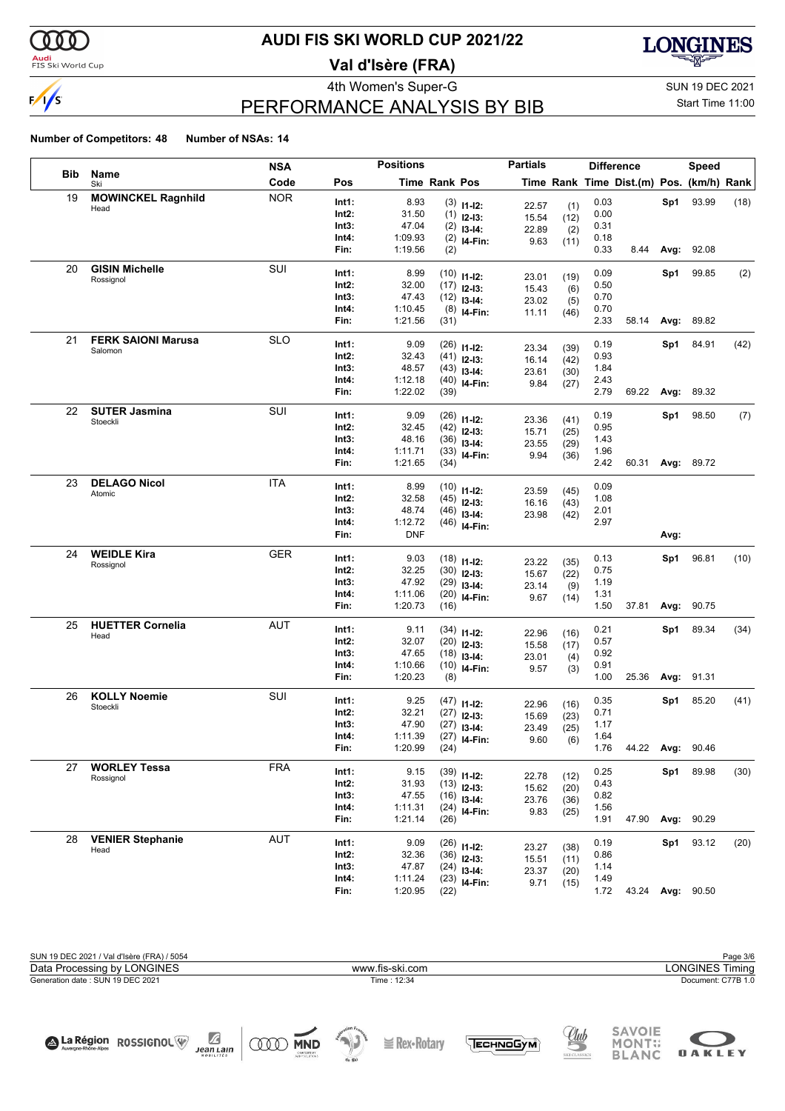

#### **Audi**<br>FIS Ski World Cup

## **AUDI FIS SKI WORLD CUP 2021/22**

**Val d'Isère (FRA)**



## PERFORMANCE ANALYSIS BY BIB

4th Women's Super-G Super-G SUN 19 DEC 2021 Start Time 11:00

**OAKLEY** 

#### **Number of Competitors: 48 Number of NSAs: 14**

|            |                           | NSA        |                | <b>Positions</b> |                      |                                 | <b>Partials</b> |              | <b>Difference</b> |                                          |      | <b>Speed</b>      |      |
|------------|---------------------------|------------|----------------|------------------|----------------------|---------------------------------|-----------------|--------------|-------------------|------------------------------------------|------|-------------------|------|
| <b>Bib</b> | Name<br>Ski               | Code       | Pos            |                  | <b>Time Rank Pos</b> |                                 |                 |              |                   | Time Rank Time Dist.(m) Pos. (km/h) Rank |      |                   |      |
| 19         | <b>MOWINCKEL Ragnhild</b> | <b>NOR</b> | Int1:          | 8.93             |                      | $(3)$ 11-12:                    | 22.57           | (1)          | 0.03              |                                          | Sp1  | 93.99             | (18) |
|            | Head                      |            | Int2:          | 31.50            |                      | $(1)$ 12-13:                    | 15.54           | (12)         | 0.00              |                                          |      |                   |      |
|            |                           |            | Int3:          | 47.04            |                      | $(2)$ 13-14:                    | 22.89           | (2)          | 0.31              |                                          |      |                   |      |
|            |                           |            | Int4:          | 1:09.93          |                      | $(2)$ 14-Fin:                   | 9.63            | (11)         | 0.18              |                                          |      |                   |      |
|            |                           |            | Fin:           | 1:19.56          | (2)                  |                                 |                 |              | 0.33              | 8.44                                     |      | Avg: 92.08        |      |
| 20         | <b>GISIN Michelle</b>     | SUI        | Int1:          | 8.99             |                      | $(10)$ 11-12:                   |                 |              | 0.09              |                                          | Sp1  | 99.85             | (2)  |
|            | Rossignol                 |            | Int2:          | 32.00            |                      | $(17)$ 12-13:                   | 23.01<br>15.43  | (19)<br>(6)  | 0.50              |                                          |      |                   |      |
|            |                           |            | Int3:          | 47.43            |                      | $(12)$ 13-14:                   | 23.02           | (5)          | 0.70              |                                          |      |                   |      |
|            |                           |            | Int4:          | 1:10.45          |                      | $(8)$ 14-Fin:                   | 11.11           | (46)         | 0.70              |                                          |      |                   |      |
|            |                           |            | Fin:           | 1:21.56          | (31)                 |                                 |                 |              | 2.33              | 58.14                                    | Avg: | 89.82             |      |
| 21         | <b>FERK SAIONI Marusa</b> | <b>SLO</b> | Int1:          | 9.09             |                      | $(26)$ 11-12:                   |                 |              | 0.19              |                                          | Sp1  | 84.91             | (42) |
|            | Salomon                   |            | Int2:          | 32.43            |                      | $(41)$ 12-13:                   | 23.34<br>16.14  | (39)<br>(42) | 0.93              |                                          |      |                   |      |
|            |                           |            | Int3:          | 48.57            |                      | $(43)$ 13-14:                   | 23.61           | (30)         | 1.84              |                                          |      |                   |      |
|            |                           |            | Int4:          | 1:12.18          |                      | $(40)$ 14-Fin:                  | 9.84            | (27)         | 2.43              |                                          |      |                   |      |
|            |                           |            | Fin:           | 1:22.02          | (39)                 |                                 |                 |              | 2.79              | 69.22                                    | Avg: | 89.32             |      |
| 22         | <b>SUTER Jasmina</b>      | SUI        | Int1:          | 9.09             |                      | $(26)$ 11-12:                   |                 |              | 0.19              |                                          | Sp1  | 98.50             | (7)  |
|            | Stoeckli                  |            | Int2:          | 32.45            |                      | $(42)$ 12-13:                   | 23.36           | (41)         | 0.95              |                                          |      |                   |      |
|            |                           |            | Int3:          | 48.16            |                      | $(36)$ 13-14:                   | 15.71           | (25)         | 1.43              |                                          |      |                   |      |
|            |                           |            | Int4:          | 1:11.71          |                      | $(33)$ 14-Fin:                  | 23.55<br>9.94   | (29)<br>(36) | 1.96              |                                          |      |                   |      |
|            |                           |            | Fin:           | 1:21.65          | (34)                 |                                 |                 |              | 2.42              | 60.31                                    |      | <b>Avg: 89.72</b> |      |
| 23         | <b>DELAGO Nicol</b>       | <b>ITA</b> | Int1:          | 8.99             |                      |                                 |                 |              | 0.09              |                                          |      |                   |      |
|            | Atomic                    |            | Int2:          | 32.58            |                      | $(10)$ 11-12:                   | 23.59           | (45)         | 1.08              |                                          |      |                   |      |
|            |                           |            | Int3:          | 48.74            |                      | $(45)$ 12-13:<br>$(46)$ 13-14:  | 16.16           | (43)         | 2.01              |                                          |      |                   |      |
|            |                           |            | Int4:          | 1:12.72          |                      | $(46)$ 14-Fin:                  | 23.98           | (42)         | 2.97              |                                          |      |                   |      |
|            |                           |            | Fin:           | <b>DNF</b>       |                      |                                 |                 |              |                   |                                          | Avg: |                   |      |
| 24         | <b>WEIDLE Kira</b>        | GER        | Int1:          | 9.03             |                      |                                 |                 |              | 0.13              |                                          | Sp1  | 96.81             | (10) |
|            | Rossignol                 |            | Int2:          | 32.25            |                      | $(18)$ 11-12:<br>$(30)$ 12-13:  | 23.22           | (35)         | 0.75              |                                          |      |                   |      |
|            |                           |            | Int3:          | 47.92            |                      | $(29)$ 13-14:                   | 15.67           | (22)         | 1.19              |                                          |      |                   |      |
|            |                           |            | Int4:          | 1:11.06          |                      | $(20)$ 14-Fin:                  | 23.14           | (9)          | 1.31              |                                          |      |                   |      |
|            |                           |            | Fin:           | 1:20.73          | (16)                 |                                 | 9.67            | (14)         | 1.50              | 37.81                                    | Avg: | 90.75             |      |
| 25         | <b>HUETTER Cornelia</b>   | <b>AUT</b> | Int1:          | 9.11             |                      |                                 |                 |              | 0.21              |                                          | Sp1  | 89.34             | (34) |
|            | Head                      |            | Int2:          | 32.07            |                      | $(34)$ 11-12:                   | 22.96           | (16)         | 0.57              |                                          |      |                   |      |
|            |                           |            | Int3:          | 47.65            |                      | $(20)$ 12-13:<br>$(18)$ 13-14:  | 15.58           | (17)         | 0.92              |                                          |      |                   |      |
|            |                           |            | Int4:          | 1:10.66          |                      | $(10)$ 14-Fin:                  | 23.01           | (4)          | 0.91              |                                          |      |                   |      |
|            |                           |            | Fin:           | 1:20.23          | (8)                  |                                 | 9.57            | (3)          | 1.00              | 25.36                                    |      | Avg: 91.31        |      |
| 26         | <b>KOLLY Noemie</b>       | SUI        | Int1:          | 9.25             |                      |                                 |                 |              | 0.35              |                                          | Sp1  | 85.20             |      |
|            | Stoeckli                  |            | Int2:          | 32.21            |                      | $(47)$ 11-12:                   | 22.96           | (16)         | 0.71              |                                          |      |                   | (41) |
|            |                           |            | Int3:          | 47.90            |                      | $(27)$ 12-13:                   | 15.69           | (23)         | 1.17              |                                          |      |                   |      |
|            |                           |            | Int4:          | 1:11.39          |                      | $(27)$ 13-14:<br>$(27)$ 14-Fin: | 23.49           | (25)         | 1.64              |                                          |      |                   |      |
|            |                           |            | Fin:           | 1:20.99          | (24)                 |                                 | 9.60            | (6)          | 1.76              | 44.22 Avg:                               |      | 90.46             |      |
| 27         | <b>WORLEY Tessa</b>       | FRA        |                |                  |                      |                                 |                 |              |                   |                                          |      |                   |      |
|            | Rossignol                 |            | Int1:          | 9.15             |                      | $(39)$ 11-12:                   | 22.78           | (12)         | 0.25              |                                          | Sp1  | 89.98             | (30) |
|            |                           |            | Int2:<br>Int3: | 31.93<br>47.55   |                      | $(13)$ 12-13:                   | 15.62           | (20)         | 0.43<br>0.82      |                                          |      |                   |      |
|            |                           |            | Int4:          | 1:11.31          |                      | $(16)$ 13-14:                   | 23.76           | (36)         | 1.56              |                                          |      |                   |      |
|            |                           |            | Fin:           | 1:21.14          | (26)                 | $(24)$ 14-Fin:                  | 9.83            | (25)         | 1.91              | 47.90                                    |      | Avg: 90.29        |      |
| 28         | <b>VENIER Stephanie</b>   | <b>AUT</b> |                |                  |                      |                                 |                 |              |                   |                                          |      |                   |      |
|            | Head                      |            | Int1:          | 9.09             |                      | $(26)$ 11-12:                   | 23.27           | (38)         | 0.19              |                                          | Sp1  | 93.12             | (20) |
|            |                           |            | Int2:          | 32.36            |                      | $(36)$ 12-13:                   | 15.51           | (11)         | 0.86              |                                          |      |                   |      |
|            |                           |            | Int3:<br>Int4: | 47.87<br>1:11.24 |                      | $(24)$ 13-14:                   | 23.37           | (20)         | 1.14<br>1.49      |                                          |      |                   |      |
|            |                           |            | Fin:           | 1:20.95          | (22)                 | $(23)$ 14-Fin:                  | 9.71            | (15)         | 1.72              |                                          |      | 43.24 Avg: 90.50  |      |
|            |                           |            |                |                  |                      |                                 |                 |              |                   |                                          |      |                   |      |

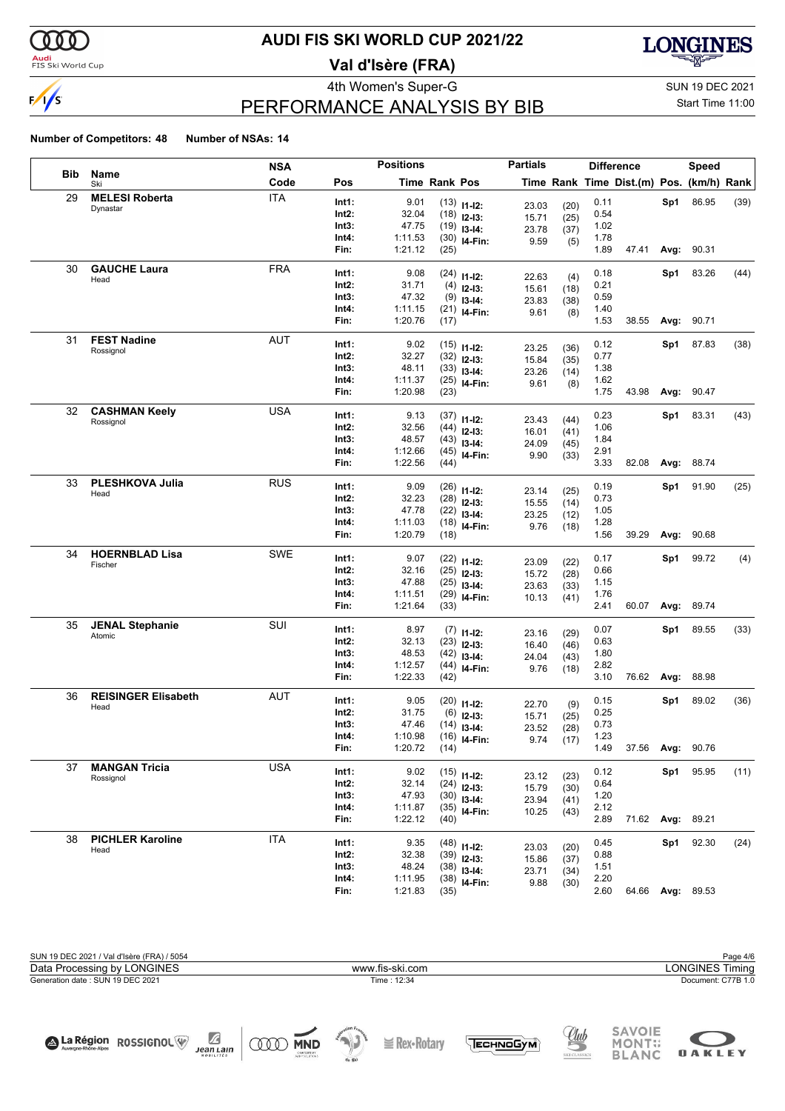

#### **Audi**<br>FIS Ski World Cup

## **AUDI FIS SKI WORLD CUP 2021/22**

**Val d'Isère (FRA)**



# PERFORMANCE ANALYSIS BY BIB

4th Women's Super-G Super-G SUN 19 DEC 2021 Start Time 11:00

#### **Number of Competitors: 48 Number of NSAs: 14**

|     |                                  | NSA        |               | <b>Positions</b>   |               |                                | <b>Partials</b> |      |              | <b>Difference</b>                        |      | <b>Speed</b>     |      |
|-----|----------------------------------|------------|---------------|--------------------|---------------|--------------------------------|-----------------|------|--------------|------------------------------------------|------|------------------|------|
| Bib | Name<br>Ski                      | Code       | Pos           |                    | Time Rank Pos |                                |                 |      |              | Time Rank Time Dist.(m) Pos. (km/h) Rank |      |                  |      |
| 29  | <b>MELESI Roberta</b>            | <b>ITA</b> | Int1:         | 9.01               |               | $(13)$ 11-12:                  | 23.03           | (20) | 0.11         |                                          | Sp1  | 86.95            | (39) |
|     | Dynastar                         |            | Int2:         | 32.04              |               | $(18)$ 12-13:                  | 15.71           | (25) | 0.54         |                                          |      |                  |      |
|     |                                  |            | Int3:         | 47.75              |               | $(19)$ 13-14:                  | 23.78           | (37) | 1.02         |                                          |      |                  |      |
|     |                                  |            | Int4:         | 1:11.53            |               | $(30)$ 14-Fin:                 | 9.59            | (5)  | 1.78         |                                          |      |                  |      |
|     |                                  |            | Fin:          | 1:21.12            | (25)          |                                |                 |      | 1.89         | 47.41                                    |      | Avg: 90.31       |      |
| 30  | <b>GAUCHE Laura</b>              | <b>FRA</b> | Int1:         | 9.08               |               | $(24)$ 11-12:                  |                 |      | 0.18         |                                          | Sp1  | 83.26            | (44) |
|     | Head                             |            | Int2:         | 31.71              |               | $(4)$ 12-13:                   | 22.63           | (4)  | 0.21         |                                          |      |                  |      |
|     |                                  |            | Int3:         | 47.32              |               |                                | 15.61           | (18) | 0.59         |                                          |      |                  |      |
|     |                                  |            | Int4:         | 1:11.15            |               | $(9)$ 13-14:<br>$(21)$ 14-Fin: | 23.83           | (38) | 1.40         |                                          |      |                  |      |
|     |                                  |            | Fin:          | 1:20.76            | (17)          |                                | 9.61            | (8)  | 1.53         | 38.55                                    | Avg: | 90.71            |      |
| 31  | <b>FEST Nadine</b>               | <b>AUT</b> |               |                    |               |                                |                 |      |              |                                          |      |                  |      |
|     | Rossignol                        |            | Int1:         | 9.02               |               | $(15)$ 11-12:                  | 23.25           | (36) | 0.12         |                                          | Sp1  | 87.83            | (38) |
|     |                                  |            | Int2:         | 32.27              |               | $(32)$ 12-13:                  | 15.84           | (35) | 0.77         |                                          |      |                  |      |
|     |                                  |            | Int3:         | 48.11              |               | $(33)$ 13-14:                  | 23.26           | (14) | 1.38         |                                          |      |                  |      |
|     |                                  |            | Int4:         | 1:11.37            |               | $(25)$ 14-Fin:                 | 9.61            | (8)  | 1.62         |                                          |      |                  |      |
|     |                                  |            | Fin:          | 1:20.98            | (23)          |                                |                 |      | 1.75         | 43.98                                    |      | Avg: 90.47       |      |
| 32  | <b>CASHMAN Keely</b>             | USA        | Int1:         | 9.13               |               | $(37)$ 11-12:                  | 23.43           | (44) | 0.23         |                                          | Sp1  | 83.31            | (43) |
|     | Rossignol                        |            | Int2:         | 32.56              |               | $(44)$ 12-13:                  | 16.01           | (41) | 1.06         |                                          |      |                  |      |
|     |                                  |            | Int3:         | 48.57              |               | $(43)$ 13-14:                  | 24.09           | (45) | 1.84         |                                          |      |                  |      |
|     |                                  |            | Int4:         | 1:12.66            |               | $(45)$ 14-Fin:                 | 9.90            | (33) | 2.91         |                                          |      |                  |      |
|     |                                  |            | Fin:          | 1:22.56            | (44)          |                                |                 |      | 3.33         | 82.08                                    | Avg: | 88.74            |      |
| 33  | <b>PLESHKOVA Julia</b>           | <b>RUS</b> | Int1:         | 9.09               |               | $(26)$ 11-12:                  |                 |      | 0.19         |                                          | Sp1  | 91.90            | (25) |
|     | Head                             |            | Int2:         | 32.23              |               | $(28)$ 12-13:                  | 23.14           | (25) | 0.73         |                                          |      |                  |      |
|     |                                  |            | Int3:         | 47.78              |               |                                | 15.55           | (14) | 1.05         |                                          |      |                  |      |
|     |                                  |            | Int4:         | 1:11.03            |               | $(22)$ 13-14:                  | 23.25           | (12) | 1.28         |                                          |      |                  |      |
|     |                                  |            | Fin:          | 1:20.79            | (18)          | $(18)$ 14-Fin:                 | 9.76            | (18) | 1.56         | 39.29                                    | Avg: | 90.68            |      |
| 34  | <b>HOERNBLAD Lisa</b>            | SWE        |               |                    |               |                                |                 |      |              |                                          |      |                  |      |
|     | Fischer                          |            | Int1:         | 9.07               |               | $(22)$ 11-12:                  | 23.09           | (22) | 0.17         |                                          | Sp1  | 99.72            | (4)  |
|     |                                  |            | Int2:         | 32.16              |               | $(25)$ 12-13:                  | 15.72           | (28) | 0.66         |                                          |      |                  |      |
|     |                                  |            | Int3:         | 47.88              |               | $(25)$ 13-14:                  | 23.63           | (33) | 1.15         |                                          |      |                  |      |
|     |                                  |            | Int4:<br>Fin: | 1:11.51<br>1:21.64 | (33)          | $(29)$ 14-Fin:                 | 10.13           | (41) | 1.76<br>2.41 | 60.07                                    | Avg: | 89.74            |      |
|     |                                  |            |               |                    |               |                                |                 |      |              |                                          |      |                  |      |
| 35  | <b>JENAL Stephanie</b><br>Atomic | SUI        | Int1:         | 8.97               |               | $(7)$ 11-12:                   | 23.16           | (29) | 0.07         |                                          | Sp1  | 89.55            | (33) |
|     |                                  |            | Int2:         | 32.13              |               | $(23)$ 12-13:                  | 16.40           | (46) | 0.63         |                                          |      |                  |      |
|     |                                  |            | Int3:         | 48.53              |               | $(42)$ 13-14:                  | 24.04           | (43) | 1.80         |                                          |      |                  |      |
|     |                                  |            | Int4:         | 1:12.57            |               | $(44)$ 14-Fin:                 | 9.76            | (18) | 2.82         |                                          |      |                  |      |
|     |                                  |            | Fin:          | 1:22.33            | (42)          |                                |                 |      | 3.10         | 76.62 <b>Avg:</b>                        |      | 88.98            |      |
| 36  | <b>REISINGER Elisabeth</b>       | <b>AUT</b> | Int1:         | 9.05               |               | $(20)$ 11-12:                  | 22.70           | (9)  | 0.15         |                                          | Sp1  | 89.02            | (36) |
|     | Head                             |            | Int2:         | 31.75              |               | $(6)$ 12-13:                   | 15.71           | (25) | 0.25         |                                          |      |                  |      |
|     |                                  |            | Int3:         | 47.46              |               | $(14)$ 13-14:                  | 23.52           | (28) | 0.73         |                                          |      |                  |      |
|     |                                  |            | Int4:         | 1:10.98            |               | $(16)$ <sub>14-Fin:</sub>      | 9.74            | (17) | 1.23         |                                          |      |                  |      |
|     |                                  |            | Fin:          | 1:20.72            | (14)          |                                |                 |      | 1.49         | 37.56 Avg: 90.76                         |      |                  |      |
| 37  | <b>MANGAN Tricia</b>             | <b>USA</b> |               |                    |               |                                |                 |      |              |                                          |      |                  |      |
|     | Rossignol                        |            | Int1:         | 9.02               |               | $(15)$ 11-12:                  | 23.12           | (23) | 0.12         |                                          | Sp1  | 95.95            | (11) |
|     |                                  |            | Int2:         | 32.14              |               | $(24)$ 12-13:                  | 15.79           | (30) | 0.64         |                                          |      |                  |      |
|     |                                  |            | Int3:         | 47.93              |               | $(30)$ 13-14:                  | 23.94           | (41) | 1.20         |                                          |      |                  |      |
|     |                                  |            | Int4:<br>Fin: | 1:11.87<br>1:22.12 | (40)          | $(35)$ 14-Fin:                 | 10.25           | (43) | 2.12<br>2.89 |                                          |      | 71.62 Avg: 89.21 |      |
|     |                                  |            |               |                    |               |                                |                 |      |              |                                          |      |                  |      |
| 38  | <b>PICHLER Karoline</b><br>Head  | <b>ITA</b> | Int1:         | 9.35               |               | $(48)$ 11-12:                  | 23.03           | (20) | 0.45         |                                          | Sp1  | 92.30            | (24) |
|     |                                  |            | Int2:         | 32.38              |               | $(39)$ 12-13:                  | 15.86           | (37) | 0.88         |                                          |      |                  |      |
|     |                                  |            | Int3:         | 48.24              |               | $(38)$ 13-14:                  | 23.71           | (34) | 1.51         |                                          |      |                  |      |
|     |                                  |            | Int4:         | 1:11.95            |               | $(38)$ 14-Fin:                 | 9.88            | (30) | 2.20         |                                          |      |                  |      |
|     |                                  |            | Fin:          | 1:21.83            | (35)          |                                |                 |      | 2.60         |                                          |      | 64.66 Avg: 89.53 |      |



**E** Rex-Rotary

TECHNOGYM

MONT:

**OAKLEY** 

**ODD** MND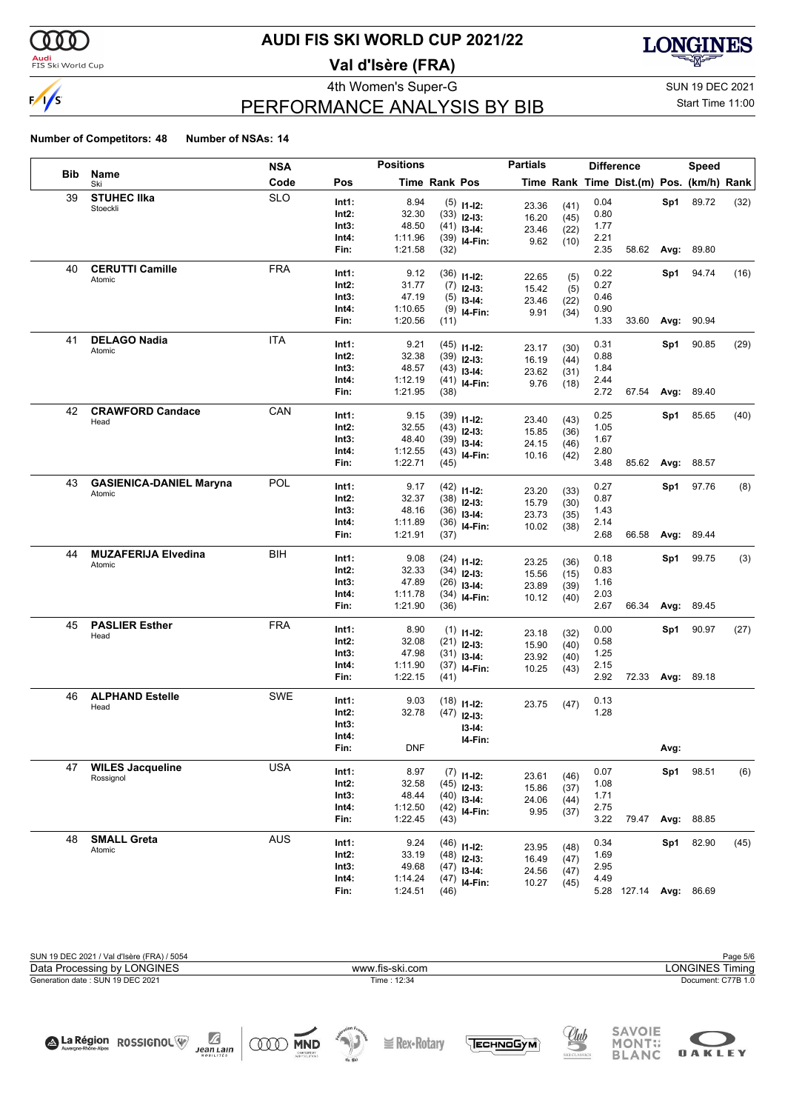

#### **Audi**<br>FIS Ski World Cup

# **AUDI FIS SKI WORLD CUP 2021/22**

**Val d'Isère (FRA)**



# PERFORMANCE ANALYSIS BY BIB

4th Women's Super-G Super-G SUN 19 DEC 2021 Start Time 11:00

**OAKLEY** 

#### **Number of Competitors: 48 Number of NSAs: 14**

|            |                                | <b>NSA</b> |                | <b>Positions</b> |                      |                                 | <b>Partials</b> |              |              | <b>Difference</b>                        |      | <b>Speed</b>     |      |
|------------|--------------------------------|------------|----------------|------------------|----------------------|---------------------------------|-----------------|--------------|--------------|------------------------------------------|------|------------------|------|
| <b>Bib</b> | Name<br>Ski                    | Code       | Pos            |                  | <b>Time Rank Pos</b> |                                 |                 |              |              | Time Rank Time Dist.(m) Pos. (km/h) Rank |      |                  |      |
| 39         | <b>STUHEC IIka</b>             | <b>SLO</b> | Int1:          | 8.94             |                      | $(5)$ 11-12:                    | 23.36           | (41)         | 0.04         |                                          | Sp1  | 89.72            | (32) |
|            | Stoeckli                       |            | Int2:          | 32.30            |                      | $(33)$ 12-13:                   | 16.20           | (45)         | 0.80         |                                          |      |                  |      |
|            |                                |            | Int3:          | 48.50            |                      | $(41)$ 13-14:                   | 23.46           | (22)         | 1.77         |                                          |      |                  |      |
|            |                                |            | Int4:          | 1:11.96          |                      | $(39)$ 14-Fin:                  | 9.62            | (10)         | 2.21         |                                          |      |                  |      |
|            |                                |            | Fin:           | 1:21.58          | (32)                 |                                 |                 |              | 2.35         | 58.62                                    | Avg: | 89.80            |      |
| 40         | <b>CERUTTI Camille</b>         | <b>FRA</b> | Int1:          | 9.12             |                      | $(36)$ 11-12:                   |                 |              | 0.22         |                                          | Sp1  | 94.74            | (16) |
|            | Atomic                         |            | Int2:          | 31.77            |                      | $(7)$ 12-13:                    | 22.65<br>15.42  | (5)          | 0.27         |                                          |      |                  |      |
|            |                                |            | Int3:          | 47.19            |                      | $(5)$ 13-14:                    | 23.46           | (5)<br>(22)  | 0.46         |                                          |      |                  |      |
|            |                                |            | Int4:          | 1:10.65          |                      | $(9)$ 14-Fin:                   | 9.91            | (34)         | 0.90         |                                          |      |                  |      |
|            |                                |            | Fin:           | 1:20.56          | (11)                 |                                 |                 |              | 1.33         | 33.60                                    | Avg: | 90.94            |      |
| 41         | <b>DELAGO Nadia</b>            | <b>ITA</b> | Int1:          | 9.21             |                      | $(45)$ 11-12:                   |                 |              | 0.31         |                                          | Sp1  | 90.85            | (29) |
|            | Atomic                         |            | Int2:          | 32.38            |                      | $(39)$ 12-13:                   | 23.17<br>16.19  | (30)         | 0.88         |                                          |      |                  |      |
|            |                                |            | Int3:          | 48.57            |                      | $(43)$ 13-14:                   | 23.62           | (44)         | 1.84         |                                          |      |                  |      |
|            |                                |            | Int4:          | 1:12.19          |                      | $(41)$ 14-Fin:                  | 9.76            | (31)<br>(18) | 2.44         |                                          |      |                  |      |
|            |                                |            | Fin:           | 1:21.95          | (38)                 |                                 |                 |              | 2.72         | 67.54                                    | Avg: | 89.40            |      |
| 42         | <b>CRAWFORD Candace</b>        | CAN        | Int1:          | 9.15             |                      | $(39)$ 11-12:                   |                 |              | 0.25         |                                          | Sp1  | 85.65            | (40) |
|            | Head                           |            | Int2:          | 32.55            |                      | $(43)$ 12-13:                   | 23.40           | (43)         | 1.05         |                                          |      |                  |      |
|            |                                |            | Int3:          | 48.40            |                      | $(39)$ 13-14:                   | 15.85           | (36)         | 1.67         |                                          |      |                  |      |
|            |                                |            | Int4:          | 1:12.55          |                      | $(43)$ 14-Fin:                  | 24.15<br>10.16  | (46)         | 2.80         |                                          |      |                  |      |
|            |                                |            | Fin:           | 1:22.71          | (45)                 |                                 |                 | (42)         | 3.48         | 85.62                                    | Avg: | 88.57            |      |
| 43         | <b>GASIENICA-DANIEL Maryna</b> | POL        | Int1:          | 9.17             |                      |                                 |                 |              | 0.27         |                                          | Sp1  | 97.76            | (8)  |
|            | Atomic                         |            | Int2:          | 32.37            |                      | $(42)$ 11-12:<br>$(38)$ 12-13:  | 23.20           | (33)         | 0.87         |                                          |      |                  |      |
|            |                                |            | Int3:          | 48.16            |                      | $(36)$ 13-14:                   | 15.79           | (30)         | 1.43         |                                          |      |                  |      |
|            |                                |            | Int4:          | 1:11.89          |                      | $(36)$ 14-Fin:                  | 23.73           | (35)         | 2.14         |                                          |      |                  |      |
|            |                                |            | Fin:           | 1:21.91          | (37)                 |                                 | 10.02           | (38)         | 2.68         | 66.58                                    | Avg: | 89.44            |      |
| 44         | <b>MUZAFERIJA Elvedina</b>     | BIH        |                |                  |                      |                                 |                 |              |              |                                          |      |                  |      |
|            | Atomic                         |            | Int1:<br>Int2: | 9.08<br>32.33    |                      | $(24)$ 11-12:                   | 23.25           | (36)         | 0.18<br>0.83 |                                          | Sp1  | 99.75            | (3)  |
|            |                                |            | Int3:          | 47.89            |                      | $(34)$ 12-13:                   | 15.56           | (15)         | 1.16         |                                          |      |                  |      |
|            |                                |            | Int4:          | 1:11.78          |                      | $(26)$ 13-14:<br>$(34)$ 14-Fin: | 23.89           | (39)         | 2.03         |                                          |      |                  |      |
|            |                                |            | Fin:           | 1:21.90          | (36)                 |                                 | 10.12           | (40)         | 2.67         | 66.34                                    | Avg: | 89.45            |      |
| 45         | <b>PASLIER Esther</b>          | <b>FRA</b> |                |                  |                      |                                 |                 |              |              |                                          |      |                  |      |
|            | Head                           |            | Int1:<br>Int2: | 8.90<br>32.08    |                      | $(1)$ 11-12:                    | 23.18           | (32)         | 0.00<br>0.58 |                                          | Sp1  | 90.97            | (27) |
|            |                                |            | Int3:          | 47.98            |                      | $(21)$ 12-13:                   | 15.90           | (40)         | 1.25         |                                          |      |                  |      |
|            |                                |            | Int4:          | 1:11.90          |                      | $(31)$ 13-14:<br>$(37)$ 14-Fin: | 23.92           | (40)         | 2.15         |                                          |      |                  |      |
|            |                                |            | Fin:           | 1:22.15          | (41)                 |                                 | 10.25           | (43)         | 2.92         |                                          |      | 72.33 Avg: 89.18 |      |
| 46         | <b>ALPHAND Estelle</b>         | SWE        |                |                  |                      |                                 |                 |              |              |                                          |      |                  |      |
|            | Head                           |            | Int1:          | 9.03             |                      | $(18)$ 11-12:                   | 23.75           | (47)         | 0.13         |                                          |      |                  |      |
|            |                                |            | Int2:<br>Int3: | 32.78            |                      | $(47)$ 12-13:                   |                 |              | 1.28         |                                          |      |                  |      |
|            |                                |            | Int4:          |                  |                      | $13-14:$                        |                 |              |              |                                          |      |                  |      |
|            |                                |            | FIN:           | <b>DNF</b>       |                      | I4-Fin:                         |                 |              |              |                                          | Avg: |                  |      |
| 47         | <b>WILES Jacqueline</b>        | <b>USA</b> |                |                  |                      |                                 |                 |              |              |                                          |      |                  |      |
|            | Rossignol                      |            | Int1:          | 8.97             |                      | $(7)$ 11-12:                    | 23.61           | (46)         | 0.07         |                                          | Sp1  | 98.51            | (6)  |
|            |                                |            | Int2:          | 32.58            |                      | $(45)$ 12-13:                   | 15.86           | (37)         | 1.08         |                                          |      |                  |      |
|            |                                |            | Int3:          | 48.44<br>1:12.50 |                      | $(40)$ 13-14:                   | 24.06           | (44)         | 1.71<br>2.75 |                                          |      |                  |      |
|            |                                |            | Int4:<br>Fin:  | 1:22.45          | (43)                 | $(42)$ 14-Fin:                  | 9.95            | (37)         | 3.22         | 79.47                                    | Avg: | 88.85            |      |
| 48         | <b>SMALL Greta</b>             | <b>AUS</b> |                |                  |                      |                                 |                 |              |              |                                          |      |                  |      |
|            | Atomic                         |            | Int1:          | 9.24             |                      | $(46)$ 11-12:                   | 23.95           | (48)         | 0.34         |                                          | Sp1  | 82.90            | (45) |
|            |                                |            | Int2:          | 33.19            |                      | $(48)$ 12-13:                   | 16.49           | (47)         | 1.69         |                                          |      |                  |      |
|            |                                |            | Int3:          | 49.68            |                      | $(47)$ 13-14:                   | 24.56           | (47)         | 2.95         |                                          |      |                  |      |
|            |                                |            | Int4:          | 1:14.24          |                      | $(47)$ 14-Fin:                  | 10.27           | (45)         | 4.49         |                                          |      |                  |      |
|            |                                |            | Fin:           | 1:24.51          | (46)                 |                                 |                 |              |              | 5.28 127.14 Avg: 86.69                   |      |                  |      |



TECHNOGYM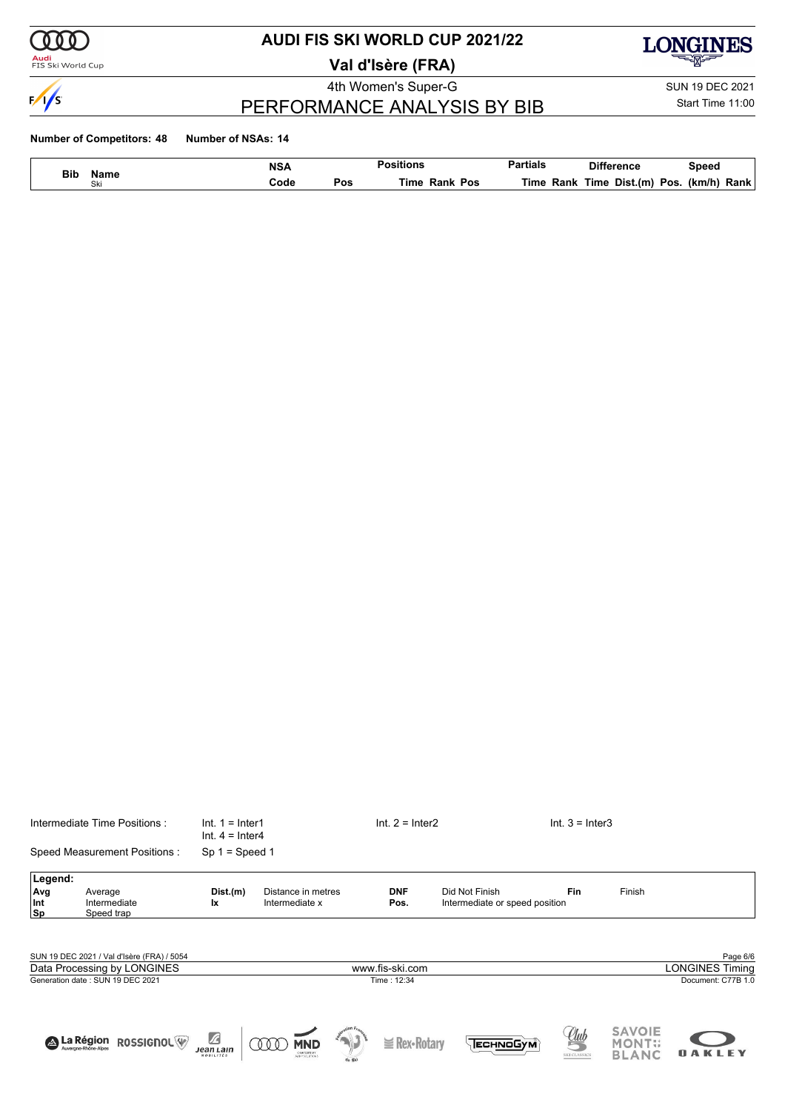

### <mark>Audi</mark><br>FIS Ski World Cup

# **AUDI FIS SKI WORLD CUP 2021/22**

**Val d'Isère (FRA)**





# PERFORMANCE ANALYSIS BY BIB

Start Time 11:00

#### **Number of Competitors: 48 Number of NSAs: 14**

| <b>Bib</b> |             | <b>NSA</b> |     |                            | $\sim$ $\sim$<br>ırtıals | ence                    | Speec         |
|------------|-------------|------------|-----|----------------------------|--------------------------|-------------------------|---------------|
| $\sim$     | Name<br>Ski | Code       | Pos | <b>Time</b><br>Pos<br>Rank | Rank<br>⊺ıme             | Dist.(m<br>Гіmе<br>POS. | Rank<br>(km/h |

|                   | Intermediate Time Positions :              | $Int. 1 = Inter1$<br>$Int. 4 = Inter4$ |                                      | $Int. 2 = Inter2$  |                                                  | $Int. 3 = Inter3$ |                                |                        |
|-------------------|--------------------------------------------|----------------------------------------|--------------------------------------|--------------------|--------------------------------------------------|-------------------|--------------------------------|------------------------|
|                   | Speed Measurement Positions:               | $Sp 1 = Speed 1$                       |                                      |                    |                                                  |                   |                                |                        |
| Legend:           |                                            |                                        |                                      |                    |                                                  |                   |                                |                        |
| Avg<br>Int<br> Sp | Average<br>Intermediate<br>Speed trap      | Dist.(m)<br>Ιx                         | Distance in metres<br>Intermediate x | <b>DNF</b><br>Pos. | Did Not Finish<br>Intermediate or speed position | Fin               | Finish                         |                        |
|                   |                                            |                                        |                                      |                    |                                                  |                   |                                |                        |
|                   | SUN 19 DEC 2021 / Val d'Isère (FRA) / 5054 |                                        |                                      |                    |                                                  |                   |                                | Page 6/6               |
|                   | Data Processing by LONGINES                |                                        |                                      | www.fis-ski.com    |                                                  |                   |                                | <b>LONGINES Timing</b> |
|                   | Generation date: SUN 19 DEC 2021           |                                        |                                      | Time: 12:34        |                                                  |                   |                                | Document: C77B 1.0     |
|                   |                                            |                                        |                                      |                    |                                                  |                   |                                |                        |
|                   | A La Région<br><b>ROSSIGNOL</b>            | $\mathbb Z$                            | <b>MND</b>                           | $\geq$ Rex-Rotary  | Еснмобум                                         | Club              | <b>SAVOIE</b><br><b>MONT::</b> |                        |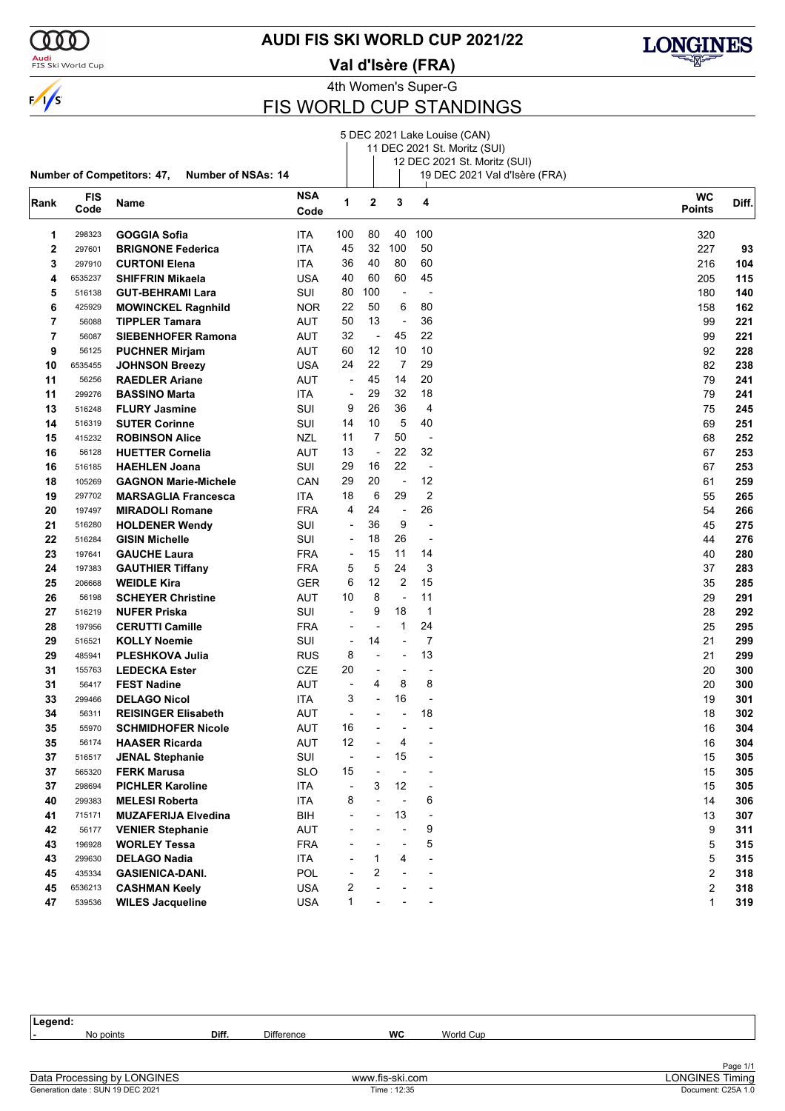

### <mark>Audi</mark><br>FIS Ski World Cup

**AUDI FIS SKI WORLD CUP 2021/22**

**Val d'Isère (FRA)**



4th Women's Super-G

### FIS WORLD CUP STANDINGS

|      |                    | <b>Number of Competitors: 47,</b><br><b>Number of NSAs: 14</b> |                    |                          |                          |                          |                  | 5 DEC 2021 Lake Louise (CAN)<br>11 DEC 2021 St. Moritz (SUI)<br>12 DEC 2021 St. Moritz (SUI)<br>19 DEC 2021 Val d'Isère (FRA) |                            |       |
|------|--------------------|----------------------------------------------------------------|--------------------|--------------------------|--------------------------|--------------------------|------------------|-------------------------------------------------------------------------------------------------------------------------------|----------------------------|-------|
| Rank | <b>FIS</b><br>Code | Name                                                           | <b>NSA</b><br>Code | 1                        | $\mathbf 2$              | 3                        | 4                |                                                                                                                               | <b>WC</b><br><b>Points</b> | Diff. |
| 1    | 298323             | <b>GOGGIA Sofia</b>                                            | ITA                | 100                      | 80                       | 40                       | 100              |                                                                                                                               | 320                        |       |
| 2    | 297601             | <b>BRIGNONE Federica</b>                                       | ITA                | 45                       | 32                       | 100                      | 50               |                                                                                                                               | 227                        | 93    |
| 3    | 297910             | <b>CURTONI Elena</b>                                           | ITA                | 36                       | 40                       | 80                       | 60               |                                                                                                                               | 216                        | 104   |
| 4    | 6535237            | <b>SHIFFRIN Mikaela</b>                                        | USA                | 40                       | 60                       | 60                       | 45               |                                                                                                                               | 205                        | 115   |
| 5    | 516138             | <b>GUT-BEHRAMI Lara</b>                                        | SUI                | 80                       | 100                      | $\overline{\phantom{a}}$ |                  |                                                                                                                               | 180                        | 140   |
| 6    | 425929             | <b>MOWINCKEL Ragnhild</b>                                      | <b>NOR</b>         | 22                       | 50                       | 6                        | 80               |                                                                                                                               | 158                        | 162   |
| 7    | 56088              | <b>TIPPLER Tamara</b>                                          | AUT                | 50                       | 13                       | $\overline{\phantom{a}}$ | 36               |                                                                                                                               | 99                         | 221   |
| 7    | 56087              | <b>SIEBENHOFER Ramona</b>                                      | AUT                | 32                       | $\overline{\phantom{a}}$ | 45                       | 22               |                                                                                                                               | 99                         | 221   |
| 9    | 56125              | <b>PUCHNER Mirjam</b>                                          | AUT                | 60                       | 12                       | 10                       | 10               |                                                                                                                               | 92                         | 228   |
| 10   | 6535455            | <b>JOHNSON Breezy</b>                                          | USA                | 24                       | 22                       | 7                        | 29               |                                                                                                                               | 82                         | 238   |
| 11   | 56256              | <b>RAEDLER Ariane</b>                                          | AUT                | $\overline{\phantom{a}}$ | 45                       | 14                       | 20               |                                                                                                                               | 79                         | 241   |
| 11   | 299276             | <b>BASSINO Marta</b>                                           | <b>ITA</b>         | -                        | 29                       | 32                       | 18               |                                                                                                                               | 79                         | 241   |
| 13   | 516248             | <b>FLURY Jasmine</b>                                           | SUI                | 9                        | 26                       | 36                       | 4                |                                                                                                                               | 75                         | 245   |
| 14   | 516319             | <b>SUTER Corinne</b>                                           | SUI                | 14                       | 10                       | 5                        | 40               |                                                                                                                               | 69                         | 251   |
| 15   | 415232             | <b>ROBINSON Alice</b>                                          | NZL                | 11                       | 7                        | 50                       | ÷,               |                                                                                                                               | 68                         | 252   |
| 16   | 56128              | <b>HUETTER Cornelia</b>                                        | AUT                | 13                       | ÷                        | 22                       | 32               |                                                                                                                               | 67                         | 253   |
| 16   | 516185             | <b>HAEHLEN Joana</b>                                           | SUI                | 29                       | 16                       | 22                       | ÷,               |                                                                                                                               | 67                         | 253   |
| 18   | 105269             | <b>GAGNON Marie-Michele</b>                                    | CAN                | 29                       | 20                       | $\overline{\phantom{a}}$ | 12               |                                                                                                                               | 61                         | 259   |
| 19   | 297702             | <b>MARSAGLIA Francesca</b>                                     | ITA                | 18                       | 6                        | 29                       | $\boldsymbol{2}$ |                                                                                                                               | 55                         | 265   |
| 20   | 197497             | <b>MIRADOLI Romane</b>                                         | <b>FRA</b>         | 4                        | 24                       | $\overline{\phantom{a}}$ | 26               |                                                                                                                               | 54                         | 266   |
| 21   | 516280             | <b>HOLDENER Wendy</b>                                          | SUI                | ÷,                       | 36                       | 9                        | $\overline{a}$   |                                                                                                                               | 45                         | 275   |
| 22   | 516284             | <b>GISIN Michelle</b>                                          | SUI                | $\overline{\phantom{a}}$ | 18                       | 26                       | $\overline{a}$   |                                                                                                                               | 44                         | 276   |
| 23   | 197641             | <b>GAUCHE Laura</b>                                            | <b>FRA</b>         | $\overline{\phantom{a}}$ | 15                       | 11                       | 14               |                                                                                                                               | 40                         | 280   |
| 24   | 197383             | <b>GAUTHIER Tiffany</b>                                        | <b>FRA</b>         | 5                        | 5                        | 24                       | 3                |                                                                                                                               | 37                         | 283   |
| 25   | 206668             | <b>WEIDLE Kira</b>                                             | <b>GER</b>         | 6                        | 12                       | $\overline{2}$           | 15               |                                                                                                                               | 35                         | 285   |
| 26   | 56198              | <b>SCHEYER Christine</b>                                       | AUT                | 10                       | 8                        | $\overline{\phantom{a}}$ | 11               |                                                                                                                               | 29                         | 291   |
| 27   | 516219             | <b>NUFER Priska</b>                                            | SUI                | $\overline{a}$           | 9                        | 18                       | 1                |                                                                                                                               | 28                         | 292   |
| 28   | 197956             | <b>CERUTTI Camille</b>                                         | <b>FRA</b>         | $\overline{\phantom{a}}$ | ÷                        | 1                        | 24               |                                                                                                                               | 25                         | 295   |
| 29   | 516521             | <b>KOLLY Noemie</b>                                            | SUI                | -                        | 14                       | $\blacksquare$           | 7                |                                                                                                                               | 21                         | 299   |
| 29   | 485941             | PLESHKOVA Julia                                                | <b>RUS</b>         | 8                        | ٠                        | $\blacksquare$           | 13               |                                                                                                                               | 21                         | 299   |
| 31   | 155763             | <b>LEDECKA Ester</b>                                           | <b>CZE</b>         | 20                       | ٠                        | $\overline{a}$           |                  |                                                                                                                               | 20                         | 300   |
| 31   | 56417              | <b>FEST Nadine</b>                                             | AUT                | $\overline{a}$           | 4                        | 8                        | 8                |                                                                                                                               | 20                         | 300   |
| 33   | 299466             | <b>DELAGO Nicol</b>                                            | ITA                | 3                        | $\overline{\phantom{0}}$ | 16                       |                  |                                                                                                                               | 19                         | 301   |
| 34   | 56311              | <b>REISINGER Elisabeth</b>                                     | AUT                | $\overline{\phantom{a}}$ |                          |                          | 18               |                                                                                                                               | 18                         | 302   |
| 35   | 55970              | <b>SCHMIDHOFER Nicole</b>                                      | <b>AUT</b>         | 16                       |                          |                          |                  |                                                                                                                               | 16                         | 304   |
| 35   | 56174              | <b>HAASER Ricarda</b>                                          | AUT                | 12                       |                          | 4                        |                  |                                                                                                                               | 16                         | 304   |
| 37   | 516517             | <b>JENAL Stephanie</b>                                         | SUI                | $\overline{\phantom{a}}$ |                          | 15                       |                  |                                                                                                                               | 15                         | 305   |
| 37   | 565320             | <b>FERK Marusa</b>                                             | <b>SLO</b>         | 15                       |                          |                          |                  |                                                                                                                               | 15                         | 305   |
| 37   | 298694             | <b>PICHLER Karoline</b>                                        | <b>ITA</b>         | -                        | 3                        | 12                       | ÷                |                                                                                                                               | 15                         | 305   |
| 40   | 299383             | <b>MELESI Roberta</b>                                          | ITA                | 8                        |                          |                          | 6                |                                                                                                                               | 14                         | 306   |
| 41   | 715171             | <b>MUZAFERIJA Elvedina</b>                                     | BIH                |                          |                          | 13                       |                  |                                                                                                                               | 13                         | 307   |
| 42   | 56177              | <b>VENIER Stephanie</b>                                        | <b>AUT</b>         |                          |                          |                          | 9                |                                                                                                                               | 9                          | 311   |
| 43   | 196928             | <b>WORLEY Tessa</b>                                            | <b>FRA</b>         |                          |                          |                          | 5                |                                                                                                                               | 5                          | 315   |
| 43   | 299630             | <b>DELAGO Nadia</b>                                            | ITA                |                          | 1                        | 4                        |                  |                                                                                                                               | 5                          | 315   |
| 45   | 435334             | <b>GASIENICA-DANI.</b>                                         | POL                |                          | 2                        |                          |                  |                                                                                                                               | $\overline{2}$             | 318   |
| 45   | 6536213            | <b>CASHMAN Keely</b>                                           | <b>USA</b>         | 2                        |                          |                          |                  |                                                                                                                               | 2                          | 318   |
| 47   | 539536             | <b>WILES Jacqueline</b>                                        | USA                | $\mathbf{1}$             |                          |                          |                  |                                                                                                                               | 1                          | 319   |

**Legend: -** No points **Diff.** Difference **WC** World Cup Page 1/1<br>LONGINES Timing<br>Document: C25A 1.0 Generation date : SUN 19 DEC 2021 Time : 12:35 Document: C25A 1.0 Data Processing by LONGINES www.fis-ski.com LONGINES Timing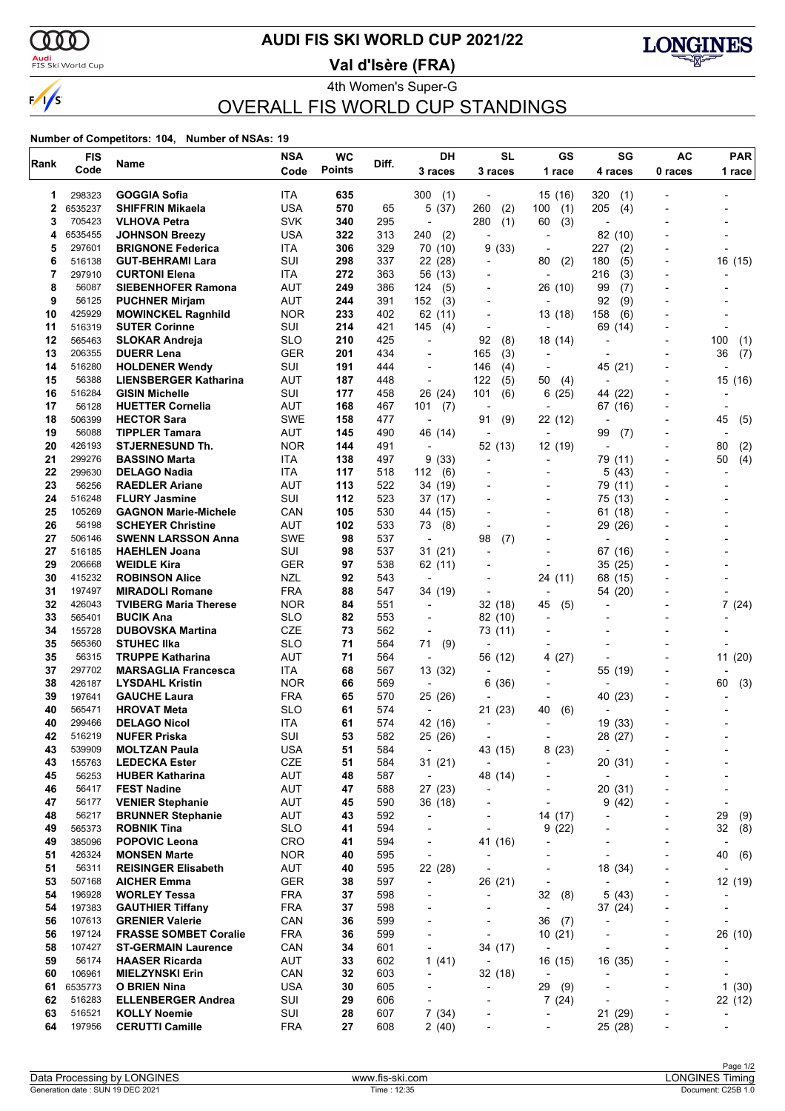

### <mark>Audi</mark><br>FIS Ski World Cup

### **AUDI FIS SKI WORLD CUP 2021/22**

**Val d'Isère (FRA)**



4th Women's Super-G OVERALL FIS WORLD CUP STANDINGS

#### **Number of Competitors: 104, Number of NSAs: 19**

| Rank     | <b>FIS</b>        | Name                                               | <b>NSA</b>        | <b>WC</b>     | Diff.      | DH                                                   | <b>SL</b>                           | GS                                  | SG                             | AC                                                   | <b>PAR</b>                            |
|----------|-------------------|----------------------------------------------------|-------------------|---------------|------------|------------------------------------------------------|-------------------------------------|-------------------------------------|--------------------------------|------------------------------------------------------|---------------------------------------|
|          | Code              |                                                    | Code              | <b>Points</b> |            | 3 races                                              | 3 races                             | 1 race                              | 4 races                        | 0 races                                              | 1 race                                |
| 1        | 298323            | GOGGIA Sofia                                       | ITA               | 635           |            | 300<br>(1)                                           | $\overline{\phantom{a}}$            | 15 (16)                             | 320<br>(1)                     |                                                      |                                       |
| 2        | 6535237           | <b>SHIFFRIN Mikaela</b>                            | <b>USA</b>        | 570           | 65         | 5(37)                                                | 260<br>(2)                          | 100<br>(1)                          | 205<br>(4)                     |                                                      |                                       |
| 3        | 705423            | <b>VLHOVA Petra</b>                                | SVK               | 340           | 295        | ÷,                                                   | 280<br>(1)                          | 60<br>(3)                           |                                |                                                      |                                       |
| 4        | 6535455           | <b>JOHNSON Breezy</b>                              | USA               | 322           | 313        | 240<br>(2)                                           |                                     | $\overline{\phantom{0}}$            | 82 (10)                        |                                                      |                                       |
| 5        | 297601            | <b>BRIGNONE Federica</b>                           | <b>ITA</b>        | 306           | 329        | 70 (10)                                              | (33)<br>9                           | ÷                                   | 227<br>(2)                     |                                                      |                                       |
| 6        | 516138            | <b>GUT-BEHRAMI Lara</b>                            | SUI               | 298           | 337        | 22 (28)                                              |                                     | 80<br>(2)                           | 180<br>(5)                     |                                                      | 16 (15)                               |
| 7        | 297910<br>56087   | <b>CURTONI Elena</b>                               | ITA               | 272           | 363        | 56 (13)                                              |                                     |                                     | 216<br>(3)                     |                                                      |                                       |
| 8<br>9   | 56125             | <b>SIEBENHOFER Ramona</b><br><b>PUCHNER Mirjam</b> | AUT<br>AUT        | 249<br>244    | 386<br>391 | 124<br>(5)<br>152<br>(3)                             |                                     | 26 (10)                             | 99<br>(7)<br>92<br>(9)         |                                                      |                                       |
| 10       | 425929            | <b>MOWINCKEL Ragnhild</b>                          | <b>NOR</b>        | 233           | 402        | 62 (11)                                              |                                     | 13 (18)                             | 158<br>(6)                     |                                                      |                                       |
| 11       | 516319            | <b>SUTER Corinne</b>                               | SUI               | 214           | 421        | 145<br>(4)                                           | $\blacksquare$                      | $\overline{a}$                      | 69<br>(14)                     |                                                      |                                       |
| 12       | 565463            | <b>SLOKAR Andreja</b>                              | SLO               | 210           | 425        | $\overline{a}$                                       | 92<br>(8)                           | 18 (14)                             |                                |                                                      | 100<br>(1)                            |
| 13       | 206355            | <b>DUERR Lena</b>                                  | GER               | 201           | 434        |                                                      | 165<br>(3)                          |                                     |                                |                                                      | 36<br>(7)                             |
| 14       | 516280            | <b>HOLDENER Wendy</b>                              | SUI               | 191           | 444        | $\overline{\phantom{a}}$                             | (4)<br>146                          | $\overline{\phantom{a}}$            | 45 (21)                        |                                                      |                                       |
| 15       | 56388             | <b>LIENSBERGER Katharina</b>                       | AUT               | 187           | 448        | ÷,                                                   | 122<br>(5)                          | 50<br>(4)                           |                                |                                                      | 15 (16)                               |
| 16       | 516284            | <b>GISIN Michelle</b>                              | SUI               | 177           | 458        | 26 (24)                                              | 101<br>(6)                          | (25)<br>6                           | 44 (22)                        |                                                      |                                       |
| 17       | 56128             | <b>HUETTER Cornelia</b>                            | AUT               | 168           | 467        | 101<br>(7)                                           |                                     | $\overline{a}$                      | 67 (16)                        |                                                      |                                       |
| 18       | 506399            | <b>HECTOR Sara</b>                                 | SWE               | 158           | 477        | $\overline{\phantom{a}}$                             | 91<br>(9)                           | 22 (12)                             |                                |                                                      | 45<br>(5)                             |
| 19<br>20 | 56088<br>426193   | <b>TIPPLER Tamara</b><br><b>STJERNESUND Th.</b>    | AUT<br><b>NOR</b> | 145<br>144    | 490<br>491 | 46 (14)<br>$\overline{\phantom{a}}$                  | $\overline{\phantom{0}}$<br>52 (13) | $\overline{\phantom{0}}$<br>12 (19) | 99<br>(7)                      |                                                      | $\overline{\phantom{a}}$<br>80<br>(2) |
| 21       | 299276            | <b>BASSINO Marta</b>                               | ITA               | 138           | 497        | 9(33)                                                |                                     | -                                   | 79 (11)                        |                                                      | (4)<br>50                             |
| 22       | 299630            | <b>DELAGO Nadia</b>                                | ITA               | 117           | 518        | 112<br>(6)                                           |                                     |                                     | (43)<br>5                      |                                                      |                                       |
| 23       | 56256             | <b>RAEDLER Ariane</b>                              | AUT               | 113           | 522        | 34 (19)                                              |                                     | $\overline{a}$                      | (11)<br>79                     |                                                      |                                       |
| 24       | 516248            | <b>FLURY Jasmine</b>                               | SUI               | 112           | 523        | 37 (17)                                              |                                     | -                                   | 75<br>(13)                     |                                                      |                                       |
| 25       | 105269            | <b>GAGNON Marie-Michele</b>                        | CAN               | 105           | 530        | 44 (15)                                              |                                     |                                     | 61 (18)                        |                                                      |                                       |
| 26       | 56198             | <b>SCHEYER Christine</b>                           | AUT               | 102           | 533        | 73<br>(8)                                            |                                     |                                     | (26)<br>29                     |                                                      |                                       |
| 27       | 506146            | <b>SWENN LARSSON Anna</b>                          | SWE               | 98            | 537        | $\overline{\phantom{a}}$                             | 98<br>(7)                           |                                     |                                |                                                      |                                       |
| 27       | 516185            | <b>HAEHLEN Joana</b>                               | SUI               | 98            | 537        | 31 (21)                                              |                                     |                                     | 67 (16)                        |                                                      |                                       |
| 29       | 206668            | <b>WEIDLE Kira</b>                                 | GER               | 97            | 538        | 62 (11)                                              |                                     |                                     | 35 (25)                        |                                                      |                                       |
| 30<br>31 | 415232<br>197497  | <b>ROBINSON Alice</b><br><b>MIRADOLI Romane</b>    | NZL<br>FRA        | 92<br>88      | 543<br>547 | $\overline{\phantom{a}}$<br>34 (19)                  | $\overline{a}$                      | 24 (11)<br>$\overline{\phantom{a}}$ | 68<br>(15)<br>54 (20)          |                                                      |                                       |
| 32       | 426043            | <b>TVIBERG Maria Therese</b>                       | <b>NOR</b>        | 84            | 551        | $\overline{a}$                                       | 32 (18)                             | (5)<br>45                           |                                |                                                      | 7(24)                                 |
| 33       | 565401            | <b>BUCIK Ana</b>                                   | SLO               | 82            | 553        | $\overline{a}$                                       | 82 (10)                             |                                     |                                |                                                      |                                       |
| 34       | 155728            | <b>DUBOVSKA Martina</b>                            | <b>CZE</b>        | 73            | 562        | $\overline{\phantom{a}}$                             | 73 (11)                             |                                     |                                |                                                      |                                       |
| 35       | 565360            | <b>STUHEC IIka</b>                                 | SLO               | 71            | 564        | (9)<br>71                                            |                                     |                                     |                                |                                                      |                                       |
| 35       | 56315             | <b>TRUPPE Katharina</b>                            | AUT               | 71            | 564        | $\overline{\phantom{a}}$                             | 56 (12)                             | (27)<br>4                           |                                |                                                      | 11(20)                                |
| 37       | 297702            | <b>MARSAGLIA Francesca</b>                         | ITA               | 68            | 567        | 13 (32)                                              | $\overline{\phantom{0}}$            |                                     | 55 (19)                        |                                                      |                                       |
| 38       | 426187            | <b>LYSDAHL Kristin</b>                             | <b>NOR</b>        | 66            | 569        | $\overline{a}$                                       | (36)<br>6                           |                                     |                                |                                                      | 60<br>(3)                             |
| 39       | 197641            | <b>GAUCHE Laura</b>                                | FRA               | 65            | 570        | 25 (26)                                              |                                     |                                     | 40<br>(23)                     |                                                      |                                       |
| 40<br>40 | 565471            | <b>HROVAT Meta</b><br><b>DELAGO Nicol</b>          | SLO<br>ITA        | 61<br>61      | 574<br>574 | $\overline{\phantom{a}}$<br>42 (16)                  | 21 (23)                             | 40<br>(6)                           |                                |                                                      |                                       |
| 42       | 299466<br>516219  | <b>NUFER Priska</b>                                | SUI               | 53            | 582        | 25 (26)                                              | $\overline{\phantom{a}}$            | $\overline{a}$                      | 19 (33)<br>28 (27)             |                                                      |                                       |
| 43       | 539909            | <b>MOLTZAN Paula</b>                               | <b>USA</b>        | 51            | 584        | $\blacksquare$                                       | 43 (15)                             | 8(23)                               | $\overline{\phantom{a}}$       |                                                      |                                       |
| 43       | 155763            | <b>LEDECKA Ester</b>                               | CZE               | 51            | 584        | 31(21)                                               | $\overline{\phantom{a}}$            | $\overline{\phantom{0}}$            | 20 (31)                        |                                                      |                                       |
| 45       | 56253             | <b>HUBER Katharina</b>                             | AUT               | 48            | 587        | $\blacksquare$                                       | 48 (14)                             | -                                   | $\overline{\phantom{a}}$       |                                                      |                                       |
| 46       | 56417             | <b>FEST Nadine</b>                                 | <b>AUT</b>        | 47            | 588        | 27 (23)                                              | $\overline{\phantom{a}}$            |                                     | 20 (31)                        |                                                      |                                       |
| 47       | 56177             | <b>VENIER Stephanie</b>                            | <b>AUT</b>        | 45            | 590        | 36 (18)                                              |                                     |                                     | 9(42)                          |                                                      | $\overline{a}$                        |
| 48       | 56217             | <b>BRUNNER Stephanie</b>                           | AUT               | 43            | 592        | $\overline{\phantom{a}}$                             |                                     | 14 (17)                             | $\overline{a}$                 |                                                      | 29<br>(9)                             |
| 49       | 565373            | <b>ROBNIK Tina</b>                                 | <b>SLO</b>        | 41            | 594        | $\overline{\phantom{a}}$                             | $\overline{\phantom{a}}$            | 9(22)                               |                                | $\overline{\phantom{0}}$                             | 32<br>(8)                             |
| 49<br>51 | 385096<br>426324  | <b>POPOVIC Leona</b><br><b>MONSEN Marte</b>        | <b>CRO</b><br>NOR | 41<br>40      | 594<br>595 | $\overline{\phantom{a}}$<br>$\overline{\phantom{a}}$ | 41 (16)                             |                                     | $\overline{a}$                 | $\blacksquare$                                       | 40<br>(6)                             |
| 51       | 56311             | <b>REISINGER Elisabeth</b>                         | AUT               | 40            | 595        | 22 (28)                                              |                                     |                                     | 18 (34)                        |                                                      |                                       |
| 53       | 507168            | <b>AICHER Emma</b>                                 | <b>GER</b>        | 38            | 597        | $\overline{\phantom{a}}$                             | 26 (21)                             | $\overline{\phantom{a}}$            |                                |                                                      | 12 (19)                               |
| 54       | 196928            | <b>WORLEY Tessa</b>                                | <b>FRA</b>        | 37            | 598        | ٠                                                    | $\overline{\phantom{a}}$            | 32<br>(8)                           | 5(43)                          | -                                                    |                                       |
| 54       | 197383            | <b>GAUTHIER Tiffany</b>                            | <b>FRA</b>        | 37            | 598        |                                                      |                                     | $\overline{\phantom{a}}$            | 37 (24)                        | $\overline{a}$                                       |                                       |
| 56       | 107613            | <b>GRENIER Valerie</b>                             | CAN               | 36            | 599        | $\overline{a}$                                       |                                     | 36<br>(7)                           | $\overline{a}$                 |                                                      |                                       |
| 56       | 197124            | <b>FRASSE SOMBET Coralie</b>                       | <b>FRA</b>        | 36            | 599        | ٠                                                    | $\overline{\phantom{a}}$            | 10(21)                              |                                | -                                                    | 26 (10)                               |
| 58       | 107427            | <b>ST-GERMAIN Laurence</b>                         | CAN               | 34            | 601        | $\overline{\phantom{a}}$                             | 34 (17)                             | $\overline{\phantom{a}}$            | $\overline{\phantom{a}}$       | $\overline{a}$                                       |                                       |
| 59       | 56174             | <b>HAASER Ricarda</b>                              | <b>AUT</b>        | 33            | 602        | 1(41)                                                |                                     | 16 (15)                             | 16 (35)                        | -                                                    |                                       |
| 60       | 106961            | <b>MIELZYNSKI Erin</b>                             | CAN               | 32            | 603        | $\overline{\phantom{0}}$                             | 32 (18)                             | $\overline{\phantom{a}}$            |                                |                                                      |                                       |
| 61<br>62 | 6535773<br>516283 | <b>O BRIEN Nina</b><br><b>ELLENBERGER Andrea</b>   | <b>USA</b><br>SUI | 30<br>29      | 605<br>606 | $\qquad \qquad \blacksquare$<br>$\blacksquare$       |                                     | (9)<br>29                           | $\overline{\phantom{a}}$<br>÷, | $\overline{\phantom{0}}$<br>$\overline{\phantom{0}}$ | 1(30)<br>22 (12)                      |
| 63       | 516521            | <b>KOLLY Noemie</b>                                | SUI               | 28            | 607        | 7(34)                                                |                                     | 7(24)<br>$\overline{\phantom{a}}$   | 21 (29)                        | -                                                    |                                       |
| 64       | 197956            | <b>CERUTTI Camille</b>                             | <b>FRA</b>        | 27            | 608        | 2(40)                                                |                                     | -                                   | 25 (28)                        | $\qquad \qquad \blacksquare$                         |                                       |
|          |                   |                                                    |                   |               |            |                                                      |                                     |                                     |                                |                                                      |                                       |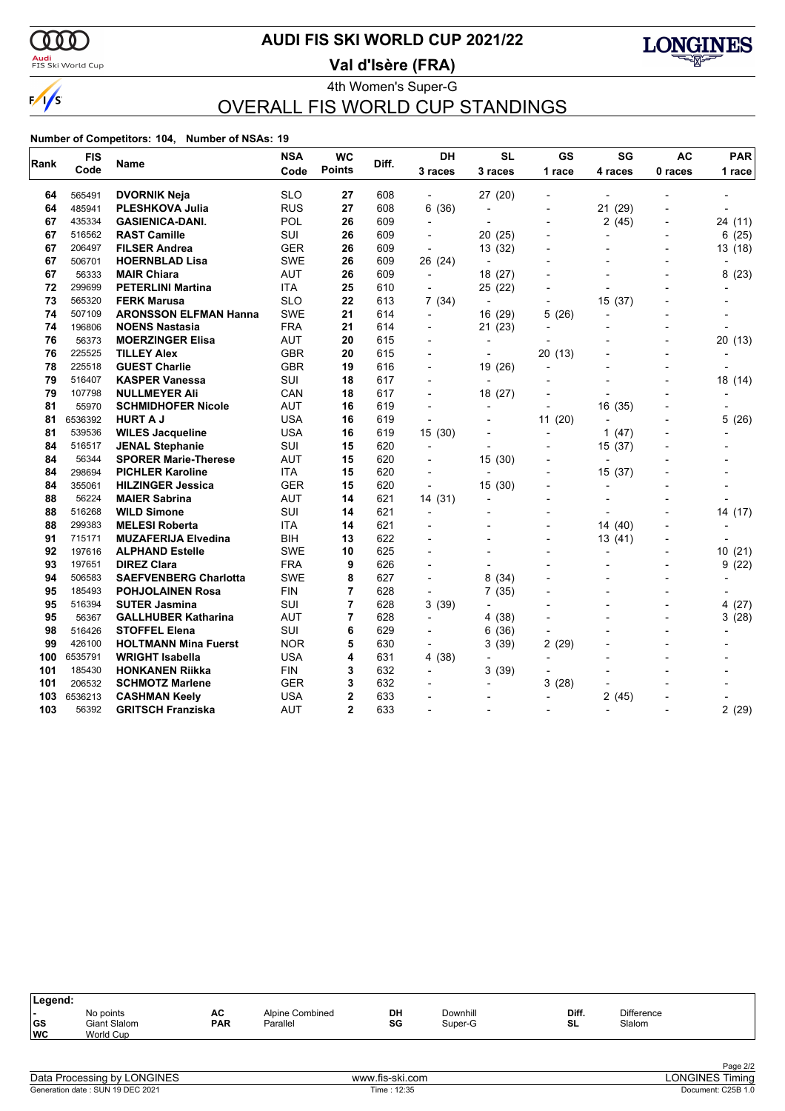

### <mark>Audi</mark><br>FIS Ski World Cup

### **AUDI FIS SKI WORLD CUP 2021/22**

**Val d'Isère (FRA)**



4th Women's Super-G OVERALL FIS WORLD CUP STANDINGS

#### **Number of Competitors: 104, Number of NSAs: 19**

| Rank | <b>FIS</b> | Name                         | <b>NSA</b> | <b>WC</b>      | Diff. | <b>DH</b>                | <b>SL</b>                | <b>GS</b>                | SG             | <b>AC</b>                | <b>PAR</b> |
|------|------------|------------------------------|------------|----------------|-------|--------------------------|--------------------------|--------------------------|----------------|--------------------------|------------|
|      | Code       |                              | Code       | <b>Points</b>  |       | 3 races                  | 3 races                  | 1 race                   | 4 races        | 0 races                  | 1 race     |
| 64   | 565491     | <b>DVORNIK Neja</b>          | <b>SLO</b> | 27             | 608   |                          | 27 (20)                  |                          |                |                          |            |
| 64   | 485941     | <b>PLESHKOVA Julia</b>       | <b>RUS</b> | 27             | 608   | 6(36)                    | $\overline{\phantom{a}}$ | $\overline{\phantom{0}}$ | 21 (29)        |                          |            |
| 67   | 435334     | <b>GASIENICA-DANI.</b>       | POL        | 26             | 609   | $\overline{a}$           | $\overline{\phantom{a}}$ | $\overline{a}$           | 2(45)          | $\blacksquare$           | 24 (11)    |
| 67   | 516562     | <b>RAST Camille</b>          | <b>SUI</b> | 26             | 609   |                          | 20 (25)                  |                          | $\overline{a}$ |                          | 6 (25)     |
| 67   | 206497     | <b>FILSER Andrea</b>         | <b>GER</b> | 26             | 609   | ÷,                       | 13 (32)                  |                          |                |                          | 13 (18)    |
| 67   | 506701     | <b>HOERNBLAD Lisa</b>        | <b>SWE</b> | 26             | 609   | 26 (24)                  | $\overline{a}$           |                          |                |                          |            |
| 67   | 56333      | <b>MAIR Chiara</b>           | <b>AUT</b> | 26             | 609   | $\overline{\phantom{a}}$ | 18 (27)                  |                          |                | $\overline{\phantom{a}}$ | 8<br>(23)  |
| 72   | 299699     | <b>PETERLINI Martina</b>     | <b>ITA</b> | 25             | 610   |                          | 25 (22)                  |                          |                |                          |            |
| 73   | 565320     | <b>FERK Marusa</b>           | <b>SLO</b> | 22             | 613   | 7(34)                    | $\overline{\phantom{a}}$ |                          | 15 (37)        |                          |            |
| 74   | 507109     | <b>ARONSSON ELFMAN Hanna</b> | <b>SWE</b> | 21             | 614   | $\blacksquare$           | 16 (29)                  | 5<br>(26)                |                |                          |            |
| 74   | 196806     | <b>NOENS Nastasia</b>        | <b>FRA</b> | 21             | 614   | $\overline{\phantom{a}}$ | 21 (23)                  |                          |                |                          |            |
| 76   | 56373      | <b>MOERZINGER Elisa</b>      | <b>AUT</b> | 20             | 615   |                          |                          |                          |                |                          | 20(13)     |
| 76   | 225525     | <b>TILLEY Alex</b>           | <b>GBR</b> | 20             | 615   |                          | $\overline{\phantom{0}}$ | 20(13)                   |                | $\overline{a}$           |            |
| 78   | 225518     | <b>GUEST Charlie</b>         | <b>GBR</b> | 19             | 616   |                          | 19 (26)                  | $\overline{\phantom{0}}$ |                |                          |            |
| 79   | 516407     | <b>KASPER Vanessa</b>        | <b>SUI</b> | 18             | 617   | $\overline{a}$           | $\overline{\phantom{a}}$ |                          |                | $\overline{\phantom{0}}$ | 18 (14)    |
| 79   | 107798     | <b>NULLMEYER Ali</b>         | CAN        | 18             | 617   |                          | 18 (27)                  |                          |                |                          |            |
| 81   | 55970      | <b>SCHMIDHOFER Nicole</b>    | <b>AUT</b> | 16             | 619   |                          |                          |                          | 16 (35)        |                          |            |
| 81   | 6536392    | <b>HURT A J</b>              | <b>USA</b> | 16             | 619   |                          |                          | 11(20)                   |                |                          | 5(26)      |
| 81   | 539536     | <b>WILES Jacqueline</b>      | <b>USA</b> | 16             | 619   | 15(30)                   |                          | $\overline{a}$           | 1<br>(47)      | $\overline{\phantom{0}}$ |            |
| 84   | 516517     | <b>JENAL Stephanie</b>       | SUI        | 15             | 620   |                          |                          |                          | 15 (37)        |                          |            |
| 84   | 56344      | <b>SPORER Marie-Therese</b>  | <b>AUT</b> | 15             | 620   |                          | 15(30)                   |                          |                |                          |            |
| 84   | 298694     | <b>PICHLER Karoline</b>      | <b>ITA</b> | 15             | 620   |                          | $\blacksquare$           |                          | 15 (37)        |                          |            |
| 84   | 355061     | <b>HILZINGER Jessica</b>     | GER        | 15             | 620   | $\blacksquare$           | 15(30)                   | $\overline{\phantom{0}}$ | $\overline{a}$ |                          |            |
| 88   | 56224      | <b>MAIER Sabrina</b>         | <b>AUT</b> | 14             | 621   | 14 (31)                  | $\overline{a}$           |                          |                |                          |            |
| 88   | 516268     | <b>WILD Simone</b>           | <b>SUI</b> | 14             | 621   | $\overline{a}$           |                          |                          |                |                          | 14 (17)    |
| 88   | 299383     | <b>MELESI Roberta</b>        | <b>ITA</b> | 14             | 621   |                          |                          |                          | 14 (40)        |                          |            |
| 91   | 715171     | <b>MUZAFERIJA Elvedina</b>   | BIH        | 13             | 622   |                          | $\overline{\phantom{a}}$ | $\overline{\phantom{0}}$ | 13 (41)        | $\overline{a}$           |            |
| 92   | 197616     | <b>ALPHAND Estelle</b>       | <b>SWE</b> | 10             | 625   |                          |                          |                          |                |                          | 10(21)     |
| 93   | 197651     | <b>DIREZ Clara</b>           | <b>FRA</b> | 9              | 626   |                          |                          |                          |                |                          | 9(22)      |
| 94   | 506583     | <b>SAEFVENBERG Charlotta</b> | <b>SWE</b> | 8              | 627   |                          | 8<br>(34)                |                          |                |                          |            |
| 95   | 185493     | <b>POHJOLAINEN Rosa</b>      | <b>FIN</b> | 7              | 628   | $\overline{a}$           | 7(35)                    |                          |                |                          |            |
| 95   | 516394     | <b>SUTER Jasmina</b>         | SUI        | 7              | 628   | 3(39)                    |                          |                          |                |                          | (27)<br>4  |
| 95   | 56367      | <b>GALLHUBER Katharina</b>   | <b>AUT</b> | $\overline{7}$ | 628   |                          | 4(38)                    |                          |                | $\overline{\phantom{a}}$ | 3(28)      |
| 98   | 516426     | <b>STOFFEL Elena</b>         | <b>SUI</b> | 6              | 629   |                          | 6(36)                    |                          |                |                          |            |
| 99   | 426100     | <b>HOLTMANN Mina Fuerst</b>  | <b>NOR</b> | 5              | 630   | $\blacksquare$           | 3(39)                    | 2(29)                    |                |                          |            |
| 100  | 6535791    | <b>WRIGHT Isabella</b>       | <b>USA</b> | 4              | 631   | 4 (38)                   |                          |                          |                |                          |            |
| 101  | 185430     | <b>HONKANEN Riikka</b>       | <b>FIN</b> | 3              | 632   |                          | 3(39)                    |                          |                |                          |            |
| 101  | 206532     | <b>SCHMOTZ Marlene</b>       | <b>GER</b> | 3              | 632   |                          |                          | 3<br>(28)                |                |                          |            |
| 103  | 6536213    | <b>CASHMAN Keely</b>         | <b>USA</b> | 2              | 633   |                          |                          | $\overline{a}$           | 2(45)          |                          |            |
| 103  | 56392      | <b>GRITSCH Franziska</b>     | <b>AUT</b> | $\overline{2}$ | 633   |                          |                          |                          |                |                          | 2(29)      |

| Legend:                                         |                                               |                  |                             |          |                     |             |                             |  |
|-------------------------------------------------|-----------------------------------------------|------------------|-----------------------------|----------|---------------------|-------------|-----------------------------|--|
| $\overline{\phantom{0}}$<br>$ $ GS<br><b>WC</b> | No points<br><b>Giant Slalom</b><br>World Cup | AC<br><b>PAR</b> | Alpine Combined<br>Parallel | DH<br>SG | Downhill<br>Super-G | Diff.<br>SL | <b>Difference</b><br>Slalom |  |
|                                                 |                                               |                  |                             |          |                     |             |                             |  |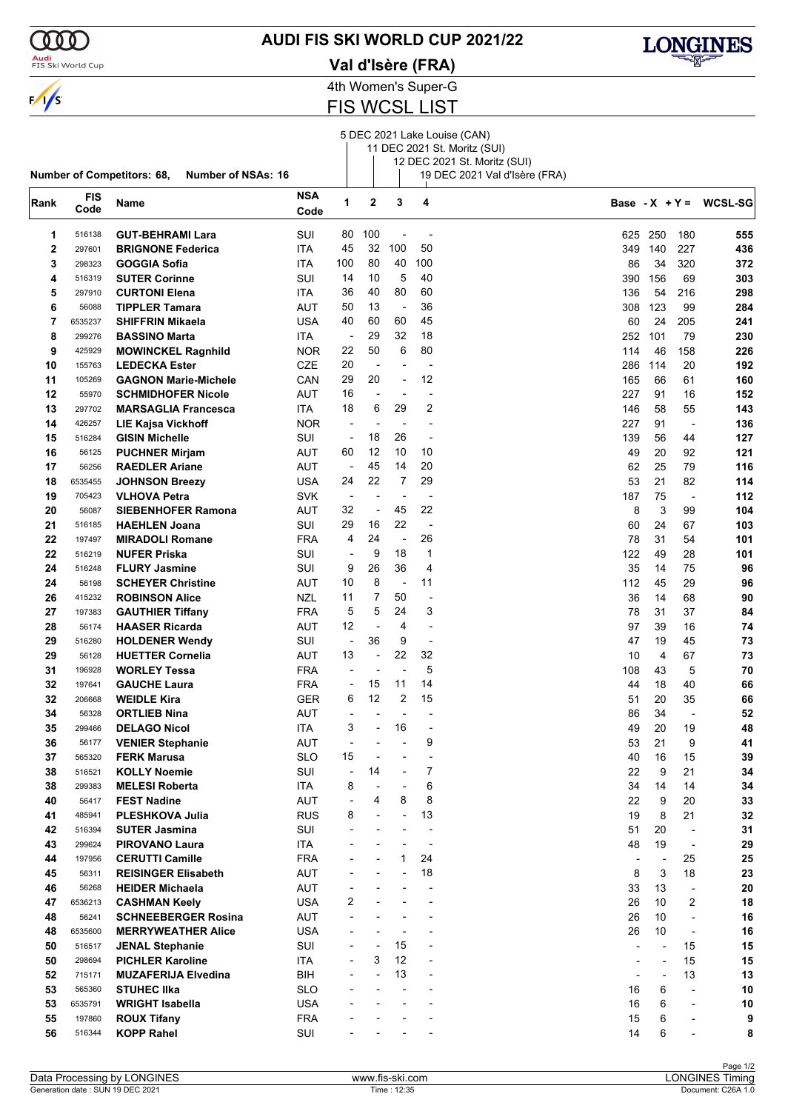

### <mark>Audi</mark><br>FIS Ski World Cup

### **AUDI FIS SKI WORLD CUP 2021/22**

**Val d'Isère (FRA)**



4th Women's Super-G

FIS WCSL LIST

5 DEC 2021 Lake Louise (CAN)

|      |            |                                                                |            |                          |                          |                          |                          | 11 DEC 2021 St. Moritz (SUI)  |                              |                          |                          |                          |
|------|------------|----------------------------------------------------------------|------------|--------------------------|--------------------------|--------------------------|--------------------------|-------------------------------|------------------------------|--------------------------|--------------------------|--------------------------|
|      |            |                                                                |            |                          |                          |                          |                          | 12 DEC 2021 St. Moritz (SUI)  |                              |                          |                          |                          |
|      |            | <b>Number of Competitors: 68,</b><br><b>Number of NSAs: 16</b> |            |                          |                          |                          |                          | 19 DEC 2021 Val d'Isère (FRA) |                              |                          |                          |                          |
| Rank | <b>FIS</b> | Name                                                           | <b>NSA</b> | 1                        | 2                        | 3                        | 4                        |                               |                              |                          |                          | Base - $X + Y = WCSL-SG$ |
|      | Code       |                                                                | Code       |                          |                          |                          |                          |                               |                              |                          |                          |                          |
| 1    | 516138     | <b>GUT-BEHRAMI Lara</b>                                        | SUI        | 80                       | 100                      | $\overline{\phantom{a}}$ |                          |                               |                              | 625 250                  | 180                      | 555                      |
| 2    | 297601     | <b>BRIGNONE Federica</b>                                       | ITA        | 45                       | 32                       | 100                      | 50                       |                               | 349                          | 140                      | 227                      | 436                      |
| 3    | 298323     | GOGGIA Sofia                                                   | ITA        | 100                      | 80                       | 40                       | 100                      |                               | 86                           | 34                       | 320                      | 372                      |
| 4    | 516319     | <b>SUTER Corinne</b>                                           | SUI        | 14                       | 10                       | 5                        | 40                       |                               | 390                          | 156                      | 69                       | 303                      |
| 5    | 297910     | <b>CURTONI Elena</b>                                           | ITA        | 36                       | 40                       | 80                       | 60                       |                               | 136                          | 54                       | 216                      | 298                      |
| 6    | 56088      | TIPPLER Tamara                                                 | AUT        | 50                       | 13                       | $\overline{\phantom{a}}$ | 36                       |                               | 308                          | 123                      | 99                       | 284                      |
| 7    | 6535237    | SHIFFRIN Mikaela                                               | <b>USA</b> | 40                       | 60                       | 60                       | 45                       |                               | 60                           | 24                       | 205                      | 241                      |
|      |            |                                                                |            |                          |                          | 32                       | 18                       |                               |                              |                          |                          |                          |
| 8    | 299276     | <b>BASSINO Marta</b>                                           | ITA        | $\overline{\phantom{a}}$ | 29                       | 6                        |                          |                               | 252                          | 101                      | 79                       | 230                      |
| 9    | 425929     | <b>MOWINCKEL Ragnhild</b>                                      | <b>NOR</b> | 22                       | 50                       |                          | 80                       |                               | 114                          | 46                       | 158                      | 226                      |
| 10   | 155763     | <b>LEDECKA Ester</b>                                           | <b>CZE</b> | 20                       | ÷                        | ł,                       |                          |                               | 286                          | 114                      | 20                       | 192                      |
| 11   | 105269     | <b>GAGNON Marie-Michele</b>                                    | CAN        | 29                       | 20                       | $\blacksquare$           | 12                       |                               | 165                          | 66                       | 61                       | 160                      |
| 12   | 55970      | <b>SCHMIDHOFER Nicole</b>                                      | AUT        | 16                       | $\overline{a}$           | ٠                        |                          |                               | 227                          | 91                       | 16                       | 152                      |
| 13   | 297702     | <b>MARSAGLIA Francesca</b>                                     | ITA        | 18                       | 6                        | 29                       | 2                        |                               | 146                          | 58                       | 55                       | 143                      |
| 14   | 426257     | LIE Kajsa Vickhoff                                             | <b>NOR</b> | $\overline{\phantom{a}}$ | $\overline{\phantom{a}}$ | $\overline{\phantom{a}}$ | $\overline{a}$           |                               | 227                          | 91                       | $\overline{\phantom{a}}$ | 136                      |
| 15   | 516284     | <b>GISIN Michelle</b>                                          | SUI        | $\overline{\phantom{a}}$ | 18                       | 26                       | $\overline{a}$           |                               | 139                          | 56                       | 44                       | 127                      |
| 16   | 56125      | <b>PUCHNER Mirjam</b>                                          | AUT        | 60                       | 12                       | 10                       | 10                       |                               | 49                           | 20                       | 92                       | 121                      |
| 17   | 56256      | <b>RAEDLER Ariane</b>                                          | AUT        | $\overline{\phantom{a}}$ | 45                       | 14                       | 20                       |                               | 62                           | 25                       | 79                       | 116                      |
| 18   | 6535455    | <b>JOHNSON Breezy</b>                                          | <b>USA</b> | 24                       | 22                       | 7                        | 29                       |                               | 53                           | 21                       | 82                       | 114                      |
| 19   | 705423     | <b>VLHOVA Petra</b>                                            | <b>SVK</b> | $\overline{\phantom{a}}$ | $\overline{\phantom{a}}$ | ÷,                       |                          |                               | 187                          | 75                       | $\overline{\phantom{a}}$ | 112                      |
| 20   | 56087      | <b>SIEBENHOFER Ramona</b>                                      | AUT        | 32                       | $\overline{a}$           | 45                       | 22                       |                               | 8                            | 3                        | 99                       | 104                      |
| 21   | 516185     | <b>HAEHLEN Joana</b>                                           | SUI        | 29                       | 16                       | 22                       | $\overline{\phantom{a}}$ |                               | 60                           | 24                       | 67                       | 103                      |
|      |            |                                                                |            | 4                        | 24                       | $\overline{\phantom{a}}$ | 26                       |                               |                              | 31                       |                          |                          |
| 22   | 197497     | <b>MIRADOLI Romane</b>                                         | <b>FRA</b> |                          |                          |                          |                          |                               | 78                           |                          | 54                       | 101                      |
| 22   | 516219     | <b>NUFER Priska</b>                                            | SUI        | $\overline{\phantom{a}}$ | 9                        | 18                       | $\mathbf{1}$             |                               | 122                          | 49                       | 28                       | 101                      |
| 24   | 516248     | <b>FLURY Jasmine</b>                                           | SUI        | 9                        | 26                       | 36                       | 4                        |                               | 35                           | 14                       | 75                       | 96                       |
| 24   | 56198      | <b>SCHEYER Christine</b>                                       | AUT        | 10                       | 8                        | $\overline{\phantom{a}}$ | 11                       |                               | 112                          | 45                       | 29                       | 96                       |
| 26   | 415232     | <b>ROBINSON Alice</b>                                          | <b>NZL</b> | 11                       | 7                        | 50                       |                          |                               | 36                           | 14                       | 68                       | 90                       |
| 27   | 197383     | <b>GAUTHIER Tiffany</b>                                        | <b>FRA</b> | 5                        | 5                        | 24                       | 3                        |                               | 78                           | 31                       | 37                       | 84                       |
| 28   | 56174      | <b>HAASER Ricarda</b>                                          | <b>AUT</b> | 12                       | $\overline{a}$           | 4                        | $\overline{a}$           |                               | 97                           | 39                       | 16                       | 74                       |
| 29   | 516280     | <b>HOLDENER Wendy</b>                                          | SUI        | $\overline{\phantom{a}}$ | 36                       | 9                        | $\overline{a}$           |                               | 47                           | 19                       | 45                       | 73                       |
| 29   | 56128      | <b>HUETTER Cornelia</b>                                        | <b>AUT</b> | 13                       | $\overline{\phantom{a}}$ | 22                       | 32                       |                               | 10                           | 4                        | 67                       | 73                       |
| 31   | 196928     | <b>WORLEY Tessa</b>                                            | <b>FRA</b> |                          | ÷                        | ÷,                       | 5                        |                               | 108                          | 43                       | 5                        | 70                       |
| 32   | 197641     | <b>GAUCHE Laura</b>                                            | <b>FRA</b> | $\overline{\phantom{a}}$ | 15                       | 11                       | 14                       |                               | 44                           | 18                       | 40                       | 66                       |
| 32   | 206668     | <b>WEIDLE Kira</b>                                             | <b>GER</b> | 6                        | 12                       | 2                        | 15                       |                               | 51                           | 20                       | 35                       | 66                       |
| 34   | 56328      | <b>ORTLIEB Nina</b>                                            | <b>AUT</b> | $\overline{\phantom{a}}$ | ÷                        |                          |                          |                               | 86                           | 34                       | $\overline{\phantom{a}}$ | 52                       |
| 35   | 299466     | <b>DELAGO Nicol</b>                                            | ITA        | 3                        | $\overline{\phantom{a}}$ | 16                       | $\blacksquare$           |                               | 49                           | 20                       | 19                       | 48                       |
| 36   | 56177      | <b>VENIER Stephanie</b>                                        | AUT        |                          |                          |                          | 9                        |                               | 53                           | 21                       | 9                        | 41                       |
| 37   | 565320     | <b>FERK Marusa</b>                                             | <b>SLO</b> | 15                       |                          |                          |                          |                               | 40                           | 16                       | 15                       | 39                       |
| 38   | 516521     | <b>KOLLY Noemie</b>                                            | SUI        | $\overline{a}$           | 14                       | $\overline{a}$           | 7                        |                               | 22                           | 9                        | 21                       | 34                       |
|      |            |                                                                |            |                          |                          |                          | 6                        |                               |                              |                          |                          |                          |
| 38   | 299383     | <b>MELESI Roberta</b>                                          | ITA        | 8                        |                          |                          |                          |                               | 34                           | 14                       | 14                       | 34                       |
| 40   | 56417      | <b>FEST Nadine</b>                                             | AUT        | ÷,                       | 4                        | 8                        | 8                        |                               | 22                           | 9                        | 20                       | 33                       |
| 41   | 485941     | <b>PLESHKOVA Julia</b>                                         | <b>RUS</b> | 8                        | $\overline{a}$           | L,                       | 13                       |                               | 19                           | 8                        | 21                       | 32                       |
| 42   | 516394     | <b>SUTER Jasmina</b>                                           | SUI        |                          |                          |                          | $\overline{a}$           |                               | 51                           | 20                       | $\overline{a}$           | 31                       |
| 43   | 299624     | <b>PIROVANO Laura</b>                                          | ITA        |                          |                          |                          | $\overline{a}$           |                               | 48                           | 19                       | $\overline{a}$           | 29                       |
| 44   | 197956     | <b>CERUTTI Camille</b>                                         | <b>FRA</b> |                          |                          | 1                        | 24                       |                               | $\qquad \qquad \blacksquare$ | $\overline{\phantom{a}}$ | 25                       | 25                       |
| 45   | 56311      | <b>REISINGER Elisabeth</b>                                     | AUT        |                          |                          |                          | 18                       |                               | 8                            | 3                        | 18                       | 23                       |
| 46   | 56268      | <b>HEIDER Michaela</b>                                         | AUT        |                          |                          |                          |                          |                               | 33                           | 13                       |                          | 20                       |
| 47   | 6536213    | <b>CASHMAN Keely</b>                                           | <b>USA</b> | 2                        |                          |                          |                          |                               | 26                           | 10                       | 2                        | 18                       |
| 48   | 56241      | <b>SCHNEEBERGER Rosina</b>                                     | AUT        |                          |                          |                          |                          |                               | 26                           | 10                       | $\overline{a}$           | 16                       |
| 48   | 6535600    | <b>MERRYWEATHER Alice</b>                                      | <b>USA</b> |                          |                          | ٠                        |                          |                               | 26                           | 10                       | $\overline{a}$           | 16                       |
| 50   | 516517     | <b>JENAL Stephanie</b>                                         | SUI        |                          |                          | 15                       |                          |                               |                              | $\overline{\phantom{a}}$ | 15                       | 15                       |
| 50   | 298694     | <b>PICHLER Karoline</b>                                        | <b>ITA</b> | $\blacksquare$           | 3                        | 12                       |                          |                               |                              | ÷,                       | 15                       | 15                       |
| 52   | 715171     | <b>MUZAFERIJA Elvedina</b>                                     | BIH        |                          |                          | 13                       |                          |                               |                              | $\overline{\phantom{a}}$ | 13                       | 13                       |
| 53   | 565360     | <b>STUHEC IIka</b>                                             | <b>SLO</b> |                          |                          |                          |                          |                               | 16                           | 6                        | $\overline{a}$           | 10                       |
| 53   | 6535791    | <b>WRIGHT Isabella</b>                                         | <b>USA</b> |                          |                          |                          |                          |                               | 16                           | 6                        | $\overline{a}$           | 10                       |
| 55   | 197860     |                                                                | <b>FRA</b> |                          |                          |                          |                          |                               | 15                           |                          | $\overline{a}$           |                          |
|      |            | <b>ROUX Tifany</b>                                             |            |                          |                          |                          |                          |                               |                              | 6                        |                          | 9                        |
| 56   | 516344     | <b>KOPP Rahel</b>                                              | SUI        |                          |                          |                          |                          |                               | 14                           | 6                        |                          | 8                        |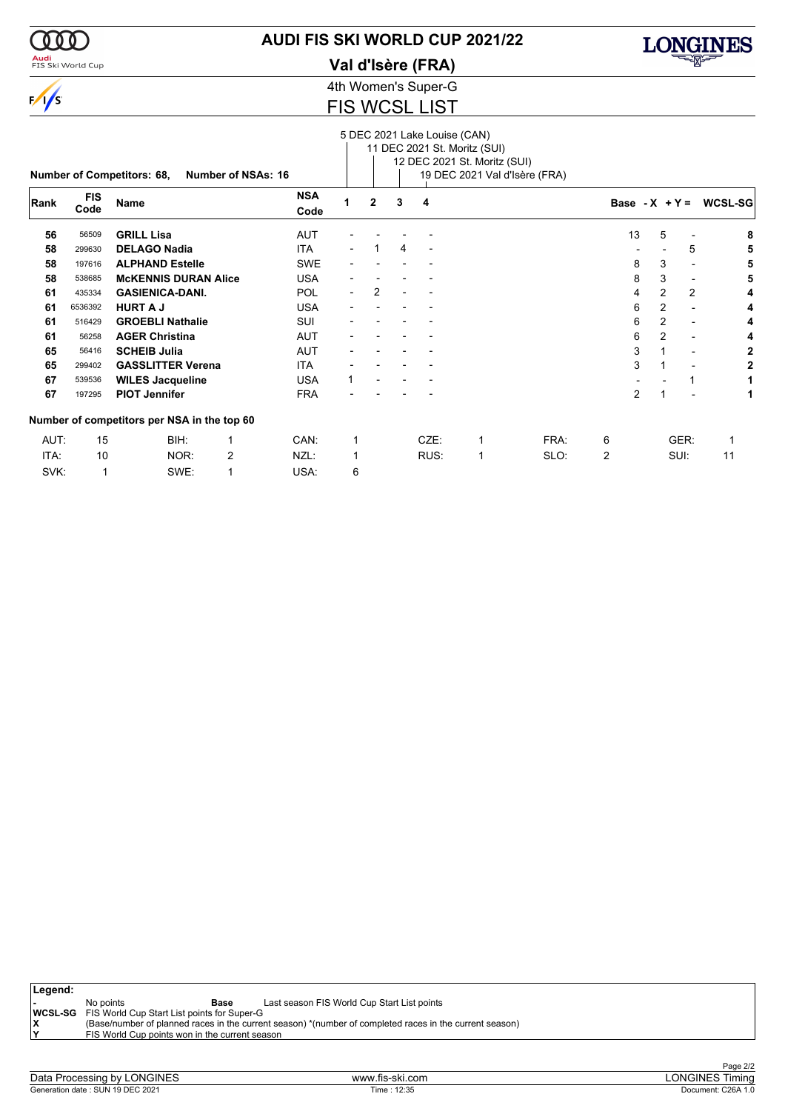

<mark>Audi</mark><br>FIS Ski World Cup

### **AUDI FIS SKI WORLD CUP 2021/22**

**Val d'Isère (FRA)**



4th Women's Super-G

### FIS WCSL LIST

|      |                    |                                             |                    |             |                          |                |   | 5 DEC 2021 Lake Louise (CAN) | 11 DEC 2021 St. Moritz (SUI)<br>12 DEC 2021 St. Moritz (SUI) |      |                 |                |      |         |
|------|--------------------|---------------------------------------------|--------------------|-------------|--------------------------|----------------|---|------------------------------|--------------------------------------------------------------|------|-----------------|----------------|------|---------|
|      |                    | <b>Number of Competitors: 68,</b>           | Number of NSAs: 16 |             |                          |                |   |                              | 19 DEC 2021 Val d'Isère (FRA)                                |      |                 |                |      |         |
| Rank | <b>FIS</b><br>Code | <b>Name</b>                                 |                    | NSA<br>Code | 1                        | $\overline{2}$ | 3 | 4                            |                                                              |      | Base $-X + Y =$ |                |      | WCSL-SG |
| 56   | 56509              | <b>GRILL Lisa</b>                           |                    | AUT         |                          |                |   |                              |                                                              |      | 13              | 5              |      | 8       |
| 58   | 299630             | <b>DELAGO Nadia</b>                         |                    | <b>ITA</b>  |                          |                | 4 |                              |                                                              |      |                 |                | 5    | 5       |
| 58   | 197616             | <b>ALPHAND Estelle</b>                      |                    | SWE         |                          |                |   |                              |                                                              |      | 8               | 3              |      | 5       |
| 58   | 538685             | <b>McKENNIS DURAN Alice</b>                 |                    | <b>USA</b>  |                          |                |   |                              |                                                              |      | 8               | 3              |      | 5       |
| 61   | 435334             | <b>GASIENICA-DANI.</b>                      |                    | <b>POL</b>  | $\overline{\phantom{0}}$ | 2              |   |                              |                                                              |      | 4               | $\overline{2}$ | 2    | 4       |
| 61   | 6536392            | <b>HURT A J</b>                             |                    | <b>USA</b>  |                          |                |   |                              |                                                              |      | 6               | $\overline{2}$ |      | 4       |
| 61   | 516429             | <b>GROEBLI Nathalie</b>                     |                    | SUI         |                          |                |   |                              |                                                              |      | 6               | $\overline{2}$ |      | 4       |
| 61   | 56258              | <b>AGER Christina</b>                       |                    | <b>AUT</b>  |                          |                |   |                              |                                                              |      | 6               | $\overline{2}$ |      | 4       |
| 65   | 56416              | <b>SCHEIB Julia</b>                         |                    | <b>AUT</b>  |                          |                |   |                              |                                                              |      | 3               |                |      | 2       |
| 65   | 299402             | <b>GASSLITTER Verena</b>                    |                    | ITA.        |                          |                |   |                              |                                                              |      | 3               |                |      | 2       |
| 67   | 539536             | <b>WILES Jacqueline</b>                     |                    | <b>USA</b>  |                          |                |   |                              |                                                              |      |                 |                |      |         |
| 67   | 197295             | <b>PIOT Jennifer</b>                        |                    | <b>FRA</b>  |                          |                |   |                              |                                                              |      | $\overline{2}$  |                |      |         |
|      |                    | Number of competitors per NSA in the top 60 |                    |             |                          |                |   |                              |                                                              |      |                 |                |      |         |
| AUT: | 15                 | BIH:                                        | $\mathbf 1$        | CAN:        | 1                        |                |   | CZE:                         | 1                                                            | FRA: | 6               |                | GER: |         |
| ITA: | 10                 | NOR:                                        | 2                  | NZL:        | 1                        |                |   | RUS:                         | 1                                                            | SLO: | $\overline{2}$  |                | SUI: | 11      |
| SVK: | 1                  | SWE:                                        | 1                  | USA:        | 6                        |                |   |                              |                                                              |      |                 |                |      |         |

| Legend: |                                                            |                                                                                                         |
|---------|------------------------------------------------------------|---------------------------------------------------------------------------------------------------------|
|         | No points<br>Base                                          | Last season FIS World Cup Start List points                                                             |
|         | <b>WCSL-SG</b> FIS World Cup Start List points for Super-G |                                                                                                         |
|         |                                                            | (Base/number of planned races in the current season) *(number of completed races in the current season) |
|         | FIS World Cup points won in the current season             |                                                                                                         |
|         |                                                            |                                                                                                         |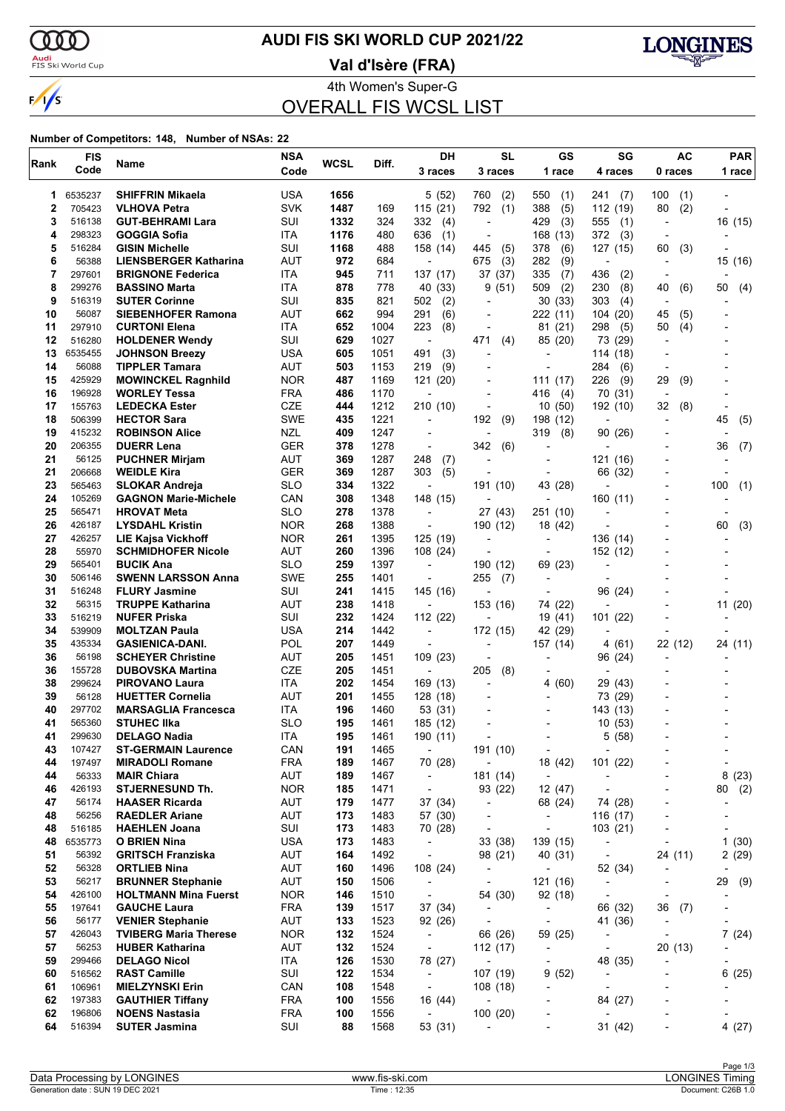$\alpha\alpha$ 

 $\sqrt{s}$ 

### <mark>Audi</mark><br>FIS Ski World Cup

### **AUDI FIS SKI WORLD CUP 2021/22**

**Val d'Isère (FRA)**



4th Women's Super-G

OVERALL FIS WCSL LIST

#### **Number of Competitors: 148, Number of NSAs: 22**

| Rank     | <b>FIS</b>       | Name                                             | <b>NSA</b>               | <b>WCSL</b> | Diff.        | <b>DH</b>                            | <b>SL</b>                                  | GS                                                   | SG                                   | <b>AC</b>                                                | <b>PAR</b>                     |
|----------|------------------|--------------------------------------------------|--------------------------|-------------|--------------|--------------------------------------|--------------------------------------------|------------------------------------------------------|--------------------------------------|----------------------------------------------------------|--------------------------------|
|          | Code             |                                                  | Code                     |             |              | 3 races                              | 3 races                                    | 1 race                                               | 4 races                              | 0 races                                                  | 1 race                         |
| 1        | 6535237          | <b>SHIFFRIN Mikaela</b>                          | <b>USA</b>               | 1656        |              | 5 (52)                               | 760<br>(2)                                 | 550<br>(1)                                           | 241<br>(7)                           | 100<br>(1)                                               |                                |
| 2        | 705423           | <b>VLHOVA Petra</b>                              | <b>SVK</b>               | 1487        | 169          | 115(21)                              | 792<br>(1)                                 | 388<br>(5)                                           | 112 (19)                             | 80<br>(2)                                                |                                |
| 3        | 516138           | <b>GUT-BEHRAMI Lara</b>                          | SUI                      | 1332        | 324          | 332<br>(4)                           | ÷,                                         | 429<br>(3)                                           | 555<br>(1)                           | $\overline{\phantom{a}}$                                 | 16 (15)                        |
| 4        | 298323           | <b>GOGGIA Sofia</b>                              | ITA                      | 1176        | 480          | 636<br>(1)                           | $\overline{\phantom{a}}$                   | 168 (13)                                             | 372<br>(3)                           |                                                          |                                |
| 5        | 516284           | <b>GISIN Michelle</b>                            | SUI                      | 1168        | 488          | 158 (14)                             | (5)<br>445                                 | 378<br>(6)                                           | 127 (15)                             | 60<br>(3)                                                |                                |
| 6<br>7   | 56388<br>297601  | <b>LIENSBERGER Katharina</b>                     | AUT                      | 972         | 684          | $\overline{a}$                       | (3)<br>675                                 | 282<br>(9)                                           | $\overline{\phantom{a}}$             | $\overline{\phantom{a}}$                                 | 15 (16)                        |
| 8        | 299276           | <b>BRIGNONE Federica</b><br><b>BASSINO Marta</b> | ITA<br>ITA               | 945<br>878  | 711<br>778   | 137 (17)<br>40 (33)                  | 37 (37)<br>(51)<br>9                       | 335<br>(7)<br>(2)<br>509                             | 436<br>(2)<br>230<br>(8)             | 40<br>(6)                                                | 50<br>(4)                      |
| 9        | 516319           | <b>SUTER Corinne</b>                             | SUI                      | 835         | 821          | 502<br>(2)                           | $\overline{a}$                             | 30(33)                                               | 303<br>(4)                           |                                                          |                                |
| 10       | 56087            | <b>SIEBENHOFER Ramona</b>                        | AUT                      | 662         | 994          | 291<br>(6)                           |                                            | 222 (11)                                             | 104 (20)                             | 45<br>(5)                                                |                                |
| 11       | 297910           | <b>CURTONI Elena</b>                             | ITA                      | 652         | 1004         | 223<br>(8)                           | ٠                                          | 81 (21)                                              | 298<br>(5)                           | (4)<br>50                                                |                                |
| 12       | 516280           | <b>HOLDENER Wendy</b>                            | SUI                      | 629         | 1027         | $\overline{\phantom{a}}$             | 471<br>(4)                                 | 85 (20)                                              | 73 (29)                              | $\overline{\phantom{a}}$                                 |                                |
| 13       | 6535455          | <b>JOHNSON Breezy</b>                            | <b>USA</b>               | 605         | 1051         | (3)<br>491                           | ٠                                          |                                                      | 114 (18)                             |                                                          |                                |
| 14       | 56088            | <b>TIPPLER Tamara</b>                            | <b>AUT</b>               | 503         | 1153         | (9)<br>219                           |                                            | $\overline{a}$                                       | 284<br>(6)                           |                                                          |                                |
| 15       | 425929           | <b>MOWINCKEL Ragnhild</b>                        | <b>NOR</b>               | 487         | 1169         | 121 (20)                             | $\overline{a}$                             | 111(17)                                              | 226<br>(9)                           | 29<br>(9)                                                |                                |
| 16       | 196928<br>155763 | <b>WORLEY Tessa</b>                              | <b>FRA</b>               | 486         | 1170         | $\blacksquare$                       |                                            | 416<br>(4)                                           | 70 (31)                              |                                                          |                                |
| 17<br>18 | 506399           | <b>LEDECKA Ester</b><br><b>HECTOR Sara</b>       | CZE<br><b>SWE</b>        | 444<br>435  | 1212<br>1221 | 210 (10)<br>$\overline{\phantom{a}}$ | $\overline{a}$<br>192<br>(9)               | 10(50)<br>198 (12)                                   | 192 (10)<br>$\overline{\phantom{a}}$ | 32<br>(8)<br>$\overline{\phantom{a}}$                    | $\overline{\phantom{a}}$<br>45 |
| 19       | 415232           | <b>ROBINSON Alice</b>                            | <b>NZL</b>               | 409         | 1247         |                                      |                                            | 319<br>(8)                                           | 90(26)                               |                                                          | (5)                            |
| 20       | 206355           | <b>DUERR Lena</b>                                | <b>GER</b>               | 378         | 1278         | $\overline{\phantom{a}}$             | 342<br>(6)                                 | $\blacksquare$                                       |                                      |                                                          | 36<br>(7)                      |
| 21       | 56125            | <b>PUCHNER Mirjam</b>                            | <b>AUT</b>               | 369         | 1287         | 248<br>(7)                           |                                            | $\overline{a}$                                       | 121 (16)                             |                                                          |                                |
| 21       | 206668           | <b>WEIDLE Kira</b>                               | <b>GER</b>               | 369         | 1287         | 303<br>(5)                           |                                            |                                                      | 66 (32)                              |                                                          |                                |
| 23       | 565463           | <b>SLOKAR Andreja</b>                            | <b>SLO</b>               | 334         | 1322         | $\overline{\phantom{a}}$             | 191 (10)                                   | 43 (28)                                              |                                      |                                                          | 100<br>(1)                     |
| 24       | 105269           | <b>GAGNON Marie-Michele</b>                      | CAN                      | 308         | 1348         | 148 (15)                             | $\overline{a}$                             | $\overline{a}$                                       | 160 (11)                             | $\overline{\phantom{0}}$                                 |                                |
| 25       | 565471           | <b>HROVAT Meta</b>                               | <b>SLO</b>               | 278         | 1378         | $\overline{\phantom{a}}$             | 27 (43)                                    | 251 (10)                                             |                                      |                                                          |                                |
| 26       | 426187           | <b>LYSDAHL Kristin</b>                           | <b>NOR</b>               | 268         | 1388         | $\overline{\phantom{a}}$             | 190 (12)                                   | 18 (42)                                              |                                      |                                                          | (3)<br>60                      |
| 27<br>28 | 426257<br>55970  | <b>LIE Kajsa Vickhoff</b>                        | <b>NOR</b><br><b>AUT</b> | 261         | 1395         | 125 (19)                             | $\overline{a}$                             |                                                      | 136 (14)                             |                                                          |                                |
| 29       | 565401           | <b>SCHMIDHOFER Nicole</b><br><b>BUCIK Ana</b>    | <b>SLO</b>               | 260<br>259  | 1396<br>1397 | 108 (24)<br>$\overline{\phantom{a}}$ | 190 (12)                                   | 69 (23)                                              | 152 (12)<br>÷                        |                                                          |                                |
| 30       | 506146           | <b>SWENN LARSSON Anna</b>                        | <b>SWE</b>               | 255         | 1401         | $\overline{\phantom{a}}$             | 255<br>(7)                                 | $\overline{\phantom{a}}$                             | $\overline{a}$                       |                                                          |                                |
| 31       | 516248           | <b>FLURY Jasmine</b>                             | SUI                      | 241         | 1415         | 145 (16)                             |                                            |                                                      | 96 (24)                              |                                                          |                                |
| 32       | 56315            | <b>TRUPPE Katharina</b>                          | <b>AUT</b>               | 238         | 1418         | $\overline{\phantom{a}}$             | 153 (16)                                   | 74 (22)                                              |                                      |                                                          | 11 (20)                        |
| 33       | 516219           | <b>NUFER Priska</b>                              | SUI                      | 232         | 1424         | 112 (22)                             |                                            | 19 (41)                                              | 101 (22)                             |                                                          |                                |
| 34       | 539909           | <b>MOLTZAN Paula</b>                             | <b>USA</b>               | 214         | 1442         | $\overline{\phantom{a}}$             | 172 (15)                                   | 42 (29)                                              |                                      |                                                          |                                |
| 35       | 435334           | <b>GASIENICA-DANI.</b>                           | POL                      | 207         | 1449         |                                      | ٠                                          | 157 (14)                                             | 4(61)                                | 22 (12)                                                  | 24 (11)                        |
| 36       | 56198            | <b>SCHEYER Christine</b>                         | AUT                      | 205         | 1451         | 109(23)                              |                                            |                                                      | 96 (24)                              |                                                          |                                |
| 36<br>38 | 155728           | <b>DUBOVSKA Martina</b>                          | <b>CZE</b><br>ITA        | 205<br>202  | 1451<br>1454 | $\overline{\phantom{a}}$             | (8)<br>205<br>$\overline{a}$               |                                                      | $\overline{\phantom{a}}$<br>29 (43)  |                                                          |                                |
| 39       | 299624<br>56128  | <b>PIROVANO Laura</b><br><b>HUETTER Cornelia</b> | AUT                      | 201         | 1455         | 169 (13)<br>128(18)                  |                                            | 4(60)                                                | 73 (29)                              |                                                          |                                |
| 40       | 297702           | <b>MARSAGLIA Francesca</b>                       | ITA                      | 196         | 1460         | 53 (31)                              |                                            |                                                      | 143 (13)                             |                                                          |                                |
| 41       | 565360           | <b>STUHEC IIka</b>                               | <b>SLO</b>               | 195         | 1461         | 185 (12)                             |                                            | $\overline{\phantom{a}}$                             | 10(53)                               |                                                          |                                |
| 41       | 299630           | <b>DELAGO Nadia</b>                              | ITA                      | 195         | 1461         | 190 (11)                             |                                            |                                                      | 5(58)                                |                                                          |                                |
| 43       | 107427           | <b>ST-GERMAIN Laurence</b>                       | CAN                      | 191         | 1465         | $\blacksquare$                       | 191 (10)                                   | $\overline{\phantom{a}}$                             | $\overline{\phantom{a}}$             |                                                          |                                |
| 44       | 197497           | <b>MIRADOLI Romane</b>                           | <b>FRA</b>               | 189         | 1467         | 70 (28)                              | $\overline{\phantom{a}}$                   | 18 (42)                                              | 101 (22)                             |                                                          | $\overline{a}$                 |
| 44       | 56333            | <b>MAIR Chiara</b>                               | AUT                      | 189         | 1467         | $\blacksquare$                       | 181 (14)                                   | $\blacksquare$                                       | $\overline{\phantom{a}}$             | $\overline{\phantom{0}}$                                 | 8<br>(23)                      |
| 46       | 426193           | <b>STJERNESUND Th.</b>                           | <b>NOR</b>               | 185         | 1471         | $\overline{\phantom{a}}$             | 93 (22)                                    | 12 (47)                                              | $\overline{\phantom{a}}$             |                                                          | (2)<br>80                      |
| 47<br>48 | 56174<br>56256   | <b>HAASER Ricarda</b><br><b>RAEDLER Ariane</b>   | <b>AUT</b><br><b>AUT</b> | 179<br>173  | 1477<br>1483 | 37 (34)<br>57 (30)                   | $\blacksquare$<br>$\overline{\phantom{a}}$ | 68 (24)<br>$\overline{\phantom{a}}$                  | 74 (28)<br>116 (17)                  | $\qquad \qquad \blacksquare$<br>$\overline{\phantom{0}}$ | -<br>-                         |
| 48       | 516185           | <b>HAEHLEN Joana</b>                             | SUI                      | 173         | 1483         | 70 (28)                              | $\overline{\phantom{a}}$                   | $\overline{\phantom{a}}$                             | 103 (21)                             |                                                          |                                |
| 48       | 6535773          | O BRIEN Nina                                     | <b>USA</b>               | 173         | 1483         | $\overline{\phantom{a}}$             | 33 (38)                                    | 139 (15)                                             | $\overline{\phantom{a}}$             | $\overline{\phantom{a}}$                                 | 1(30)                          |
| 51       | 56392            | <b>GRITSCH Franziska</b>                         | AUT                      | 164         | 1492         | $\overline{\phantom{a}}$             | 98 (21)                                    | 40 (31)                                              | $\overline{\phantom{a}}$             | 24 (11)                                                  | 2(29)                          |
| 52       | 56328            | <b>ORTLIEB Nina</b>                              | <b>AUT</b>               | 160         | 1496         | 108 (24)                             | $\overline{\phantom{a}}$                   | $\overline{\phantom{a}}$                             | 52 (34)                              |                                                          |                                |
| 53       | 56217            | <b>BRUNNER Stephanie</b>                         | AUT                      | 150         | 1506         | $\overline{\phantom{a}}$             | $\overline{\phantom{a}}$                   | 121 (16)                                             | $\overline{\phantom{a}}$             | $\overline{\phantom{a}}$                                 | 29<br>(9)                      |
| 54       | 426100           | <b>HOLTMANN Mina Fuerst</b>                      | <b>NOR</b>               | 146         | 1510         | $\overline{\phantom{a}}$             | 54 (30)                                    | 92 (18)                                              | $\overline{\phantom{a}}$             | $\overline{\phantom{a}}$                                 |                                |
| 55       | 197641           | <b>GAUCHE Laura</b>                              | <b>FRA</b>               | 139         | 1517         | 37 (34)                              | $\overline{\phantom{a}}$                   | $\overline{\phantom{a}}$                             | 66 (32)                              | 36<br>(7)                                                |                                |
| 56       | 56177            | <b>VENIER Stephanie</b>                          | AUT                      | 133         | 1523         | 92 (26)                              | $\overline{\phantom{a}}$                   | $\overline{\phantom{a}}$                             | 41 (36)                              | $\overline{\phantom{a}}$                                 | $\overline{\phantom{a}}$       |
| 57       | 426043           | <b>TVIBERG Maria Therese</b>                     | <b>NOR</b>               | 132         | 1524         | $\blacksquare$                       | 66 (26)                                    | 59 (25)                                              | $\overline{\phantom{a}}$             | $\overline{\phantom{a}}$                                 | 7(24)                          |
| 57<br>59 | 56253<br>299466  | <b>HUBER Katharina</b><br><b>DELAGO Nicol</b>    | AUT<br>ITA               | 132<br>126  | 1524<br>1530 | $\overline{\phantom{a}}$<br>78 (27)  | 112 (17)<br>$\blacksquare$                 | $\overline{\phantom{a}}$<br>$\overline{\phantom{a}}$ | $\overline{\phantom{a}}$             | 20 (13)<br>-                                             | -                              |
| 60       | 516562           | <b>RAST Camille</b>                              | SUI                      | 122         | 1534         | $\blacksquare$                       | 107 (19)                                   | 9(52)                                                | 48 (35)<br>$\overline{\phantom{a}}$  | ٠                                                        | -<br>6(25)                     |
| 61       | 106961           | <b>MIELZYNSKI Erin</b>                           | CAN                      | 108         | 1548         | $\sim$                               | 108(18)                                    |                                                      | $\overline{\phantom{a}}$             |                                                          |                                |
| 62       | 197383           | <b>GAUTHIER Tiffany</b>                          | <b>FRA</b>               | 100         | 1556         | 16 (44)                              | $\overline{\phantom{a}}$                   | $\overline{a}$                                       | 84 (27)                              | $\overline{\phantom{a}}$                                 |                                |
| 62       | 196806           | <b>NOENS Nastasia</b>                            | <b>FRA</b>               | 100         | 1556         | $\sim$                               | 100(20)                                    | $\overline{\phantom{m}}$                             | $\overline{\phantom{a}}$             | $\overline{a}$                                           | -                              |
| 64       | 516394           | <b>SUTER Jasmina</b>                             | SUI                      | 88          | 1568         | 53 (31)                              |                                            |                                                      | 31 (42)                              |                                                          | 4(27)                          |
|          |                  |                                                  |                          |             |              |                                      |                                            |                                                      |                                      |                                                          |                                |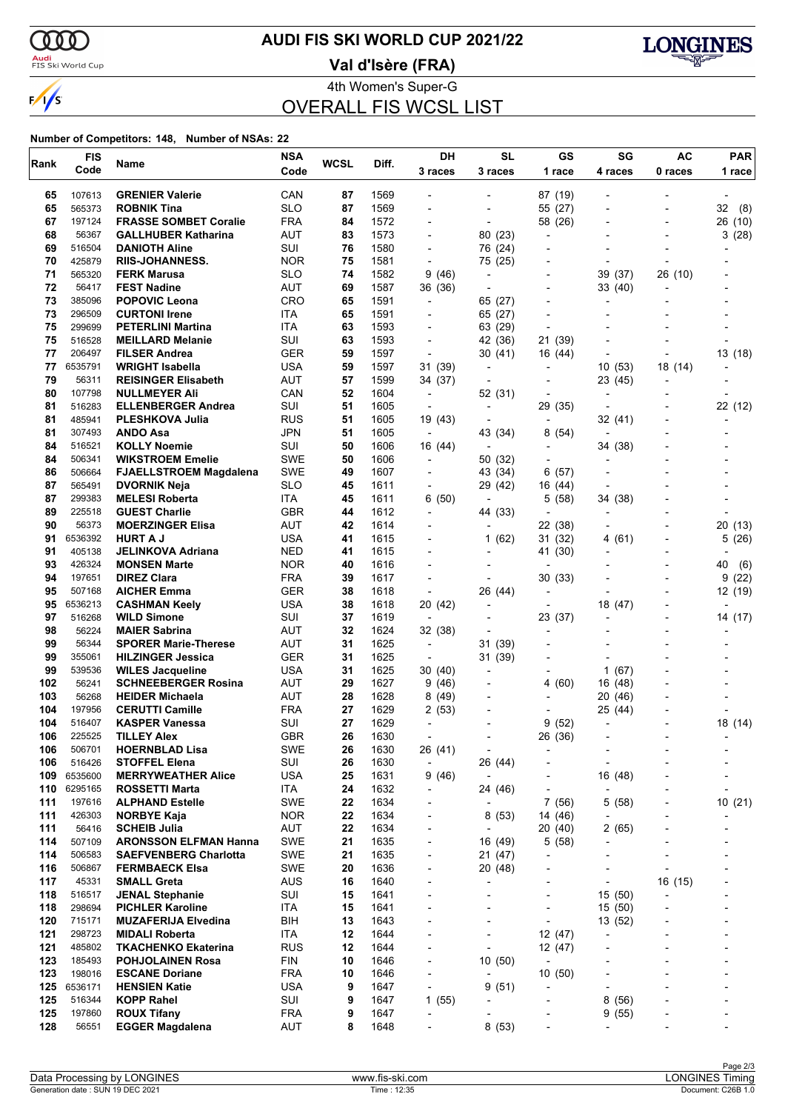

### **AUDI FIS SKI WORLD CUP 2021/22**

<mark>Audi</mark><br>FIS Ski World Cup

**Val d'Isère (FRA)**



4th Women's Super-G OVERALL FIS WCSL LIST

#### **Number of Competitors: 148, Number of NSAs: 22**

| Rank       | <b>FIS</b>       | Name                                                 | <b>NSA</b>               | <b>WCSL</b> | Diff.        | DH                                                   | <b>SL</b>                           | GS                       | SG                       | AC                       | <b>PAR</b>                   |
|------------|------------------|------------------------------------------------------|--------------------------|-------------|--------------|------------------------------------------------------|-------------------------------------|--------------------------|--------------------------|--------------------------|------------------------------|
|            | Code             |                                                      | Code                     |             |              | 3 races                                              | 3 races                             | 1 race                   | 4 races                  | 0 races                  | 1 race                       |
| 65         | 107613           | <b>GRENIER Valerie</b>                               | CAN                      | 87          | 1569         |                                                      |                                     | 87 (19)                  |                          |                          |                              |
| 65         | 565373           | <b>ROBNIK Tina</b>                                   | <b>SLO</b>               | 87          | 1569         |                                                      | $\overline{a}$                      | 55 (27)                  |                          |                          | 32<br>(8)                    |
| 67         | 197124           | <b>FRASSE SOMBET Coralie</b>                         | <b>FRA</b>               | 84          | 1572         | $\blacksquare$                                       | $\overline{a}$                      | 58 (26)                  |                          | $\overline{\phantom{0}}$ | 26 (10)                      |
| 68         | 56367            | <b>GALLHUBER Katharina</b>                           | AUT                      | 83          | 1573         |                                                      | 80 (23)                             | $\overline{\phantom{a}}$ |                          |                          | 3<br>(28)                    |
| 69         | 516504           | <b>DANIOTH Aline</b>                                 | SUI                      | 76          | 1580         |                                                      | 76 (24)                             | $\overline{a}$           |                          |                          |                              |
| 70         | 425879           | <b>RIIS-JOHANNESS.</b>                               | <b>NOR</b>               | 75          | 1581         | $\blacksquare$                                       | 75 (25)                             |                          |                          |                          |                              |
| 71         | 565320           | <b>FERK Marusa</b>                                   | <b>SLO</b>               | 74          | 1582         | 9 (46)                                               | $\overline{\phantom{a}}$            |                          | 39 (37)                  | 26 (10)                  |                              |
| 72         | 56417            | <b>FEST Nadine</b>                                   | AUT                      | 69          | 1587         | 36 (36)                                              | ÷                                   | $\overline{\phantom{a}}$ | 33 (40)                  |                          |                              |
| 73         | 385096           | <b>POPOVIC Leona</b>                                 | <b>CRO</b>               | 65          | 1591         | $\overline{\phantom{a}}$                             | 65 (27)                             |                          |                          |                          |                              |
| 73         | 296509           | <b>CURTONI Irene</b>                                 | ITA                      | 65          | 1591         |                                                      | 65 (27)                             |                          |                          |                          |                              |
| 75         | 299699           | <b>PETERLINI Martina</b>                             | ITA                      | 63          | 1593         | $\overline{\phantom{0}}$                             | 63 (29)                             | $\overline{a}$           |                          |                          |                              |
| 75         | 516528           | <b>MEILLARD Melanie</b>                              | SUI                      | 63          | 1593         | $\blacksquare$                                       | 42 (36)                             | 21 (39)                  |                          |                          |                              |
| 77         | 206497           | <b>FILSER Andrea</b>                                 | <b>GER</b>               | 59          | 1597         | $\blacksquare$                                       | 30 (41)                             | 16 (44)                  |                          |                          | 13 (18)                      |
| 77         | 6535791          | WRIGHT Isabella                                      | <b>USA</b>               | 59          | 1597         | 31 (39)                                              | $\overline{\phantom{a}}$            |                          | 10(53)                   | 18 (14)                  |                              |
| 79         | 56311            | <b>REISINGER Elisabeth</b>                           | <b>AUT</b>               | 57          | 1599         | 34 (37)                                              | $\overline{\phantom{a}}$            | $\overline{\phantom{a}}$ | 23 (45)                  |                          |                              |
| 80         | 107798           | <b>NULLMEYER Ali</b>                                 | CAN                      | 52          | 1604         | $\blacksquare$                                       | 52 (31)                             |                          | $\overline{\phantom{a}}$ |                          |                              |
| 81         | 516283           | <b>ELLENBERGER Andrea</b>                            | SUI                      | 51          | 1605         | $\overline{\phantom{a}}$                             | $\overline{\phantom{a}}$            | 29 (35)                  | $\overline{\phantom{a}}$ |                          | 22 (12)                      |
| 81         | 485941           | <b>PLESHKOVA Julia</b>                               | <b>RUS</b>               | 51          | 1605         | 19 (43)                                              | $\overline{\phantom{a}}$            | $\overline{\phantom{a}}$ | 32 (41)                  |                          |                              |
| 81         | 307493           | ANDO Asa                                             | <b>JPN</b>               | 51          | 1605         | $\overline{\phantom{a}}$                             | 43 (34)                             | 8<br>(54)                | ٠                        |                          |                              |
| 84         | 516521           | <b>KOLLY Noemie</b>                                  | SUI                      | 50          | 1606         | 16 (44)                                              | $\overline{a}$                      | $\overline{\phantom{a}}$ | 34 (38)                  |                          |                              |
| 84         | 506341           | <b>WIKSTROEM Emelie</b>                              | <b>SWE</b>               | 50          | 1606         | $\overline{\phantom{a}}$                             | 50 (32)                             | $\overline{\phantom{a}}$ |                          |                          |                              |
| 86<br>87   | 506664<br>565491 | <b>FJAELLSTROEM Magdalena</b><br><b>DVORNIK Neja</b> | <b>SWE</b><br><b>SLO</b> | 49<br>45    | 1607<br>1611 | $\overline{\phantom{0}}$                             | 43 (34)<br>29 (42)                  | (57)<br>6<br>16 (44)     | $\overline{\phantom{a}}$ |                          |                              |
| 87         | 299383           | <b>MELESI Roberta</b>                                | ITA                      | 45          | 1611         | 6(50)                                                |                                     | 5(58)                    | 34 (38)                  |                          |                              |
| 89         | 225518           | <b>GUEST Charlie</b>                                 | <b>GBR</b>               | 44          | 1612         | $\blacksquare$                                       | $\overline{\phantom{a}}$<br>44 (33) |                          | $\blacksquare$           |                          |                              |
| 90         | 56373            | <b>MOERZINGER Elisa</b>                              | AUT                      | 42          | 1614         | $\blacksquare$                                       | $\overline{\phantom{a}}$            | 22 (38)                  | $\overline{\phantom{a}}$ |                          | 20<br>(13)                   |
| 91         | 6536392          | <b>HURT A J</b>                                      | USA                      | 41          | 1615         |                                                      | 1(62)                               | 31 (32)                  | 4 (61)                   | $\blacksquare$           | 5<br>(26)                    |
| 91         | 405138           | <b>JELINKOVA Adriana</b>                             | <b>NED</b>               | 41          | 1615         |                                                      |                                     | 41 (30)                  |                          |                          |                              |
| 93         | 426324           | <b>MONSEN Marte</b>                                  | <b>NOR</b>               | 40          | 1616         |                                                      |                                     | $\overline{\phantom{a}}$ |                          |                          | 40<br>(6)                    |
| 94         | 197651           | <b>DIREZ Clara</b>                                   | <b>FRA</b>               | 39          | 1617         | $\blacksquare$                                       | $\overline{\phantom{a}}$            | 30(33)                   |                          |                          | 9<br>(22)                    |
| 95         | 507168           | <b>AICHER Emma</b>                                   | <b>GER</b>               | 38          | 1618         |                                                      | 26 (44)                             | $\overline{\phantom{a}}$ |                          |                          | 12 (19)                      |
| 95         | 6536213          | <b>CASHMAN Keely</b>                                 | <b>USA</b>               | 38          | 1618         | 20 (42)                                              | $\overline{a}$                      | $\overline{a}$           | 18 (47)                  |                          |                              |
| 97         | 516268           | <b>WILD Simone</b>                                   | SUI                      | 37          | 1619         |                                                      | -                                   | 23 (37)                  |                          |                          | 14 (17)                      |
| 98         | 56224            | <b>MAIER Sabrina</b>                                 | AUT                      | 32          | 1624         | 32 (38)                                              |                                     |                          |                          |                          |                              |
| 99         | 56344            | <b>SPORER Marie-Therese</b>                          | AUT                      | 31          | 1625         | $\overline{\phantom{a}}$                             | 31<br>(39)                          |                          |                          |                          |                              |
| 99         | 355061           | <b>HILZINGER Jessica</b>                             | <b>GER</b>               | 31          | 1625         | $\blacksquare$                                       | 31 (39)                             | $\overline{\phantom{a}}$ |                          |                          |                              |
| 99         | 539536           | <b>WILES Jacqueline</b>                              | <b>USA</b>               | 31          | 1625         | 30 (40)                                              | $\blacksquare$                      |                          | 1 $(67)$                 |                          |                              |
| 102        | 56241            | <b>SCHNEEBERGER Rosina</b>                           | AUT                      | 29          | 1627         | 9(46)                                                |                                     | 4<br>(60)                | 16 (48)                  |                          |                              |
| 103        | 56268            | <b>HEIDER Michaela</b>                               | <b>AUT</b>               | 28          | 1628         | 8(49)                                                | -                                   |                          | 20<br>(46)               |                          |                              |
| 104        | 197956           | <b>CERUTTI Camille</b>                               | <b>FRA</b>               | 27          | 1629         | 2(53)                                                |                                     |                          | 25 (44)                  |                          |                              |
| 104        | 516407           | <b>KASPER Vanessa</b>                                | SUI                      | 27          | 1629         | $\overline{\phantom{0}}$                             |                                     | 9<br>(52)                | -                        |                          | 18 (14)                      |
| 106        | 225525           | <b>TILLEY Alex</b>                                   | <b>GBR</b>               | 26          | 1630         |                                                      | $\overline{\phantom{a}}$            | 26 (36)                  |                          |                          |                              |
| 106        | 506701           | <b>HOERNBLAD Lisa</b>                                | SWE                      | 26          | 1630         | 26 (41)                                              | ÷                                   |                          |                          |                          |                              |
| 106        | 516426           | <b>STOFFEL Elena</b>                                 | SUI                      | 26          | 1630         | $\overline{\phantom{a}}$                             | 26 (44)                             |                          | ۰                        |                          |                              |
| 109        | 6535600          | <b>MERRYWEATHER Alice</b>                            | USA                      | 25          | 1631         | 9(46)                                                | $\overline{\phantom{a}}$            | $\overline{\phantom{a}}$ | 16 (48)                  |                          | $\overline{\phantom{a}}$     |
| 110        | 6295165          | ROSSETTI Marta                                       | ITA                      | 24          | 1632         | $\overline{\phantom{0}}$                             | 24 (46)                             |                          | $\overline{a}$           |                          |                              |
| 111        | 197616           | <b>ALPHAND Estelle</b>                               | <b>SWE</b>               | 22          | 1634         | $\overline{\phantom{0}}$                             |                                     | 7(56)                    | 5(58)                    | $\overline{a}$           | 10 (21)                      |
| 111<br>111 | 426303<br>56416  | <b>NORBYE Kaja</b><br><b>SCHEIB Julia</b>            | <b>NOR</b><br><b>AUT</b> | 22<br>22    | 1634<br>1634 | $\overline{\phantom{a}}$                             | 8(53)                               | 14 (46)<br>20 (40)       |                          |                          |                              |
| 114        | 507109           | <b>ARONSSON ELFMAN Hanna</b>                         | <b>SWE</b>               | 21          | 1635         | $\overline{\phantom{a}}$<br>$\overline{\phantom{0}}$ | 16 (49)                             | 5(58)                    | 2(65)                    |                          |                              |
| 114        | 506583           | <b>SAEFVENBERG Charlotta</b>                         | <b>SWE</b>               | 21          | 1635         | $\overline{\phantom{a}}$                             | 21 (47)                             | $\overline{\phantom{a}}$ |                          |                          |                              |
| 116        | 506867           | <b>FERMBAECK Elsa</b>                                | <b>SWE</b>               | 20          | 1636         | $\overline{\phantom{0}}$                             | 20 (48)                             |                          |                          |                          |                              |
| 117        | 45331            | <b>SMALL Greta</b>                                   | <b>AUS</b>               | 16          | 1640         | $\overline{\phantom{0}}$                             |                                     | $\overline{\phantom{a}}$ | ٠                        | 16 (15)                  |                              |
| 118        | 516517           | <b>JENAL Stephanie</b>                               | SUI                      | 15          | 1641         | $\overline{\phantom{a}}$                             | -                                   | $\overline{a}$           | 15 (50)                  |                          |                              |
| 118        | 298694           | <b>PICHLER Karoline</b>                              | ITA                      | 15          | 1641         |                                                      |                                     | $\overline{a}$           | 15(50)                   |                          |                              |
| 120        | 715171           | <b>MUZAFERIJA Elvedina</b>                           | BIH                      | 13          | 1643         |                                                      |                                     | ÷,                       | 13 (52)                  |                          |                              |
| 121        | 298723           | <b>MIDALI Roberta</b>                                | ITA                      | 12          | 1644         |                                                      | -                                   | 12 (47)                  |                          |                          |                              |
| 121        | 485802           | <b>TKACHENKO Ekaterina</b>                           | <b>RUS</b>               | 12          | 1644         |                                                      |                                     | 12 (47)                  | $\overline{a}$           |                          |                              |
| 123        | 185493           | <b>POHJOLAINEN Rosa</b>                              | <b>FIN</b>               | 10          | 1646         | $\overline{\phantom{0}}$                             | 10(50)                              | $\overline{a}$           |                          |                          |                              |
| 123        | 198016           | <b>ESCANE Doriane</b>                                | <b>FRA</b>               | 10          | 1646         | $\overline{\phantom{a}}$                             |                                     | 10(50)                   |                          | $\overline{\phantom{0}}$ | $\overline{\phantom{a}}$     |
| 125        | 6536171          | <b>HENSIEN Katie</b>                                 | <b>USA</b>               | 9           | 1647         | $\overline{a}$                                       | 9(51)                               | $\blacksquare$           | $\overline{a}$           |                          |                              |
| 125        | 516344           | <b>KOPP Rahel</b>                                    | SUI                      | 9           | 1647         | 1(55)                                                | $\overline{a}$                      |                          | 8<br>(56)                |                          |                              |
| 125        | 197860           | <b>ROUX Tifany</b>                                   | FRA                      | 9           | 1647         | $\overline{\phantom{a}}$                             |                                     | $\overline{\phantom{a}}$ | 9<br>(55)                |                          | $\qquad \qquad \blacksquare$ |
| 128        | 56551            | <b>EGGER Magdalena</b>                               | AUT                      | 8           | 1648         |                                                      | 8(53)                               |                          |                          |                          |                              |
|            |                  |                                                      |                          |             |              |                                                      |                                     |                          |                          |                          |                              |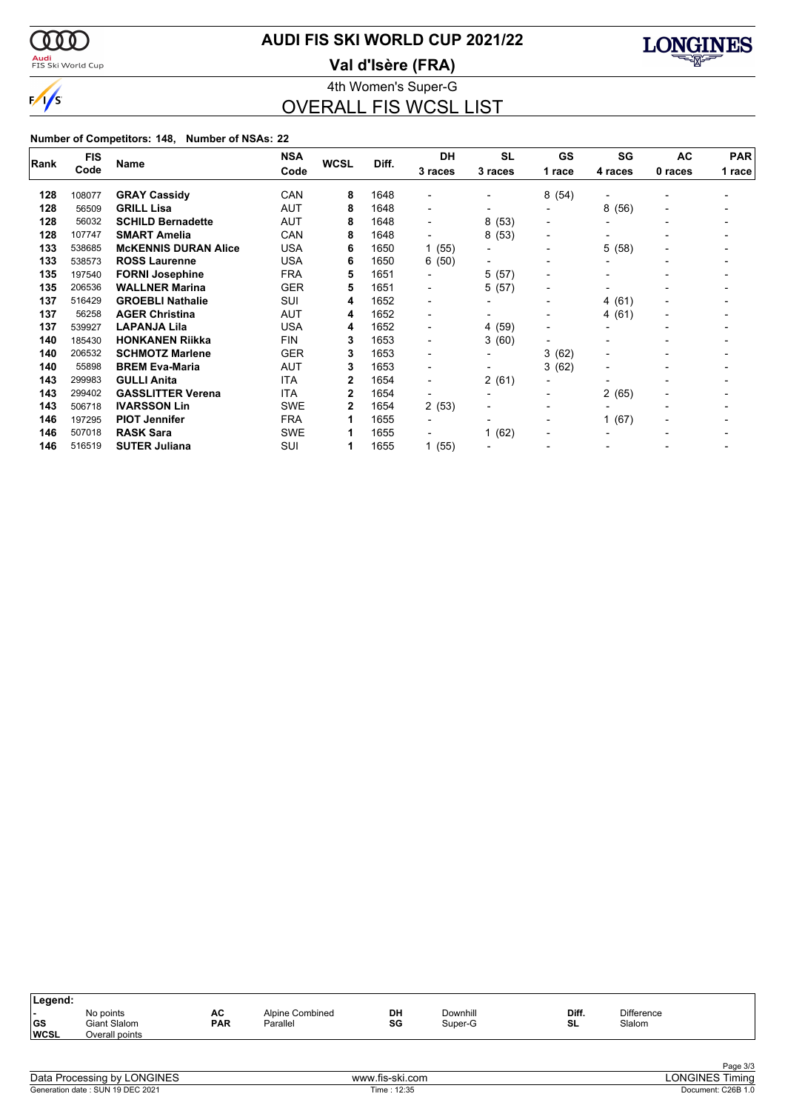

## **AUDI FIS SKI WORLD CUP 2021/22**

<mark>Audi</mark><br>FIS Ski World Cup

4th Women's Super-G **Val d'Isère (FRA)**



OVERALL FIS WCSL LIST

#### **Number of Competitors: 148, Number of NSAs: 22**

|      | <b>FIS</b> | <b>Name</b>                 | <b>NSA</b> | <b>WCSL</b> | Diff. | DH                       | <b>SL</b>                | <b>GS</b>                | SG                       | AC                       | <b>PAR</b> |
|------|------------|-----------------------------|------------|-------------|-------|--------------------------|--------------------------|--------------------------|--------------------------|--------------------------|------------|
| Rank | Code       |                             | Code       |             |       | 3 races                  | 3 races                  | 1 race                   | 4 races                  | 0 races                  | 1 race     |
| 128  | 108077     | <b>GRAY Cassidy</b>         | CAN        | 8           | 1648  |                          |                          | 8(54)                    |                          |                          |            |
| 128  | 56509      | <b>GRILL Lisa</b>           | AUT        | 8           | 1648  | $\blacksquare$           |                          | $\blacksquare$           | 8(56)                    |                          |            |
| 128  | 56032      | <b>SCHILD Bernadette</b>    | AUT        | 8           | 1648  | $\overline{\phantom{0}}$ | 8(53)                    | $\overline{\phantom{a}}$ |                          |                          |            |
| 128  | 107747     | <b>SMART Amelia</b>         | CAN        | 8           | 1648  |                          | 8(53)                    | $\overline{\phantom{0}}$ |                          |                          |            |
| 133  | 538685     | <b>MCKENNIS DURAN Alice</b> | <b>USA</b> | 6           | 1650  | 1(55)                    | $\overline{\phantom{a}}$ | $\overline{\phantom{a}}$ | 5<br>(58)                |                          |            |
| 133  | 538573     | <b>ROSS Laurenne</b>        | <b>USA</b> | 6           | 1650  | 6(50)                    |                          | $\overline{\phantom{0}}$ |                          |                          |            |
| 135  | 197540     | <b>FORNI Josephine</b>      | <b>FRA</b> | 5           | 1651  | $\overline{\phantom{0}}$ | 5(57)                    | $\blacksquare$           | $\overline{\phantom{a}}$ |                          |            |
| 135  | 206536     | <b>WALLNER Marina</b>       | <b>GER</b> | 5           | 1651  | ۰.                       | 5(57)                    | $\overline{\phantom{0}}$ |                          |                          |            |
| 137  | 516429     | <b>GROEBLI Nathalie</b>     | SUI        | 4           | 1652  | $\overline{a}$           | $\overline{\phantom{a}}$ | $\overline{\phantom{0}}$ | (61)<br>4                |                          |            |
| 137  | 56258      | <b>AGER Christina</b>       | AUT        | 4           | 1652  | $\blacksquare$           | $\blacksquare$           | $\overline{\phantom{0}}$ | 4 (61)                   | $\overline{\phantom{0}}$ |            |
| 137  | 539927     | <b>LAPANJA Lila</b>         | <b>USA</b> | 4           | 1652  | $\overline{\phantom{0}}$ | 4 (59)                   | $\blacksquare$           |                          |                          |            |
| 140  | 185430     | <b>HONKANEN Riikka</b>      | <b>FIN</b> | 3           | 1653  | $\blacksquare$           | 3(60)                    | $\blacksquare$           |                          |                          |            |
| 140  | 206532     | <b>SCHMOTZ Marlene</b>      | <b>GER</b> | 3           | 1653  | $\overline{\phantom{a}}$ | $\blacksquare$           | 3.<br>(62)               |                          |                          |            |
| 140  | 55898      | <b>BREM Eva-Maria</b>       | <b>AUT</b> | 3           | 1653  | $\overline{\phantom{0}}$ |                          | 3(62)                    |                          |                          |            |
| 143  | 299983     | <b>GULLI Anita</b>          | <b>ITA</b> | 2           | 1654  | $\blacksquare$           | 2(61)                    | $\blacksquare$           |                          |                          |            |
| 143  | 299402     | <b>GASSLITTER Verena</b>    | <b>ITA</b> | 2           | 1654  |                          |                          | $\blacksquare$           | 2(65)                    |                          |            |
| 143  | 506718     | <b>IVARSSON Lin</b>         | <b>SWE</b> | 2           | 1654  | 2(53)                    | $\blacksquare$           | $\overline{\phantom{0}}$ |                          |                          |            |
| 146  | 197295     | <b>PIOT Jennifer</b>        | <b>FRA</b> | 1           | 1655  | $\overline{\phantom{a}}$ |                          | $\blacksquare$           | (67)                     | $\overline{\phantom{0}}$ |            |
| 146  | 507018     | <b>RASK Sara</b>            | <b>SWE</b> | 1           | 1655  |                          | 1(62)                    | $\blacksquare$           |                          |                          |            |
| 146  | 516519     | <b>SUTER Juliana</b>        | SUI        | 1           | 1655  | 1(55)                    |                          |                          |                          |                          |            |

| Legend:                   |                                             |                  |                             |          |                     |             |                             |  |
|---------------------------|---------------------------------------------|------------------|-----------------------------|----------|---------------------|-------------|-----------------------------|--|
| . .<br> GS<br><b>WCSL</b> | No points<br>Giant Slalom<br>Overall points | AC<br><b>PAR</b> | Alpine Combined<br>Parallel | DH<br>SG | Downhill<br>Super-G | Diff.<br>SL | <b>Difference</b><br>Slalom |  |
|                           |                                             |                  |                             |          |                     |             |                             |  |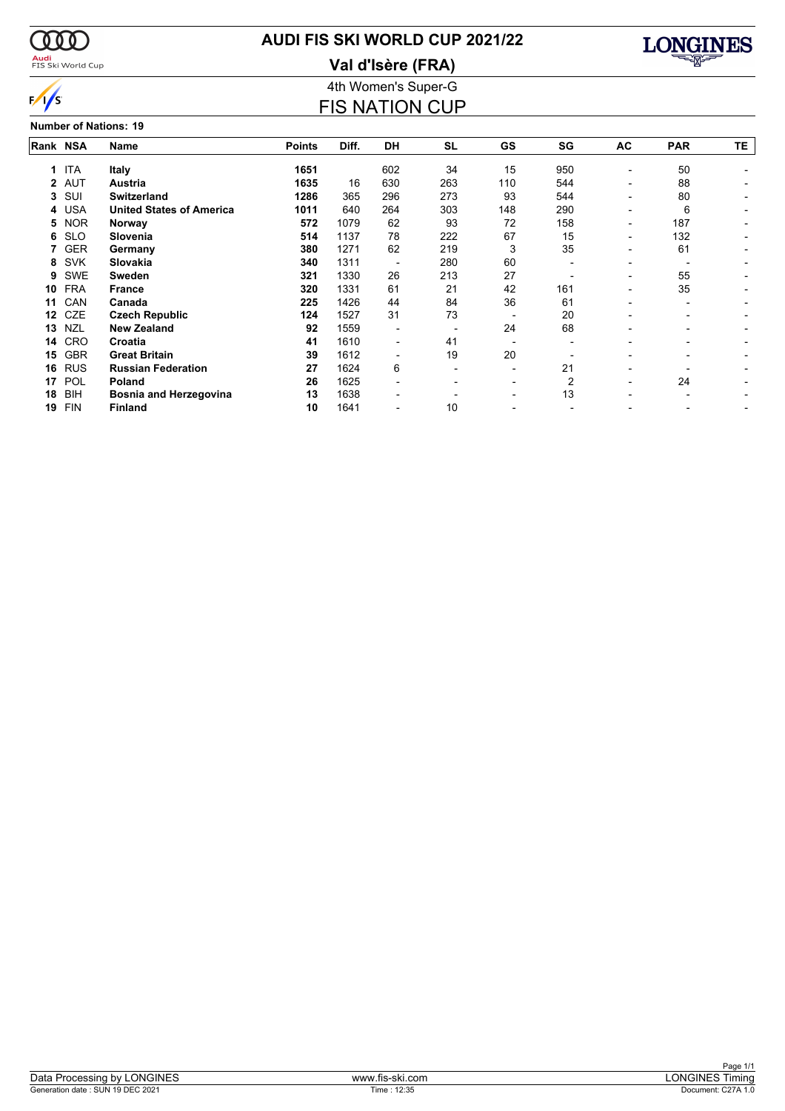

### <mark>Audi</mark><br>FIS Ski World Cup

# **AUDI FIS SKI WORLD CUP 2021/22**





4th Women's Super-G FIS NATION CUP

**Number of Nations: 19**

|    |            |                                 | Rank NSA      |       |                          |           |                          |     |                          |                          |     |  |  |  |  |  |
|----|------------|---------------------------------|---------------|-------|--------------------------|-----------|--------------------------|-----|--------------------------|--------------------------|-----|--|--|--|--|--|
|    |            | Name                            | <b>Points</b> | Diff. | <b>DH</b>                | <b>SL</b> | <b>GS</b>                | SG  | AC                       | <b>PAR</b>               | TΕ. |  |  |  |  |  |
| 1  | <b>ITA</b> | <b>Italy</b>                    | 1651          |       | 602                      | 34        | 15                       | 950 |                          | 50                       |     |  |  |  |  |  |
|    | 2 AUT      | <b>Austria</b>                  | 1635          | 16    | 630                      | 263       | 110                      | 544 | $\overline{\phantom{0}}$ | 88                       |     |  |  |  |  |  |
| 3  | SUI        | <b>Switzerland</b>              | 1286          | 365   | 296                      | 273       | 93                       | 544 |                          | 80                       |     |  |  |  |  |  |
| 4  | <b>USA</b> | <b>United States of America</b> | 1011          | 640   | 264                      | 303       | 148                      | 290 | $\overline{\phantom{0}}$ | 6                        |     |  |  |  |  |  |
| 5  | <b>NOR</b> | Norway                          | 572           | 1079  | 62                       | 93        | 72                       | 158 | -                        | 187                      |     |  |  |  |  |  |
| 6  | <b>SLO</b> | Slovenia                        | 514           | 1137  | 78                       | 222       | 67                       | 15  | -                        | 132                      |     |  |  |  |  |  |
| 7. | <b>GER</b> | Germany                         | 380           | 1271  | 62                       | 219       | 3                        | 35  |                          | 61                       |     |  |  |  |  |  |
| 8  | <b>SVK</b> | Slovakia                        | 340           | 1311  |                          | 280       | 60                       |     |                          |                          |     |  |  |  |  |  |
| 9  | <b>SWE</b> | <b>Sweden</b>                   | 321           | 1330  | 26                       | 213       | 27                       |     | $\overline{\phantom{0}}$ | 55                       |     |  |  |  |  |  |
| 10 | <b>FRA</b> | <b>France</b>                   | 320           | 1331  | 61                       | 21        | 42                       | 161 | $\overline{\phantom{0}}$ | 35                       |     |  |  |  |  |  |
| 11 | CAN        | Canada                          | 225           | 1426  | 44                       | 84        | 36                       | 61  |                          |                          |     |  |  |  |  |  |
| 12 | <b>CZE</b> | <b>Czech Republic</b>           | 124           | 1527  | 31                       | 73        |                          | 20  |                          |                          |     |  |  |  |  |  |
| 13 | <b>NZL</b> | <b>New Zealand</b>              | 92            | 1559  | $\overline{\phantom{a}}$ |           | 24                       | 68  |                          | $\overline{\phantom{0}}$ |     |  |  |  |  |  |
| 14 | <b>CRO</b> | Croatia                         | 41            | 1610  | $\overline{\phantom{a}}$ | 41        |                          |     |                          |                          |     |  |  |  |  |  |
| 15 | <b>GBR</b> | <b>Great Britain</b>            | 39            | 1612  |                          | 19        | 20                       |     |                          |                          |     |  |  |  |  |  |
| 16 | <b>RUS</b> | <b>Russian Federation</b>       | 27            | 1624  | 6                        |           |                          | 21  |                          |                          |     |  |  |  |  |  |
| 17 | POL        | <b>Poland</b>                   | 26            | 1625  | $\overline{\phantom{0}}$ |           | $\overline{\phantom{0}}$ |     | $\overline{\phantom{0}}$ | 24                       |     |  |  |  |  |  |
| 18 | <b>BIH</b> | <b>Bosnia and Herzegovina</b>   | 13            | 1638  |                          |           |                          | 13  |                          |                          |     |  |  |  |  |  |
| 19 | <b>FIN</b> | <b>Finland</b>                  | 10            | 1641  |                          | 10        |                          |     |                          |                          |     |  |  |  |  |  |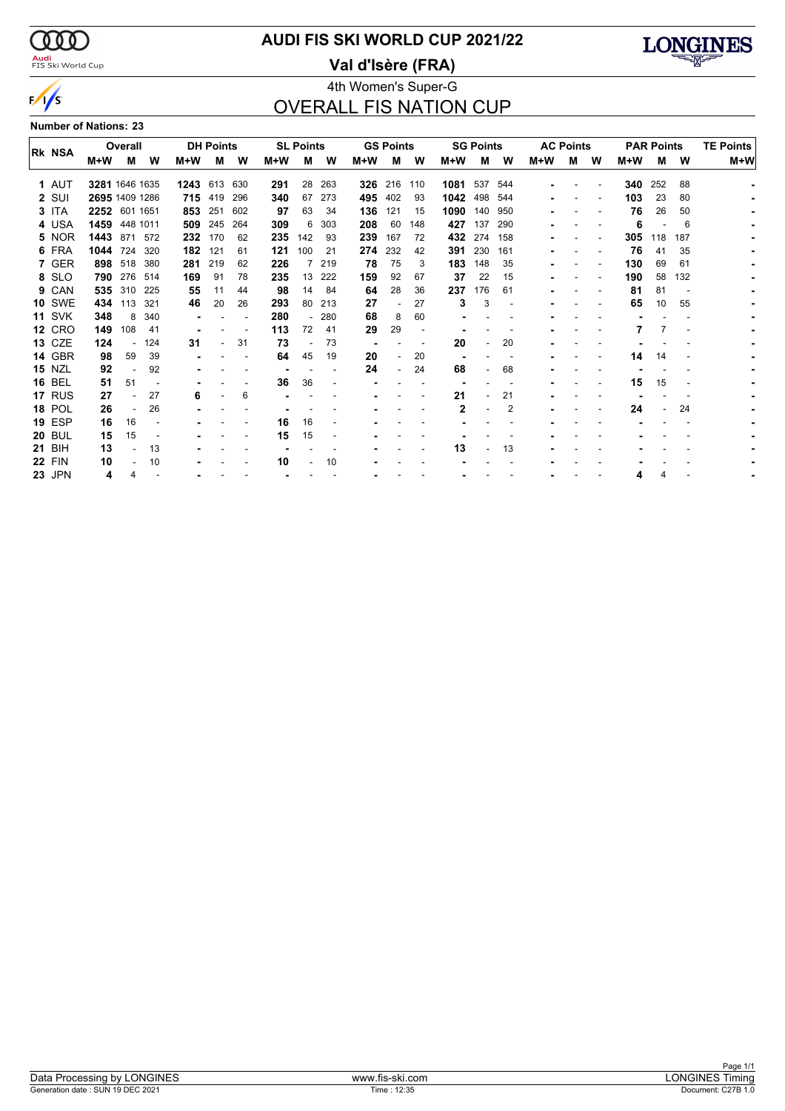$\alpha\alpha$ <mark>Audi</mark><br>FIS Ski World Cup

 $\sqrt{s}$ 

### **AUDI FIS SKI WORLD CUP 2021/22**

**Val d'Isère (FRA)**



### 4th Women's Super-G OVERALL FIS NATION CUP

|  | <b>Number of Nations: 23</b> |  |
|--|------------------------------|--|
|  |                              |  |

| <b>IRK NSA</b> |               |                | Overall  |      |      | <b>DH Points</b> |     |     | <b>SL Points</b> |     |        | <b>GS Points</b>         |     |      | <b>SG Points</b> |     |     | <b>AC Points</b> |   |     | <b>PAR Points</b> |     | <b>TE Points</b> |
|----------------|---------------|----------------|----------|------|------|------------------|-----|-----|------------------|-----|--------|--------------------------|-----|------|------------------|-----|-----|------------------|---|-----|-------------------|-----|------------------|
|                |               | M+W            | м        | W    | M+W  | м                | W   | M+W | М                | W   | M+W    | м                        | W   | M+W  | м                | W   | M+W | м                | W | M+W | м                 | W   | M+W              |
|                | 1 AUT         | 3281 1646 1635 |          |      | 1243 | 613              | 630 | 291 | 28               | 263 | 326    | 216                      | 110 | 1081 | 537              | 544 |     |                  |   | 340 | 252               | 88  |                  |
|                | 2 SUI         | 2695 1409 1286 |          |      |      | 715 419          | 296 | 340 | 67               | 273 | 495    | 402                      | 93  | 1042 | 498              | 544 |     |                  |   | 103 | 23                | 80  |                  |
|                | 3 ITA         | 2252 601 1651  |          |      | 853  | 251              | 602 | 97  | 63               | 34  | 136    | 121                      | 15  | 1090 | 140              | 950 |     |                  |   | 76  | 26                | 50  |                  |
|                | 4 USA         | 1459           | 448 1011 |      | 509  | 245              | 264 | 309 | 6                | 303 | 208    | 60                       | 148 | 427  | 137              | 290 |     |                  |   | 6   |                   | 6   |                  |
|                | 5 NOR         | 1443 871 572   |          |      | 232  | 170              | 62  | 235 | 142              | 93  | 239    | 167                      | 72  | 432  | 274              | 158 |     |                  |   | 305 | 118               | 187 |                  |
|                | 6 FRA         | 1044 724       |          | 320  | 182  | 121              | 61  | 121 | 100              | 21  | 274    | 232                      | 42  | 391  | 230              | 161 |     |                  |   | 76  | 41                | 35  |                  |
|                | 7 GER         | 898 518        |          | 380  | 281  | 219              | 62  | 226 |                  | 219 | 78     | 75                       | 3   | 183  | 148              | 35  |     |                  |   | 130 | 69                | 61  |                  |
|                | 8 SLO         | 790            | 276      | 514  | 169  | 91               | 78  | 235 | 13               | 222 | 159    | 92                       | 67  | 37   | 22               | 15  |     |                  |   | 190 | 58                | 132 |                  |
|                | 9 CAN         | 535            | 310      | 225  | 55   | 11               | 44  | 98  | 14               | 84  | 64     | 28                       | 36  | 237  | 176              | 61  |     |                  |   | 81  | 81                |     |                  |
|                | <b>10 SWE</b> | 434            | 113      | -321 | 46   | 20               | 26  | 293 | 80               | 213 | 27     | $\overline{\phantom{0}}$ | 27  | 3    | 3                |     |     |                  |   | 65  | 10                | 55  |                  |
|                | <b>11 SVK</b> | 348            | 8        | 340  |      |                  |     | 280 |                  | 280 | 68     | 8                        | 60  |      |                  |     |     |                  |   |     |                   |     |                  |
|                | <b>12 CRO</b> | 149            | 108      | 41   |      |                  |     | 113 | 72               | 41  | 29     | 29                       |     |      |                  |     |     |                  |   |     |                   |     |                  |
|                | <b>13 CZE</b> | 124            |          | 124  | 31   |                  | 31  | 73  |                  | 73  | $\sim$ |                          |     | 20   |                  | 20  |     |                  |   |     |                   |     |                  |
|                | 14 GBR        | 98             | 59       | 39   |      |                  |     | 64  | 45               | 19  | 20     |                          | 20  |      |                  |     |     |                  |   | 14  | 14                |     |                  |
|                | <b>15 NZL</b> | 92             |          | 92   |      |                  |     |     |                  |     | 24     |                          | 24  | 68   |                  | 68  |     |                  |   |     |                   |     |                  |
|                | <b>16 BEL</b> | 51             | 51       |      |      |                  |     | 36  | 36               |     |        |                          |     |      |                  |     |     |                  |   | 15  | 15                |     |                  |
|                | 17 RUS        | 27             |          | 27   | 6    |                  | 6   |     |                  |     |        |                          |     | 21   |                  | 21  |     |                  |   |     |                   |     |                  |
|                | <b>18 POL</b> | 26             |          | 26   |      |                  |     |     |                  |     |        |                          |     | 2    |                  | 2   |     |                  |   | 24  |                   | 24  |                  |
|                | <b>19 ESP</b> | 16             | 16       |      |      |                  |     | 16  | 16               |     |        |                          |     |      |                  |     |     |                  |   |     |                   |     |                  |
|                | <b>20 BUL</b> | 15             | 15       |      |      |                  |     | 15  | 15               |     |        |                          |     |      |                  |     |     |                  |   |     |                   |     |                  |
|                | <b>21 BIH</b> | 13             |          | 13   |      |                  |     |     |                  |     |        |                          |     | 13   |                  | 13  |     |                  |   |     |                   |     |                  |
|                | <b>22 FIN</b> | 10             |          | 10   |      |                  |     | 10  |                  | 10  |        |                          |     |      |                  |     |     |                  |   |     |                   |     |                  |
|                | <b>23 JPN</b> | 4              |          |      |      |                  |     |     |                  |     |        |                          |     |      |                  |     |     |                  |   |     |                   |     |                  |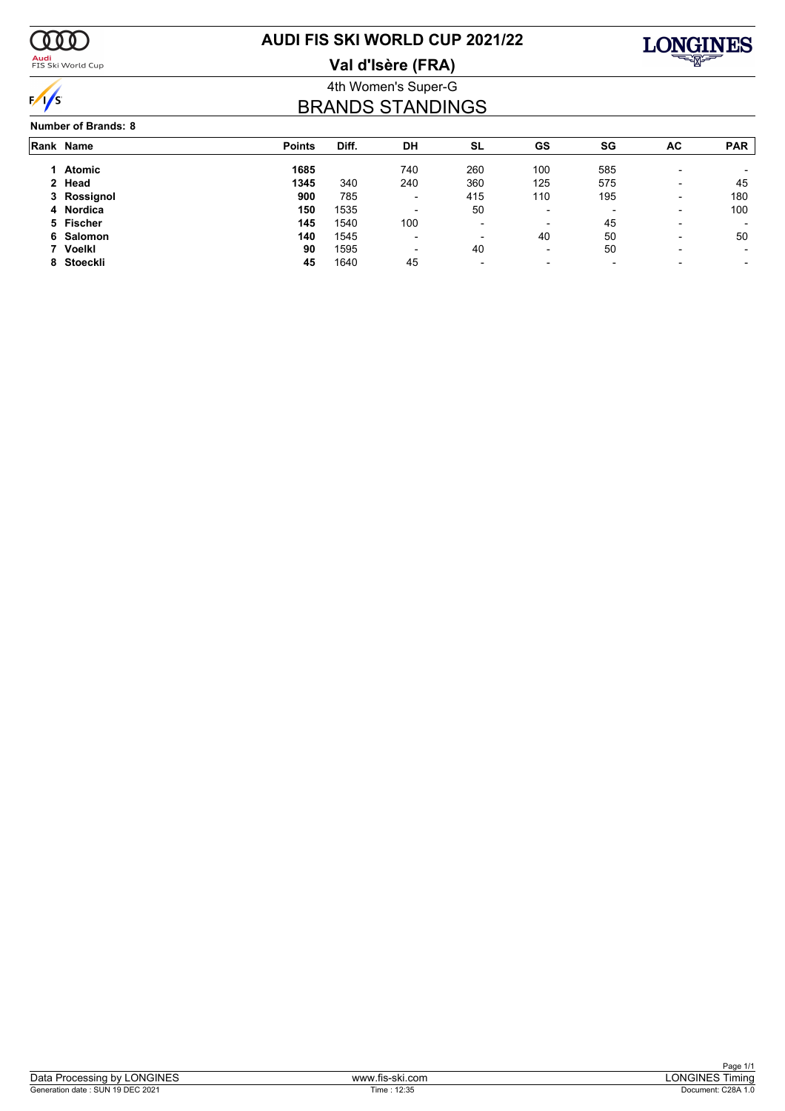

<mark>Audi</mark><br>FIS Ski World Cup

# **AUDI FIS SKI WORLD CUP 2021/22**

**Val d'Isère (FRA)**



### 4th Women's Super-G BRANDS STANDINGS

#### **Number of Brands: 8**

| Rank Name   | <b>Points</b> | Diff. | DH                       | SL                       | GS                       | SG                       | AC                       | <b>PAR</b> |
|-------------|---------------|-------|--------------------------|--------------------------|--------------------------|--------------------------|--------------------------|------------|
| 1 Atomic    | 1685          |       | 740                      | 260                      | 100                      | 585                      |                          |            |
| 2 Head      | 1345          | 340   | 240                      | 360                      | 125                      | 575                      | $\overline{\phantom{0}}$ | 45         |
| 3 Rossignol | 900           | 785   | $\overline{\phantom{0}}$ | 415                      | 110                      | 195                      | $\overline{\phantom{0}}$ | 180        |
| 4 Nordica   | 150           | 1535  | $\overline{\phantom{a}}$ | 50                       | $\overline{\phantom{0}}$ | $\overline{\phantom{a}}$ | $\overline{\phantom{0}}$ | 100        |
| 5 Fischer   | 145           | 1540  | 100                      | $\overline{\phantom{a}}$ | $\overline{\phantom{a}}$ | 45                       |                          |            |
| 6 Salomon   | 140           | 1545  | $\overline{\phantom{0}}$ | $\overline{\phantom{a}}$ | 40                       | 50                       | $\overline{\phantom{0}}$ | 50         |
| 7 Voelkl    | 90            | 1595  | $\overline{\phantom{a}}$ | 40                       | $\overline{\phantom{0}}$ | 50                       | $\overline{\phantom{0}}$ |            |
| 8 Stoeckli  | 45            | 1640  | 45                       | $\overline{\phantom{a}}$ | $\blacksquare$           | $\overline{\phantom{0}}$ |                          |            |
|             |               |       |                          |                          |                          |                          |                          |            |